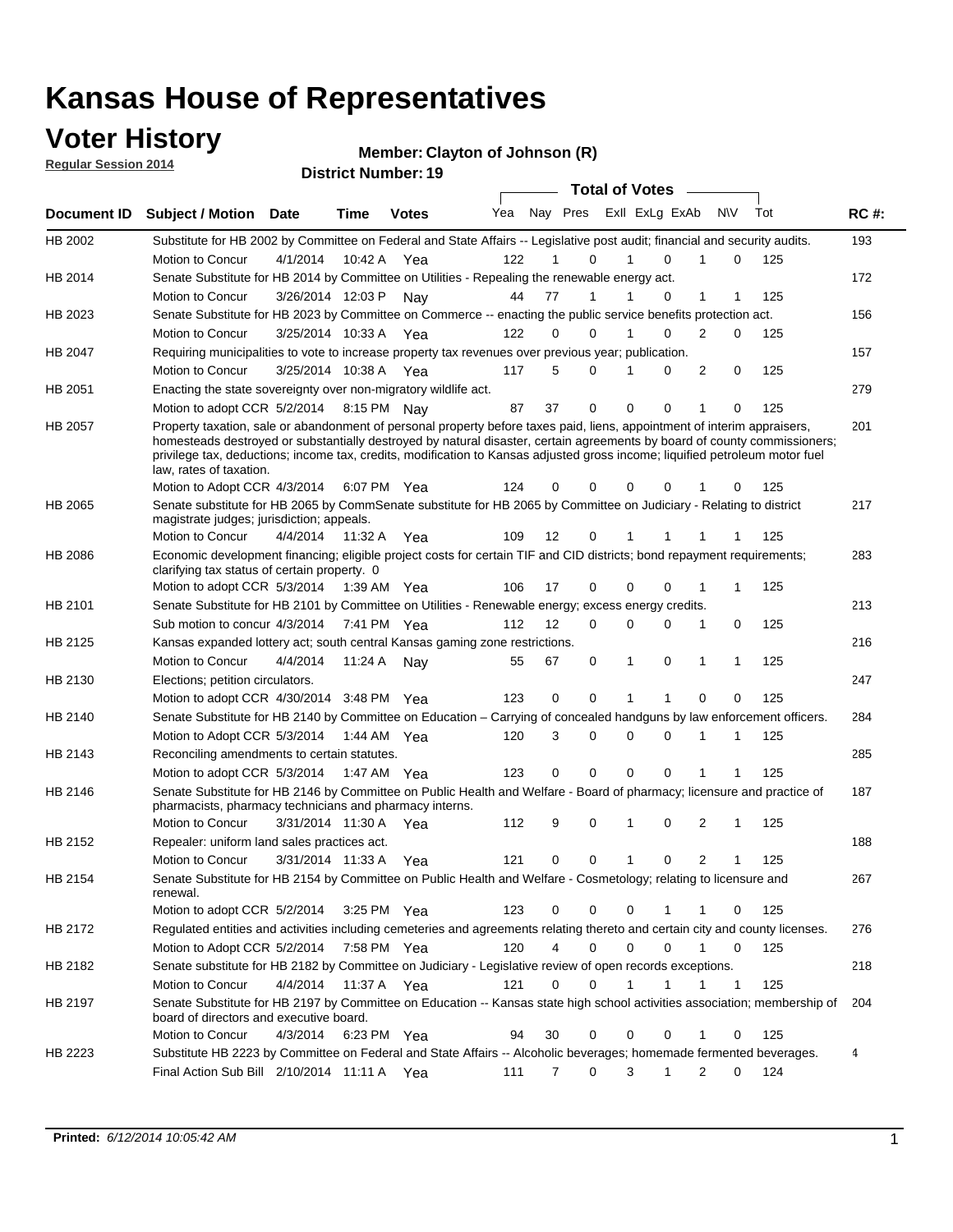### **Voter History**

**Regular Session 2014**

#### **Member: Clayton of Johnson (R)**

|                |                                                                                                                                                                                                                                                                                      |                       |             | <b>DISTRICT MAILINGL. 19</b> |     |                |             | <b>Total of Votes</b> |                            |             |     |             |
|----------------|--------------------------------------------------------------------------------------------------------------------------------------------------------------------------------------------------------------------------------------------------------------------------------------|-----------------------|-------------|------------------------------|-----|----------------|-------------|-----------------------|----------------------------|-------------|-----|-------------|
| Document ID    | <b>Subject / Motion</b>                                                                                                                                                                                                                                                              | Date                  | Time        | <b>Votes</b>                 | Yea |                | Nay Pres    |                       | Exll ExLg ExAb             | N\V         | Tot | <b>RC#:</b> |
| HB 2002        | Substitute for HB 2002 by Committee on Federal and State Affairs -- Legislative post audit; financial and security audits.                                                                                                                                                           |                       |             |                              |     |                |             |                       |                            |             |     | 193         |
|                | Motion to Concur                                                                                                                                                                                                                                                                     | 4/1/2014              | 10:42 A     | Yea                          | 122 |                | $\Omega$    |                       | $\Omega$                   | $\Omega$    | 125 |             |
| HB 2014        | Senate Substitute for HB 2014 by Committee on Utilities - Repealing the renewable energy act.                                                                                                                                                                                        |                       |             |                              |     |                |             |                       |                            |             |     | 172         |
|                | Motion to Concur                                                                                                                                                                                                                                                                     | 3/26/2014 12:03 P     |             | Nay                          | 44  | 77             |             |                       | 0<br>1                     | 1           | 125 |             |
| HB 2023        | Senate Substitute for HB 2023 by Committee on Commerce -- enacting the public service benefits protection act.                                                                                                                                                                       |                       |             |                              |     |                |             |                       |                            |             |     | 156         |
|                | Motion to Concur                                                                                                                                                                                                                                                                     | 3/25/2014 10:33 A     |             | Yea                          | 122 |                | 0<br>0      |                       | $\Omega$<br>$\overline{2}$ | 0           | 125 |             |
| <b>HB 2047</b> | Requiring municipalities to vote to increase property tax revenues over previous year; publication.                                                                                                                                                                                  |                       |             |                              |     |                |             |                       |                            |             |     | 157         |
|                | Motion to Concur                                                                                                                                                                                                                                                                     | 3/25/2014 10:38 A Yea |             |                              | 117 | 5              | 0           |                       | 0                          | 2<br>0      | 125 |             |
| HB 2051        | Enacting the state sovereignty over non-migratory wildlife act.                                                                                                                                                                                                                      |                       |             |                              |     |                |             |                       |                            |             |     | 279         |
|                | Motion to adopt CCR 5/2/2014 8:15 PM Nav                                                                                                                                                                                                                                             |                       |             |                              | 87  | 37             | 0           | $\Omega$              | 0<br>1                     | $\Omega$    | 125 |             |
| HB 2057        | Property taxation, sale or abandonment of personal property before taxes paid, liens, appointment of interim appraisers,                                                                                                                                                             |                       |             |                              |     |                |             |                       |                            |             |     | 201         |
|                | homesteads destroyed or substantially destroyed by natural disaster, certain agreements by board of county commissioners;<br>privilege tax, deductions; income tax, credits, modification to Kansas adjusted gross income; liquified petroleum motor fuel<br>law, rates of taxation. |                       |             |                              |     |                |             | 0                     |                            |             |     |             |
|                | Motion to Adopt CCR 4/3/2014                                                                                                                                                                                                                                                         |                       |             | 6:07 PM Yea                  | 124 |                | 0<br>0      |                       | 0                          | 0           | 125 |             |
| HB 2065        | Senate substitute for HB 2065 by CommSenate substitute for HB 2065 by Committee on Judiciary - Relating to district<br>magistrate judges; jurisdiction; appeals.                                                                                                                     |                       |             |                              |     |                |             |                       |                            |             |     | 217         |
|                | Motion to Concur                                                                                                                                                                                                                                                                     | 4/4/2014 11:32 A      |             | Yea                          | 109 | 12             | 0           |                       |                            |             | 125 |             |
| HB 2086        | Economic development financing; eligible project costs for certain TIF and CID districts; bond repayment requirements;<br>clarifying tax status of certain property. 0                                                                                                               |                       |             |                              |     |                |             |                       |                            |             |     | 283         |
|                | Motion to adopt CCR 5/3/2014 1:39 AM Yea                                                                                                                                                                                                                                             |                       |             |                              | 106 | 17             | 0           | 0                     | $\Omega$<br>1              | 1           | 125 |             |
| HB 2101        | Senate Substitute for HB 2101 by Committee on Utilities - Renewable energy; excess energy credits.                                                                                                                                                                                   |                       |             |                              |     |                |             |                       |                            |             |     | 213         |
|                | Sub motion to concur 4/3/2014                                                                                                                                                                                                                                                        |                       | 7:41 PM Yea |                              | 112 | 12             | 0           | 0                     | $\Omega$<br>1              | 0           | 125 |             |
| HB 2125        | Kansas expanded lottery act; south central Kansas gaming zone restrictions.                                                                                                                                                                                                          |                       |             |                              |     |                |             |                       |                            |             |     | 216         |
|                | Motion to Concur                                                                                                                                                                                                                                                                     | 4/4/2014              | 11:24 A     | Nav                          | 55  | 67             | 0           | 1                     | $\mathbf 0$<br>1           | $\mathbf 1$ | 125 |             |
| HB 2130        | Elections; petition circulators.                                                                                                                                                                                                                                                     |                       |             |                              |     |                |             |                       |                            |             |     | 247         |
|                | Motion to adopt CCR 4/30/2014 3:48 PM Yea                                                                                                                                                                                                                                            |                       |             |                              | 123 | 0              | 0           | 1                     | $\mathbf 0$                | $\Omega$    | 125 |             |
| HB 2140        | Senate Substitute for HB 2140 by Committee on Education – Carrying of concealed handguns by law enforcement officers.                                                                                                                                                                |                       |             |                              |     |                |             |                       |                            |             |     | 284         |
|                | Motion to Adopt CCR 5/3/2014                                                                                                                                                                                                                                                         |                       |             | 1:44 AM Yea                  | 120 |                | 3<br>0      | 0                     | $\mathbf 0$<br>1           | 1           | 125 |             |
| HB 2143        | Reconciling amendments to certain statutes.                                                                                                                                                                                                                                          |                       |             |                              |     |                |             |                       |                            |             |     | 285         |
|                | Motion to adopt CCR 5/3/2014                                                                                                                                                                                                                                                         |                       |             | 1:47 AM Yea                  | 123 |                | 0<br>0      | 0                     | 0<br>1                     | -1          | 125 |             |
| HB 2146        | Senate Substitute for HB 2146 by Committee on Public Health and Welfare - Board of pharmacy; licensure and practice of<br>pharmacists, pharmacy technicians and pharmacy interns.                                                                                                    |                       |             |                              |     |                |             |                       |                            |             |     | 187         |
|                | Motion to Concur                                                                                                                                                                                                                                                                     | 3/31/2014 11:30 A     |             | Yea                          | 112 | 9              | 0           | 1                     | 2<br>0                     | 1           | 125 |             |
| HB 2152        | Repealer: uniform land sales practices act.                                                                                                                                                                                                                                          |                       |             |                              |     |                |             |                       |                            |             |     | 188         |
|                | Motion to Concur                                                                                                                                                                                                                                                                     | 3/31/2014 11:33 A     |             | Yea                          | 121 |                | 0<br>0      | 1                     | 0                          | 2<br>1      | 125 |             |
| HB 2154        | Senate Substitute for HB 2154 by Committee on Public Health and Welfare - Cosmetology; relating to licensure and<br>renewal.                                                                                                                                                         |                       |             |                              |     |                |             |                       |                            |             |     | 267         |
|                | Motion to adopt CCR 5/2/2014                                                                                                                                                                                                                                                         |                       | 3:25 PM Yea |                              | 123 | 0              | $\Omega$    | $\Omega$              |                            | 0           | 125 |             |
| HB 2172        | Regulated entities and activities including cemeteries and agreements relating thereto and certain city and county licenses.                                                                                                                                                         |                       |             |                              |     |                |             |                       |                            |             |     | 276         |
|                | Motion to Adopt CCR 5/2/2014 7:58 PM Yea                                                                                                                                                                                                                                             |                       |             |                              | 120 | $\overline{4}$ | $\mathbf 0$ | $\mathbf 0$           | $\Omega$<br>1              | 0           | 125 |             |
| HB 2182        | Senate substitute for HB 2182 by Committee on Judiciary - Legislative review of open records exceptions.                                                                                                                                                                             |                       |             |                              |     |                |             |                       |                            |             |     | 218         |
|                | Motion to Concur                                                                                                                                                                                                                                                                     | 4/4/2014 11:37 A Yea  |             |                              | 121 | $\mathbf 0$    | $\mathbf 0$ | 1                     | 1<br>1                     | $\mathbf 1$ | 125 |             |
| HB 2197        | Senate Substitute for HB 2197 by Committee on Education -- Kansas state high school activities association; membership of                                                                                                                                                            |                       |             |                              |     |                |             |                       |                            |             |     | 204         |
|                | board of directors and executive board.                                                                                                                                                                                                                                              |                       |             |                              |     |                |             |                       |                            |             |     |             |
|                | Motion to Concur                                                                                                                                                                                                                                                                     | 4/3/2014              |             | 6:23 PM Yea                  | 94  | 30             | 0           | 0                     | 0<br>1                     | 0           | 125 |             |
| HB 2223        | Substitute HB 2223 by Committee on Federal and State Affairs -- Alcoholic beverages; homemade fermented beverages.<br>Final Action Sub Bill 2/10/2014 11:11 A Yea                                                                                                                    |                       |             |                              | 111 | 7              | 0           | 3                     | 1                          | 2<br>0      | 124 | 4           |
|                |                                                                                                                                                                                                                                                                                      |                       |             |                              |     |                |             |                       |                            |             |     |             |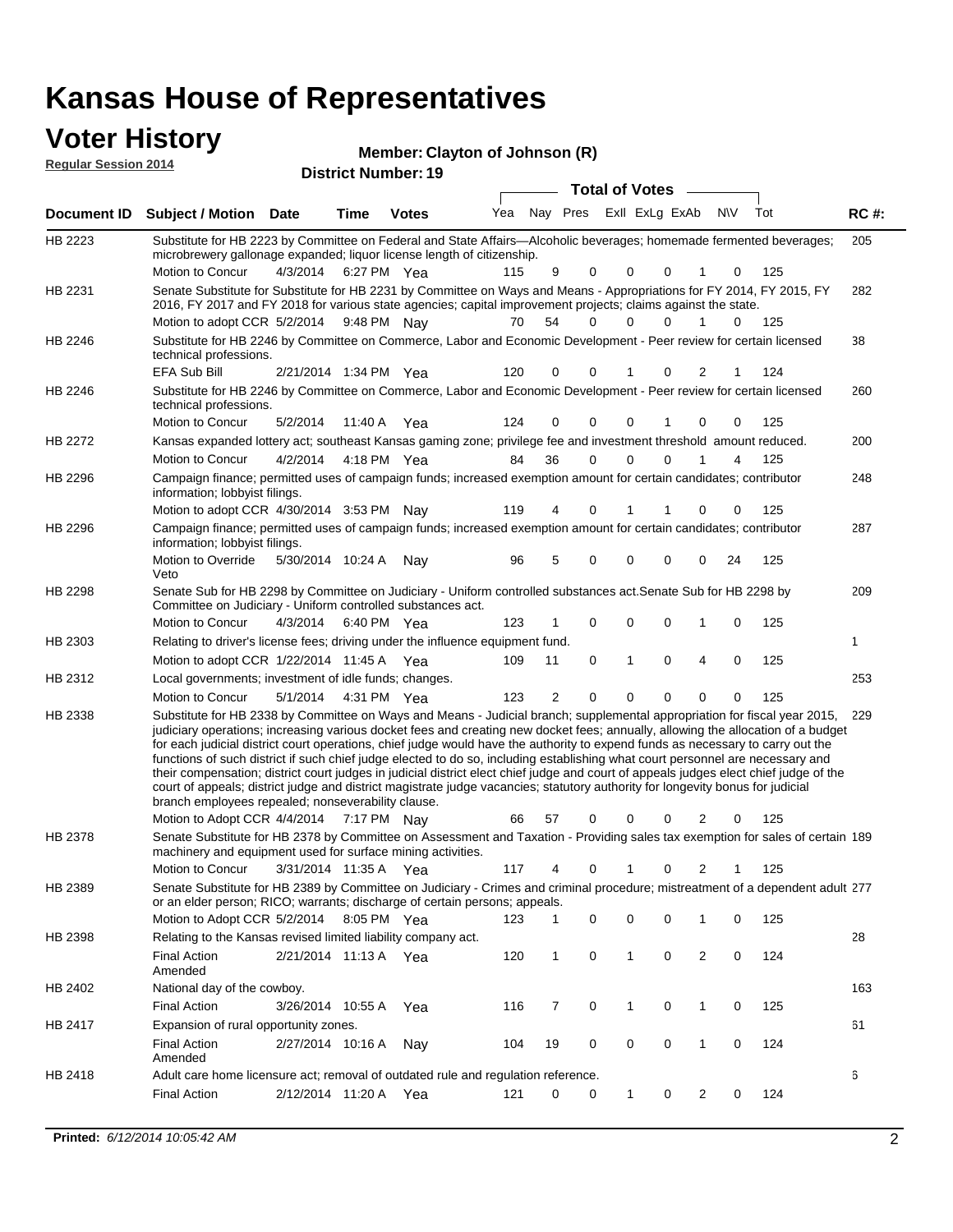| <b>Voter History</b><br><b>Regular Session 2014</b> |                            | Member: Clayton of Johnson (R) |
|-----------------------------------------------------|----------------------------|--------------------------------|
|                                                     | <b>District Number: 19</b> | <b>Total of Votes</b>          |

|         | Document ID Subject / Motion Date                                                                                                                                                                                                                                                                                                                                                                                                                                                                                                                                                                                                                                                                                                                                      |          | Time                  | <b>Votes</b> | Yea | Nay Pres     |             | Exll ExLg ExAb |             |                | <b>NV</b> | Tot | <b>RC#:</b> |
|---------|------------------------------------------------------------------------------------------------------------------------------------------------------------------------------------------------------------------------------------------------------------------------------------------------------------------------------------------------------------------------------------------------------------------------------------------------------------------------------------------------------------------------------------------------------------------------------------------------------------------------------------------------------------------------------------------------------------------------------------------------------------------------|----------|-----------------------|--------------|-----|--------------|-------------|----------------|-------------|----------------|-----------|-----|-------------|
| HB 2223 | Substitute for HB 2223 by Committee on Federal and State Affairs—Alcoholic beverages; homemade fermented beverages;<br>microbrewery gallonage expanded; liquor license length of citizenship.                                                                                                                                                                                                                                                                                                                                                                                                                                                                                                                                                                          |          |                       |              | 115 | 9            | 0           | $\mathbf 0$    | 0           |                |           | 125 | 205         |
|         | Motion to Concur                                                                                                                                                                                                                                                                                                                                                                                                                                                                                                                                                                                                                                                                                                                                                       |          | 4/3/2014 6:27 PM Yea  |              |     |              |             |                |             |                | 0         |     |             |
| HB 2231 | Senate Substitute for Substitute for HB 2231 by Committee on Ways and Means - Appropriations for FY 2014, FY 2015, FY<br>2016, FY 2017 and FY 2018 for various state agencies; capital improvement projects; claims against the state.                                                                                                                                                                                                                                                                                                                                                                                                                                                                                                                                 |          |                       |              | 70  | 54           | 0           | 0              | 0           |                | 0         | 125 | 282         |
|         | Motion to adopt CCR 5/2/2014                                                                                                                                                                                                                                                                                                                                                                                                                                                                                                                                                                                                                                                                                                                                           |          | 9:48 PM Nav           |              |     |              |             |                |             |                |           |     |             |
| HB 2246 | Substitute for HB 2246 by Committee on Commerce, Labor and Economic Development - Peer review for certain licensed<br>technical professions.                                                                                                                                                                                                                                                                                                                                                                                                                                                                                                                                                                                                                           |          |                       |              |     |              |             |                |             |                |           |     | 38          |
|         | EFA Sub Bill                                                                                                                                                                                                                                                                                                                                                                                                                                                                                                                                                                                                                                                                                                                                                           |          | 2/21/2014 1:34 PM Yea |              | 120 | 0            | 0           |                | 0           | 2              |           | 124 |             |
| HB 2246 | Substitute for HB 2246 by Committee on Commerce, Labor and Economic Development - Peer review for certain licensed<br>technical professions.                                                                                                                                                                                                                                                                                                                                                                                                                                                                                                                                                                                                                           |          |                       |              |     |              |             |                |             |                |           |     | 260         |
|         | Motion to Concur                                                                                                                                                                                                                                                                                                                                                                                                                                                                                                                                                                                                                                                                                                                                                       | 5/2/2014 | 11:40 A               | Yea          | 124 | 0            | $\Omega$    | $\mathbf 0$    |             | 0              | 0         | 125 |             |
| HB 2272 | Kansas expanded lottery act; southeast Kansas gaming zone; privilege fee and investment threshold amount reduced.                                                                                                                                                                                                                                                                                                                                                                                                                                                                                                                                                                                                                                                      |          |                       |              |     |              |             |                |             |                |           |     | 200         |
|         | Motion to Concur                                                                                                                                                                                                                                                                                                                                                                                                                                                                                                                                                                                                                                                                                                                                                       | 4/2/2014 |                       | 4:18 PM Yea  | 84  | 36           | $\Omega$    | $\mathbf 0$    | $\Omega$    | 1              | 4         | 125 |             |
| HB 2296 | Campaign finance; permitted uses of campaign funds; increased exemption amount for certain candidates; contributor<br>information; lobbyist filings.                                                                                                                                                                                                                                                                                                                                                                                                                                                                                                                                                                                                                   |          |                       |              |     |              |             |                |             |                |           |     | 248         |
|         | Motion to adopt CCR 4/30/2014 3:53 PM Nay                                                                                                                                                                                                                                                                                                                                                                                                                                                                                                                                                                                                                                                                                                                              |          |                       |              | 119 | 4            | 0           |                |             | 0              | 0         | 125 |             |
| HB 2296 | Campaign finance; permitted uses of campaign funds; increased exemption amount for certain candidates; contributor<br>information; lobbyist filings.                                                                                                                                                                                                                                                                                                                                                                                                                                                                                                                                                                                                                   |          |                       |              |     |              |             |                |             |                |           |     | 287         |
|         | Motion to Override<br>Veto                                                                                                                                                                                                                                                                                                                                                                                                                                                                                                                                                                                                                                                                                                                                             |          | 5/30/2014 10:24 A     | Nav          | 96  | 5            | 0           | $\mathbf 0$    | 0           | 0              | 24        | 125 |             |
| HB 2298 | Senate Sub for HB 2298 by Committee on Judiciary - Uniform controlled substances act. Senate Sub for HB 2298 by<br>Committee on Judiciary - Uniform controlled substances act.<br>Motion to Concur                                                                                                                                                                                                                                                                                                                                                                                                                                                                                                                                                                     | 4/3/2014 |                       |              | 123 | 1            | $\mathbf 0$ | $\mathbf 0$    | $\mathbf 0$ | 1              | 0         | 125 | 209         |
| HB 2303 | Relating to driver's license fees; driving under the influence equipment fund.                                                                                                                                                                                                                                                                                                                                                                                                                                                                                                                                                                                                                                                                                         |          |                       | 6:40 PM Yea  |     |              |             |                |             |                |           |     | 1           |
|         | Motion to adopt CCR 1/22/2014 11:45 A Yea                                                                                                                                                                                                                                                                                                                                                                                                                                                                                                                                                                                                                                                                                                                              |          |                       |              | 109 |              | 0           | 1              | $\mathbf 0$ | 4              | 0         | 125 |             |
| HB 2312 |                                                                                                                                                                                                                                                                                                                                                                                                                                                                                                                                                                                                                                                                                                                                                                        |          |                       |              |     | 11           |             |                |             |                |           |     | 253         |
|         | Local governments; investment of idle funds; changes.<br>Motion to Concur                                                                                                                                                                                                                                                                                                                                                                                                                                                                                                                                                                                                                                                                                              | 5/1/2014 |                       |              | 123 | 2            | $\mathbf 0$ | $\mathbf 0$    | 0           | 0              | 0         | 125 |             |
| HB 2338 | Substitute for HB 2338 by Committee on Ways and Means - Judicial branch; supplemental appropriation for fiscal year 2015,                                                                                                                                                                                                                                                                                                                                                                                                                                                                                                                                                                                                                                              |          |                       | 4:31 PM Yea  |     |              |             |                |             |                |           |     | 229         |
|         | judiciary operations; increasing various docket fees and creating new docket fees; annually, allowing the allocation of a budget<br>for each judicial district court operations, chief judge would have the authority to expend funds as necessary to carry out the<br>functions of such district if such chief judge elected to do so, including establishing what court personnel are necessary and<br>their compensation; district court judges in judicial district elect chief judge and court of appeals judges elect chief judge of the<br>court of appeals; district judge and district magistrate judge vacancies; statutory authority for longevity bonus for judicial<br>branch employees repealed; nonseverability clause.<br>Motion to Adopt CCR 4/4/2014 |          |                       | 7:17 PM Nav  | 66  | 57           | 0           | 0              | 0           | 2              | 0         | 125 |             |
| HB 2378 | Senate Substitute for HB 2378 by Committee on Assessment and Taxation - Providing sales tax exemption for sales of certain 189                                                                                                                                                                                                                                                                                                                                                                                                                                                                                                                                                                                                                                         |          |                       |              |     |              |             |                |             |                |           |     |             |
|         | machinery and equipment used for surface mining activities.                                                                                                                                                                                                                                                                                                                                                                                                                                                                                                                                                                                                                                                                                                            |          |                       |              |     |              |             |                |             |                |           |     |             |
|         | Motion to Concur                                                                                                                                                                                                                                                                                                                                                                                                                                                                                                                                                                                                                                                                                                                                                       |          | 3/31/2014 11:35 A     | Yea          | 117 | 4            | 0           |                | 0           | 2              |           | 125 |             |
| HB 2389 | Senate Substitute for HB 2389 by Committee on Judiciary - Crimes and criminal procedure; mistreatment of a dependent adult 277<br>or an elder person; RICO; warrants; discharge of certain persons; appeals.                                                                                                                                                                                                                                                                                                                                                                                                                                                                                                                                                           |          |                       |              |     |              |             |                |             |                |           |     |             |
|         | Motion to Adopt CCR 5/2/2014                                                                                                                                                                                                                                                                                                                                                                                                                                                                                                                                                                                                                                                                                                                                           |          |                       | 8:05 PM Yea  | 123 | 1            | 0           | 0              | 0           | 1              | 0         | 125 |             |
| HB 2398 | Relating to the Kansas revised limited liability company act.                                                                                                                                                                                                                                                                                                                                                                                                                                                                                                                                                                                                                                                                                                          |          |                       |              |     |              |             |                |             |                |           |     | 28          |
|         | <b>Final Action</b><br>Amended                                                                                                                                                                                                                                                                                                                                                                                                                                                                                                                                                                                                                                                                                                                                         |          | 2/21/2014 11:13 A Yea |              | 120 | $\mathbf{1}$ | $\mathbf 0$ | $\mathbf{1}$   | $\mathbf 0$ | $\overline{2}$ | 0         | 124 |             |
| HB 2402 | National day of the cowboy.                                                                                                                                                                                                                                                                                                                                                                                                                                                                                                                                                                                                                                                                                                                                            |          |                       |              |     |              |             |                |             |                |           |     | 163         |
|         | <b>Final Action</b>                                                                                                                                                                                                                                                                                                                                                                                                                                                                                                                                                                                                                                                                                                                                                    |          | 3/26/2014 10:55 A     | Yea          | 116 | 7            | $\mathbf 0$ | 1              | 0           | 1              | 0         | 125 |             |
| HB 2417 | Expansion of rural opportunity zones.                                                                                                                                                                                                                                                                                                                                                                                                                                                                                                                                                                                                                                                                                                                                  |          |                       |              |     |              |             |                |             |                |           |     | 61          |
|         | <b>Final Action</b><br>Amended                                                                                                                                                                                                                                                                                                                                                                                                                                                                                                                                                                                                                                                                                                                                         |          | 2/27/2014 10:16 A     | Nay          | 104 | 19           | 0           | 0              | 0           | 1              | 0         | 124 |             |
| HB 2418 | Adult care home licensure act; removal of outdated rule and regulation reference.                                                                                                                                                                                                                                                                                                                                                                                                                                                                                                                                                                                                                                                                                      |          |                       |              |     |              |             |                |             |                |           |     | 6           |
|         | <b>Final Action</b>                                                                                                                                                                                                                                                                                                                                                                                                                                                                                                                                                                                                                                                                                                                                                    |          | 2/12/2014 11:20 A Yea |              | 121 | 0            | $\mathbf 0$ | $\mathbf{1}$   | 0           | $\overline{2}$ | 0         | 124 |             |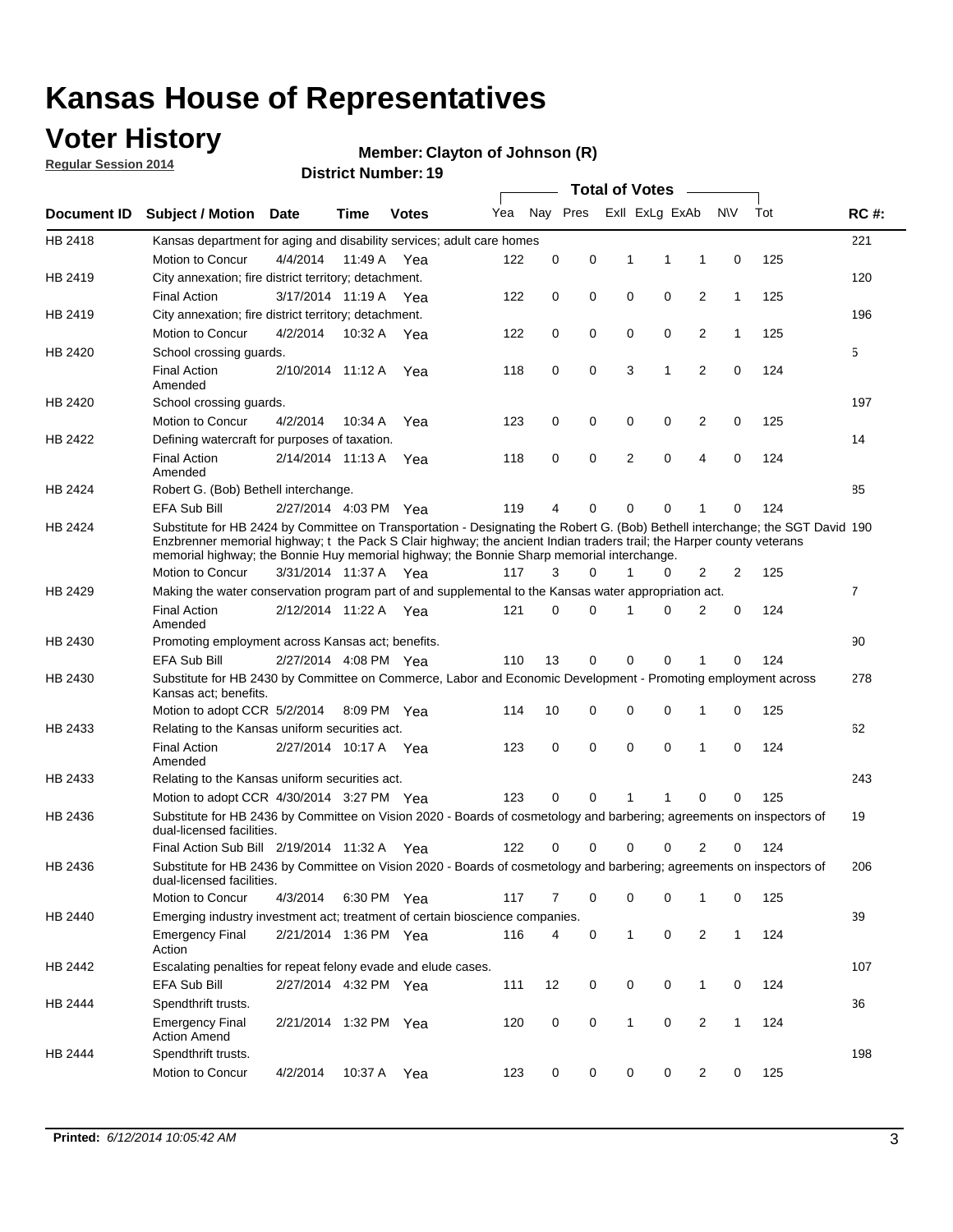### **Voter History**

**Regular Session 2014**

#### **Member: Clayton of Johnson (R)**

|                    |                                                                                                                                                                                                                                                                                                                                                      |                       |             | <b>DISTRICT MAILINGL'S</b> |     |          |          |   | <b>Total of Votes</b> | $\sim$         |              |     |                |
|--------------------|------------------------------------------------------------------------------------------------------------------------------------------------------------------------------------------------------------------------------------------------------------------------------------------------------------------------------------------------------|-----------------------|-------------|----------------------------|-----|----------|----------|---|-----------------------|----------------|--------------|-----|----------------|
| <b>Document ID</b> | <b>Subject / Motion</b>                                                                                                                                                                                                                                                                                                                              | Date                  | Time        | <b>Votes</b>               | Yea |          | Nay Pres |   | Exll ExLg ExAb        |                | <b>NV</b>    | Tot | <b>RC#:</b>    |
| HB 2418            | Kansas department for aging and disability services; adult care homes                                                                                                                                                                                                                                                                                |                       |             |                            |     |          |          |   |                       |                |              |     | 221            |
|                    | Motion to Concur                                                                                                                                                                                                                                                                                                                                     | 4/4/2014              | 11:49 A     | Yea                        | 122 | 0        | 0        | 1 | 1                     | 1              | 0            | 125 |                |
| HB 2419            | City annexation; fire district territory; detachment.                                                                                                                                                                                                                                                                                                |                       |             |                            |     |          |          |   |                       |                |              |     | 120            |
|                    | <b>Final Action</b>                                                                                                                                                                                                                                                                                                                                  | 3/17/2014 11:19 A Yea |             |                            | 122 | 0        | 0        | 0 | 0                     | 2              | $\mathbf{1}$ | 125 |                |
| HB 2419            | City annexation; fire district territory; detachment.                                                                                                                                                                                                                                                                                                |                       |             |                            |     |          |          |   |                       |                |              |     | 196            |
|                    | Motion to Concur                                                                                                                                                                                                                                                                                                                                     | 4/2/2014              | 10:32 A Yea |                            | 122 | 0        | 0        | 0 | 0                     | 2              | $\mathbf{1}$ | 125 |                |
| HB 2420            | School crossing guards.                                                                                                                                                                                                                                                                                                                              |                       |             |                            |     |          |          |   |                       |                |              |     | 5              |
|                    | <b>Final Action</b><br>Amended                                                                                                                                                                                                                                                                                                                       | 2/10/2014 11:12 A     |             | Yea                        | 118 | 0        | 0        | 3 | 1                     | $\overline{2}$ | 0            | 124 |                |
| HB 2420            | School crossing guards.                                                                                                                                                                                                                                                                                                                              |                       |             |                            |     |          |          |   |                       |                |              |     | 197            |
|                    | Motion to Concur                                                                                                                                                                                                                                                                                                                                     | 4/2/2014              | 10:34 A     | Yea                        | 123 | 0        | 0        | 0 | 0                     | 2              | 0            | 125 |                |
| HB 2422            | Defining watercraft for purposes of taxation.                                                                                                                                                                                                                                                                                                        |                       |             |                            |     |          |          |   |                       |                |              |     | 14             |
|                    | <b>Final Action</b><br>Amended                                                                                                                                                                                                                                                                                                                       | 2/14/2014 11:13 A     |             | Yea                        | 118 | 0        | 0        | 2 | $\mathbf 0$           | 4              | 0            | 124 |                |
| HB 2424            | Robert G. (Bob) Bethell interchange.                                                                                                                                                                                                                                                                                                                 |                       |             |                            |     |          |          |   |                       |                |              |     | 85             |
|                    | <b>EFA Sub Bill</b>                                                                                                                                                                                                                                                                                                                                  | 2/27/2014 4:03 PM Yea |             |                            | 119 | 4        | 0        | 0 | $\mathbf 0$           | 1              | 0            | 124 |                |
| HB 2424            | Substitute for HB 2424 by Committee on Transportation - Designating the Robert G. (Bob) Bethell interchange; the SGT David 190<br>Enzbrenner memorial highway; t the Pack S Clair highway; the ancient Indian traders trail; the Harper county veterans<br>memorial highway; the Bonnie Huy memorial highway; the Bonnie Sharp memorial interchange. |                       |             |                            |     |          |          |   |                       |                |              |     |                |
|                    | Motion to Concur                                                                                                                                                                                                                                                                                                                                     | 3/31/2014 11:37 A Yea |             |                            | 117 | 3        | $\Omega$ | 1 | 0                     | 2              | 2            | 125 |                |
| HB 2429            | Making the water conservation program part of and supplemental to the Kansas water appropriation act.                                                                                                                                                                                                                                                |                       |             |                            |     |          |          |   |                       |                |              |     | $\overline{7}$ |
|                    | <b>Final Action</b><br>Amended                                                                                                                                                                                                                                                                                                                       | 2/12/2014 11:22 A Yea |             |                            | 121 | $\Omega$ | 0        | 1 | $\Omega$              | 2              | 0            | 124 |                |
| HB 2430            | Promoting employment across Kansas act; benefits.                                                                                                                                                                                                                                                                                                    |                       |             |                            |     |          |          |   |                       |                |              |     | 90             |
|                    | <b>EFA Sub Bill</b>                                                                                                                                                                                                                                                                                                                                  | 2/27/2014 4:08 PM Yea |             |                            | 110 | 13       | 0        | 0 | 0                     | 1              | 0            | 124 |                |
| HB 2430            | Substitute for HB 2430 by Committee on Commerce, Labor and Economic Development - Promoting employment across<br>Kansas act; benefits.                                                                                                                                                                                                               |                       |             |                            |     |          |          |   |                       |                |              |     | 278            |
|                    | Motion to adopt CCR 5/2/2014                                                                                                                                                                                                                                                                                                                         |                       | 8:09 PM Yea |                            | 114 | 10       | 0        | 0 | 0                     | 1              | 0            | 125 |                |
| HB 2433            | Relating to the Kansas uniform securities act.                                                                                                                                                                                                                                                                                                       |                       |             |                            |     |          |          |   |                       |                |              |     | 62             |
|                    | <b>Final Action</b><br>Amended                                                                                                                                                                                                                                                                                                                       | 2/27/2014 10:17 A Yea |             |                            | 123 | 0        | 0        | 0 | $\mathbf 0$           | 1              | 0            | 124 |                |
| HB 2433            | Relating to the Kansas uniform securities act.                                                                                                                                                                                                                                                                                                       |                       |             |                            |     |          |          |   |                       |                |              |     | 243            |
|                    | Motion to adopt CCR 4/30/2014 3:27 PM Yea                                                                                                                                                                                                                                                                                                            |                       |             |                            | 123 | $\Omega$ | 0        | 1 | 1                     | 0              | 0            | 125 |                |
| HB 2436            | Substitute for HB 2436 by Committee on Vision 2020 - Boards of cosmetology and barbering; agreements on inspectors of<br>dual-licensed facilities.                                                                                                                                                                                                   |                       |             |                            |     |          |          |   |                       |                |              |     | 19             |
|                    | Final Action Sub Bill 2/19/2014 11:32 A                                                                                                                                                                                                                                                                                                              |                       |             | Yea                        | 122 | O        | 0        | 0 | 0                     | 2              | 0            | 124 |                |
| HB 2436            | Substitute for HB 2436 by Committee on Vision 2020 - Boards of cosmetology and barbering; agreements on inspectors of<br>dual-licensed facilities.                                                                                                                                                                                                   |                       |             |                            |     |          |          |   |                       |                |              |     | 206            |
|                    | Motion to Concur                                                                                                                                                                                                                                                                                                                                     | 4/3/2014              | 6:30 PM Yea |                            | 117 | 7        | 0        | 0 | 0                     | 1              | 0            | 125 |                |
| HB 2440            | Emerging industry investment act; treatment of certain bioscience companies.                                                                                                                                                                                                                                                                         |                       |             |                            |     |          |          |   |                       |                |              |     | 39             |
|                    | <b>Emergency Final</b><br>Action                                                                                                                                                                                                                                                                                                                     | 2/21/2014 1:36 PM Yea |             |                            | 116 | 4        | 0        | 1 | 0                     | 2              | $\mathbf{1}$ | 124 |                |
| HB 2442            | Escalating penalties for repeat felony evade and elude cases.                                                                                                                                                                                                                                                                                        |                       |             |                            |     |          |          |   |                       |                |              |     | 107            |
|                    | EFA Sub Bill                                                                                                                                                                                                                                                                                                                                         | 2/27/2014 4:32 PM Yea |             |                            | 111 | 12       | 0        | 0 | 0                     | $\mathbf{1}$   | 0            | 124 |                |
| HB 2444            | Spendthrift trusts.                                                                                                                                                                                                                                                                                                                                  |                       |             |                            |     |          |          |   |                       |                |              |     | 36             |
|                    | <b>Emergency Final</b><br><b>Action Amend</b>                                                                                                                                                                                                                                                                                                        | 2/21/2014 1:32 PM Yea |             |                            | 120 | 0        | 0        | 1 | 0                     | $\overline{2}$ | $\mathbf{1}$ | 124 |                |
| HB 2444            | Spendthrift trusts.<br>Motion to Concur                                                                                                                                                                                                                                                                                                              | 4/2/2014              | 10:37 A Yea |                            | 123 | 0        | 0        | 0 | 0                     | 2              | 0            | 125 | 198            |
|                    |                                                                                                                                                                                                                                                                                                                                                      |                       |             |                            |     |          |          |   |                       |                |              |     |                |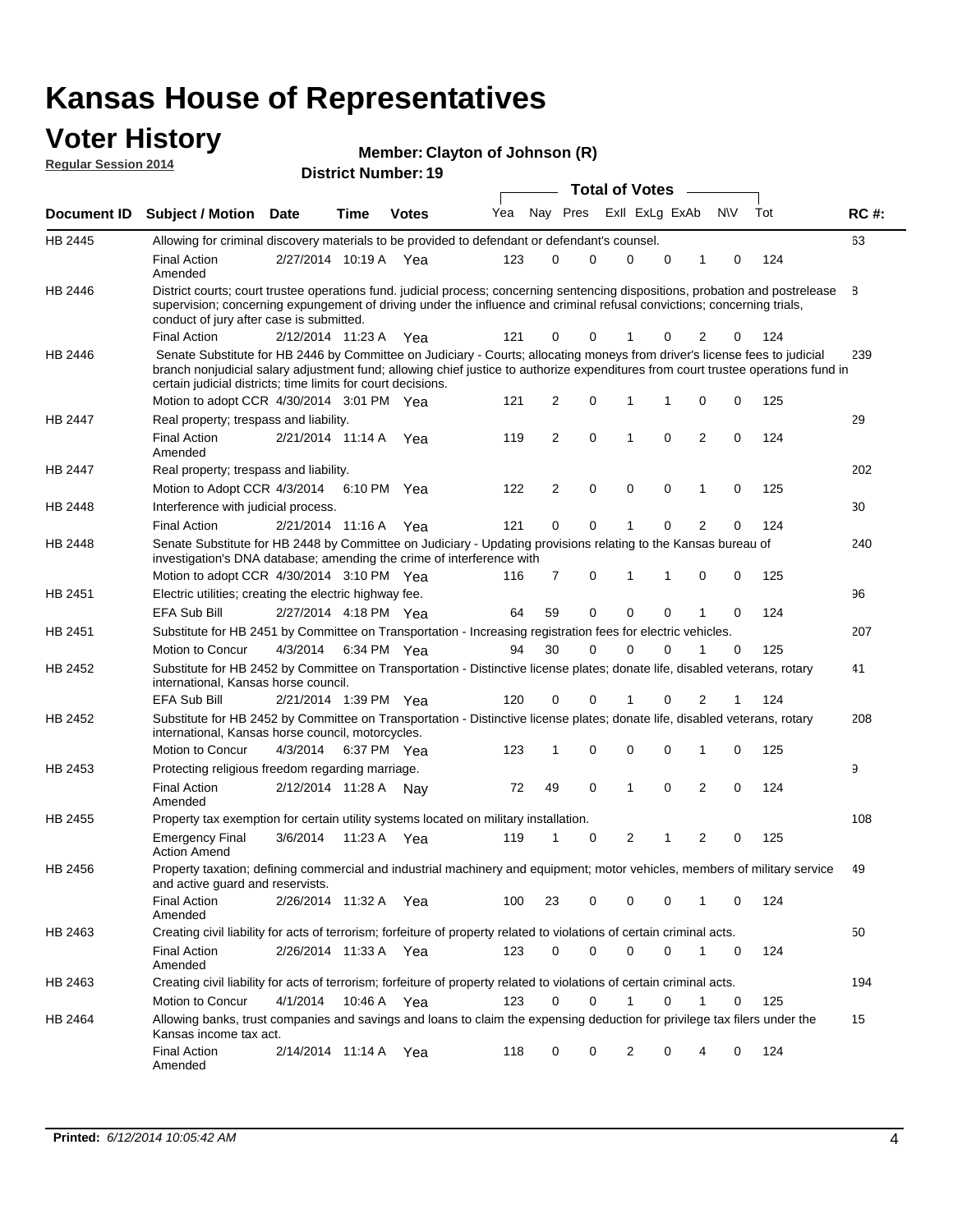### **Voter History Regular Session 2014**

| Member: Clayton of Johnson (R) |  |  |
|--------------------------------|--|--|
|--------------------------------|--|--|

|         |                                                                                                                                                                                                                                                                                                                                 |                       |      |              |     |          |             | <b>Total of Votes</b> |                |   |                |          |     |             |
|---------|---------------------------------------------------------------------------------------------------------------------------------------------------------------------------------------------------------------------------------------------------------------------------------------------------------------------------------|-----------------------|------|--------------|-----|----------|-------------|-----------------------|----------------|---|----------------|----------|-----|-------------|
|         | Document ID Subject / Motion Date                                                                                                                                                                                                                                                                                               |                       | Time | <b>Votes</b> | Yea | Nay Pres |             |                       | Exll ExLg ExAb |   |                | N\V      | Tot | <b>RC#:</b> |
| HB 2445 | Allowing for criminal discovery materials to be provided to defendant or defendant's counsel.                                                                                                                                                                                                                                   |                       |      |              |     |          |             |                       |                |   |                |          |     | 63          |
|         | <b>Final Action</b><br>Amended                                                                                                                                                                                                                                                                                                  | 2/27/2014 10:19 A     |      | Yea          | 123 | 0        | 0           | $\Omega$              |                | 0 | 1              | 0        | 124 |             |
| HB 2446 | District courts; court trustee operations fund. judicial process; concerning sentencing dispositions, probation and postrelease<br>supervision; concerning expungement of driving under the influence and criminal refusal convictions; concerning trials,<br>conduct of jury after case is submitted.                          |                       |      |              |     |          |             |                       |                |   |                |          |     | 8           |
|         | <b>Final Action</b>                                                                                                                                                                                                                                                                                                             | 2/12/2014 11:23 A     |      | Yea          | 121 | 0        | 0           | 1                     |                | 0 | 2              | 0        | 124 |             |
| HB 2446 | Senate Substitute for HB 2446 by Committee on Judiciary - Courts; allocating moneys from driver's license fees to judicial<br>branch nonjudicial salary adjustment fund; allowing chief justice to authorize expenditures from court trustee operations fund in<br>certain judicial districts; time limits for court decisions. |                       |      |              |     |          |             |                       |                |   |                |          |     | 239         |
|         | Motion to adopt CCR 4/30/2014 3:01 PM Yea                                                                                                                                                                                                                                                                                       |                       |      |              | 121 | 2        | 0           | 1                     |                | 1 | 0              | 0        | 125 |             |
| HB 2447 | Real property; trespass and liability.                                                                                                                                                                                                                                                                                          |                       |      |              |     |          |             |                       |                |   |                |          |     | 29          |
|         | <b>Final Action</b><br>Amended                                                                                                                                                                                                                                                                                                  | 2/21/2014 11:14 A Yea |      |              | 119 | 2        | 0           | 1                     |                | 0 | $\overline{2}$ | 0        | 124 |             |
| HB 2447 | Real property; trespass and liability.                                                                                                                                                                                                                                                                                          |                       |      |              |     |          |             |                       |                |   |                |          |     | 202         |
|         | Motion to Adopt CCR 4/3/2014                                                                                                                                                                                                                                                                                                    |                       |      | 6:10 PM Yea  | 122 | 2        | 0           | $\mathbf 0$           |                | 0 | 1              | 0        | 125 |             |
| HB 2448 | Interference with judicial process.                                                                                                                                                                                                                                                                                             |                       |      |              |     |          |             |                       |                |   |                |          |     | 30          |
|         | <b>Final Action</b>                                                                                                                                                                                                                                                                                                             | 2/21/2014 11:16 A Yea |      |              | 121 | 0        | 0           | 1                     |                | 0 | $\overline{2}$ | 0        | 124 |             |
| HB 2448 | Senate Substitute for HB 2448 by Committee on Judiciary - Updating provisions relating to the Kansas bureau of<br>investigation's DNA database; amending the crime of interference with                                                                                                                                         |                       |      |              |     |          |             |                       |                |   |                |          |     | 240         |
|         | Motion to adopt CCR 4/30/2014 3:10 PM Yea                                                                                                                                                                                                                                                                                       |                       |      |              | 116 | 7        | 0           | 1                     |                | 1 | 0              | 0        | 125 |             |
| HB 2451 | Electric utilities; creating the electric highway fee.                                                                                                                                                                                                                                                                          |                       |      |              |     |          |             |                       |                |   |                |          |     | 96          |
|         | <b>EFA Sub Bill</b>                                                                                                                                                                                                                                                                                                             | 2/27/2014 4:18 PM Yea |      |              | 64  | 59       | 0           | 0                     |                | 0 | 1              | 0        | 124 |             |
| HB 2451 | Substitute for HB 2451 by Committee on Transportation - Increasing registration fees for electric vehicles.                                                                                                                                                                                                                     |                       |      |              |     |          |             |                       |                |   |                |          |     | 207         |
|         | Motion to Concur                                                                                                                                                                                                                                                                                                                | 4/3/2014              |      | 6:34 PM Yea  | 94  | 30       | 0           | $\Omega$              |                | 0 |                | 0        | 125 |             |
| HB 2452 | Substitute for HB 2452 by Committee on Transportation - Distinctive license plates; donate life, disabled veterans, rotary<br>international, Kansas horse council.                                                                                                                                                              |                       |      |              |     |          |             |                       |                |   |                |          |     | 41          |
|         | EFA Sub Bill                                                                                                                                                                                                                                                                                                                    | 2/21/2014 1:39 PM Yea |      |              | 120 | 0        | 0           |                       |                | 0 | 2              |          | 124 |             |
| HB 2452 | Substitute for HB 2452 by Committee on Transportation - Distinctive license plates; donate life, disabled veterans, rotary<br>international, Kansas horse council, motorcycles.                                                                                                                                                 |                       |      |              |     |          |             |                       |                |   |                |          |     | 208         |
|         | Motion to Concur                                                                                                                                                                                                                                                                                                                | 4/3/2014              |      | 6:37 PM Yea  | 123 | 1        | 0           | $\mathbf 0$           |                | 0 | 1              | 0        | 125 |             |
| HB 2453 | Protecting religious freedom regarding marriage.                                                                                                                                                                                                                                                                                |                       |      |              |     |          |             |                       |                |   |                |          |     | 9           |
|         | <b>Final Action</b><br>Amended                                                                                                                                                                                                                                                                                                  | 2/12/2014 11:28 A Nay |      |              | 72  | 49       | $\mathbf 0$ | 1                     |                | 0 | $\overline{2}$ | $\Omega$ | 124 |             |
| HB 2455 | Property tax exemption for certain utility systems located on military installation.                                                                                                                                                                                                                                            |                       |      |              |     |          |             |                       |                |   |                |          |     | 108         |
|         | <b>Emergency Final</b><br><b>Action Amend</b>                                                                                                                                                                                                                                                                                   | 3/6/2014              |      | 11:23 A Yea  | 119 | 1        | 0           | 2                     |                | 1 | 2              | 0        | 125 |             |
| HB 2456 | Property taxation; defining commercial and industrial machinery and equipment; motor vehicles, members of military service<br>and active guard and reservists.                                                                                                                                                                  |                       |      |              |     |          |             |                       |                |   |                |          |     | 49          |
|         | <b>Final Action</b><br>Amended                                                                                                                                                                                                                                                                                                  | 2/26/2014 11:32 A Yea |      |              | 100 | 23       | 0           | 0                     |                | 0 | 1              | 0        | 124 |             |
| HB 2463 | Creating civil liability for acts of terrorism; forfeiture of property related to violations of certain criminal acts.                                                                                                                                                                                                          |                       |      |              |     |          |             |                       |                |   |                |          |     | 50          |
|         | <b>Final Action</b><br>Amended                                                                                                                                                                                                                                                                                                  | 2/26/2014 11:33 A Yea |      |              | 123 | 0        | 0           | 0                     |                | 0 | $\mathbf{1}$   | 0        | 124 |             |
| HB 2463 | Creating civil liability for acts of terrorism; forfeiture of property related to violations of certain criminal acts.                                                                                                                                                                                                          |                       |      |              |     |          |             |                       |                |   |                |          |     | 194         |
|         | Motion to Concur                                                                                                                                                                                                                                                                                                                | 4/1/2014              |      | 10:46 A Yea  | 123 | 0        | 0           | $\mathbf{1}$          |                | 0 | 1              | 0        | 125 |             |
| HB 2464 | Allowing banks, trust companies and savings and loans to claim the expensing deduction for privilege tax filers under the<br>Kansas income tax act.                                                                                                                                                                             |                       |      |              |     |          |             |                       |                |   |                |          |     | 15          |
|         | Final Action<br>Amended                                                                                                                                                                                                                                                                                                         | 2/14/2014 11:14 A Yea |      |              | 118 | 0        | 0           | 2                     |                | 0 | 4              | 0        | 124 |             |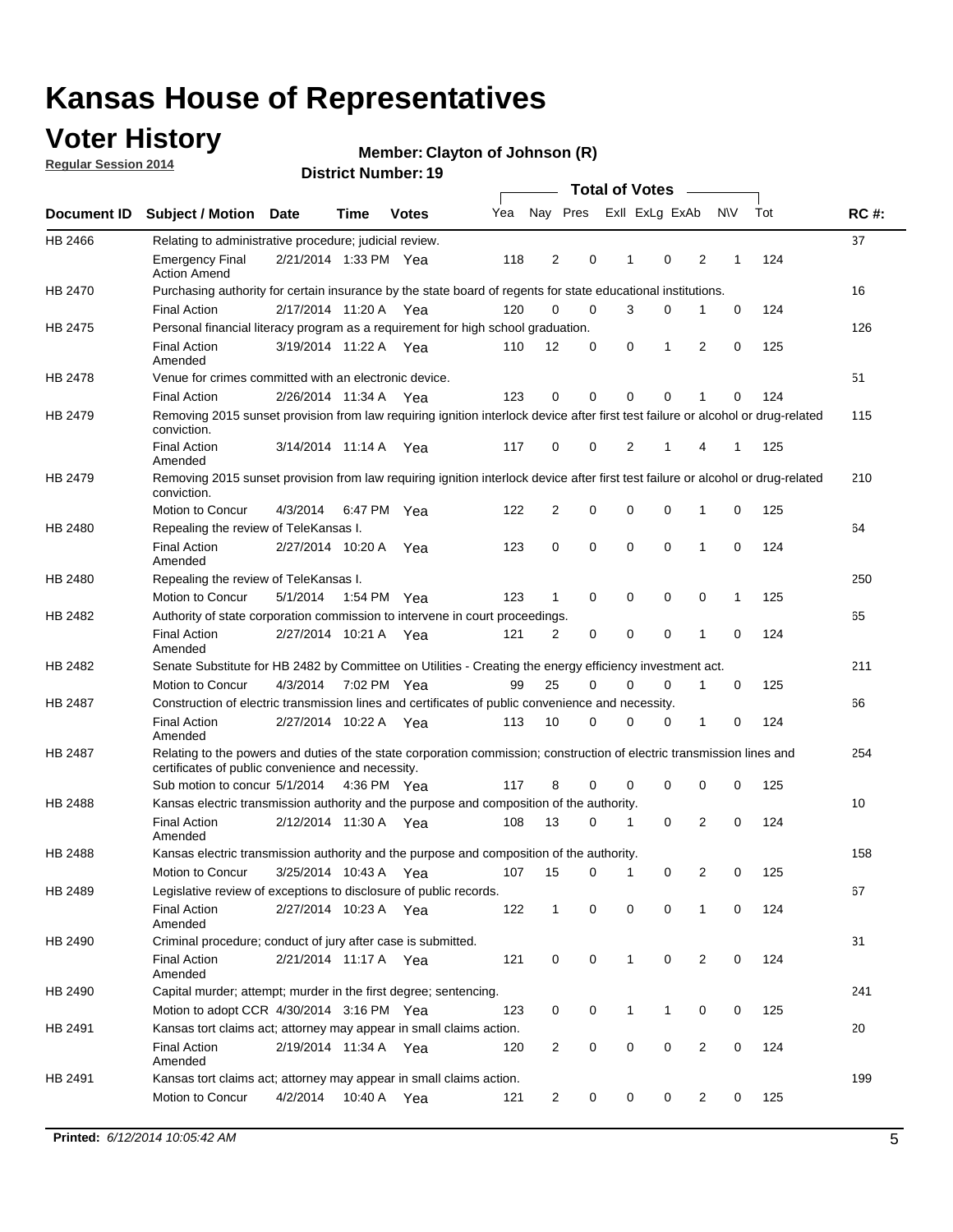### **Voter History**

**Regular Session 2014**

#### **Member: Clayton of Johnson (R)**

|                    |                                                                                                                                                                             |                       |             |              |     |                |                         | <b>Total of Votes</b> |              |             |                |             |     |             |
|--------------------|-----------------------------------------------------------------------------------------------------------------------------------------------------------------------------|-----------------------|-------------|--------------|-----|----------------|-------------------------|-----------------------|--------------|-------------|----------------|-------------|-----|-------------|
| <b>Document ID</b> | <b>Subject / Motion Date</b>                                                                                                                                                |                       | Time        | <b>Votes</b> | Yea |                | Nay Pres ExII ExLg ExAb |                       |              |             |                | N\V         | Tot | <b>RC#:</b> |
| HB 2466            | Relating to administrative procedure; judicial review.                                                                                                                      |                       |             |              |     |                |                         |                       |              |             |                |             |     | 37          |
|                    | <b>Emergency Final</b><br><b>Action Amend</b>                                                                                                                               | 2/21/2014 1:33 PM Yea |             |              | 118 | 2              |                         | 0                     | 1            | $\mathbf 0$ | 2              | 1           | 124 |             |
| <b>HB 2470</b>     | Purchasing authority for certain insurance by the state board of regents for state educational institutions.                                                                |                       |             |              |     |                |                         |                       |              |             |                |             |     | 16          |
|                    | <b>Final Action</b>                                                                                                                                                         | 2/17/2014 11:20 A Yea |             |              | 120 | 0              |                         | 0                     | 3            | 0           | 1              | 0           | 124 |             |
| HB 2475            | Personal financial literacy program as a requirement for high school graduation.                                                                                            |                       |             |              |     |                |                         |                       |              |             |                |             |     | 126         |
|                    | <b>Final Action</b><br>Amended                                                                                                                                              | 3/19/2014 11:22 A Yea |             |              | 110 | 12             |                         | 0                     | 0            | 1           | 2              | 0           | 125 |             |
| HB 2478            | Venue for crimes committed with an electronic device.                                                                                                                       |                       |             |              |     |                |                         |                       |              |             |                |             |     | 51          |
|                    | <b>Final Action</b>                                                                                                                                                         | 2/26/2014 11:34 A     |             | Yea          | 123 | 0              |                         | 0                     | $\Omega$     | $\mathbf 0$ | 1              | $\mathbf 0$ | 124 |             |
| HB 2479            | Removing 2015 sunset provision from law requiring ignition interlock device after first test failure or alcohol or drug-related<br>conviction.                              |                       |             |              |     |                |                         |                       |              |             |                |             |     | 115         |
|                    | <b>Final Action</b><br>Amended                                                                                                                                              | 3/14/2014 11:14 A     |             | Yea          | 117 | 0              |                         | 0                     | 2            | 1           | 4              | 1           | 125 |             |
| HB 2479            | Removing 2015 sunset provision from law requiring ignition interlock device after first test failure or alcohol or drug-related<br>conviction.                              |                       |             |              |     |                |                         |                       |              |             |                |             |     | 210         |
|                    | Motion to Concur                                                                                                                                                            | 4/3/2014              |             | 6:47 PM Yea  | 122 | $\overline{2}$ |                         | 0                     | $\mathbf 0$  | 0           | 1              | 0           | 125 |             |
| HB 2480            | Repealing the review of TeleKansas I.                                                                                                                                       |                       |             |              |     |                |                         |                       |              |             |                |             |     | 64          |
|                    | <b>Final Action</b><br>Amended                                                                                                                                              | 2/27/2014 10:20 A Yea |             |              | 123 | 0              |                         | 0                     | $\mathbf 0$  | $\mathbf 0$ | 1              | 0           | 124 |             |
| HB 2480            | Repealing the review of TeleKansas I.                                                                                                                                       |                       |             |              |     |                |                         |                       |              |             |                |             |     | 250         |
|                    | Motion to Concur                                                                                                                                                            | 5/1/2014              | 1:54 PM Yea |              | 123 | $\mathbf{1}$   |                         | 0                     | 0            | 0           | 0              | 1           | 125 |             |
| HB 2482            | Authority of state corporation commission to intervene in court proceedings.                                                                                                |                       |             |              |     |                |                         |                       |              |             |                |             |     | 65          |
|                    | <b>Final Action</b><br>Amended                                                                                                                                              | 2/27/2014 10:21 A     |             | Yea          | 121 | 2              |                         | 0                     | 0            | $\mathbf 0$ | 1              | 0           | 124 |             |
| HB 2482            | Senate Substitute for HB 2482 by Committee on Utilities - Creating the energy efficiency investment act.                                                                    |                       |             |              |     |                |                         |                       |              |             |                |             |     | 211         |
|                    | Motion to Concur                                                                                                                                                            | 4/3/2014 7:02 PM Yea  |             |              | 99  | 25             |                         | $\Omega$              | 0            | $\mathbf 0$ | 1              | 0           | 125 |             |
| HB 2487            | Construction of electric transmission lines and certificates of public convenience and necessity.                                                                           |                       |             |              |     |                |                         |                       |              |             |                |             |     | 66          |
|                    | <b>Final Action</b><br>Amended                                                                                                                                              | 2/27/2014 10:22 A     |             | Yea          | 113 | 10             |                         | 0                     | 0            | 0           | 1              | 0           | 124 |             |
| HB 2487            | Relating to the powers and duties of the state corporation commission; construction of electric transmission lines and<br>certificates of public convenience and necessity. |                       |             |              |     |                |                         |                       |              |             |                |             |     | 254         |
|                    | Sub motion to concur 5/1/2014                                                                                                                                               |                       | 4:36 PM Yea |              | 117 | 8              |                         | 0                     | 0            | $\mathbf 0$ | $\mathbf 0$    | 0           | 125 |             |
| HB 2488            | Kansas electric transmission authority and the purpose and composition of the authority.                                                                                    |                       |             |              |     |                |                         |                       |              |             |                |             |     | 10          |
|                    | <b>Final Action</b><br>Amended                                                                                                                                              | 2/12/2014 11:30 A Yea |             |              | 108 | 13             |                         | 0                     | 1            | 0           | 2              | 0           | 124 |             |
| <b>HB 2488</b>     | Kansas electric transmission authority and the purpose and composition of the authority.                                                                                    |                       |             |              |     |                |                         |                       |              |             |                |             |     | 158         |
|                    | Motion to Concur                                                                                                                                                            | 3/25/2014 10:43 A     |             | Yea          | 107 | 15             |                         | 0                     | 1            | 0           | 2              | 0           | 125 |             |
| HB 2489            | Legislative review of exceptions to disclosure of public records.                                                                                                           |                       |             |              |     |                |                         |                       |              |             |                |             |     | 67          |
|                    | <b>Final Action</b><br>Amended                                                                                                                                              | 2/27/2014 10:23 A Yea |             |              | 122 | $\mathbf{1}$   |                         | 0                     | 0            | 0           | 1              | 0           | 124 |             |
| HB 2490            | Criminal procedure; conduct of jury after case is submitted.                                                                                                                |                       |             |              |     |                |                         |                       |              |             |                |             |     | 31          |
|                    | <b>Final Action</b><br>Amended                                                                                                                                              | 2/21/2014 11:17 A Yea |             |              | 121 | 0              |                         | 0                     | $\mathbf{1}$ | $\mathbf 0$ | $\overline{2}$ | $\mathbf 0$ | 124 |             |
| HB 2490            | Capital murder; attempt; murder in the first degree; sentencing.                                                                                                            |                       |             |              |     |                |                         |                       |              |             |                |             |     | 241         |
|                    | Motion to adopt CCR 4/30/2014 3:16 PM Yea                                                                                                                                   |                       |             |              | 123 | 0              |                         | 0                     | $\mathbf{1}$ | 1           | 0              | 0           | 125 |             |
| HB 2491            | Kansas tort claims act; attorney may appear in small claims action.                                                                                                         |                       |             |              |     |                |                         |                       |              |             |                |             |     | 20          |
|                    | <b>Final Action</b><br>Amended                                                                                                                                              | 2/19/2014 11:34 A Yea |             |              | 120 | $\overline{c}$ |                         | 0                     | 0            | 0           | $\overline{2}$ | 0           | 124 |             |
| HB 2491            | Kansas tort claims act; attorney may appear in small claims action.                                                                                                         |                       |             |              |     |                |                         |                       |              |             |                |             |     | 199         |
|                    | Motion to Concur                                                                                                                                                            | 4/2/2014              |             | 10:40 A Yea  | 121 | $\overline{2}$ |                         | $\mathbf 0$           | 0            | 0           | $\overline{2}$ | 0           | 125 |             |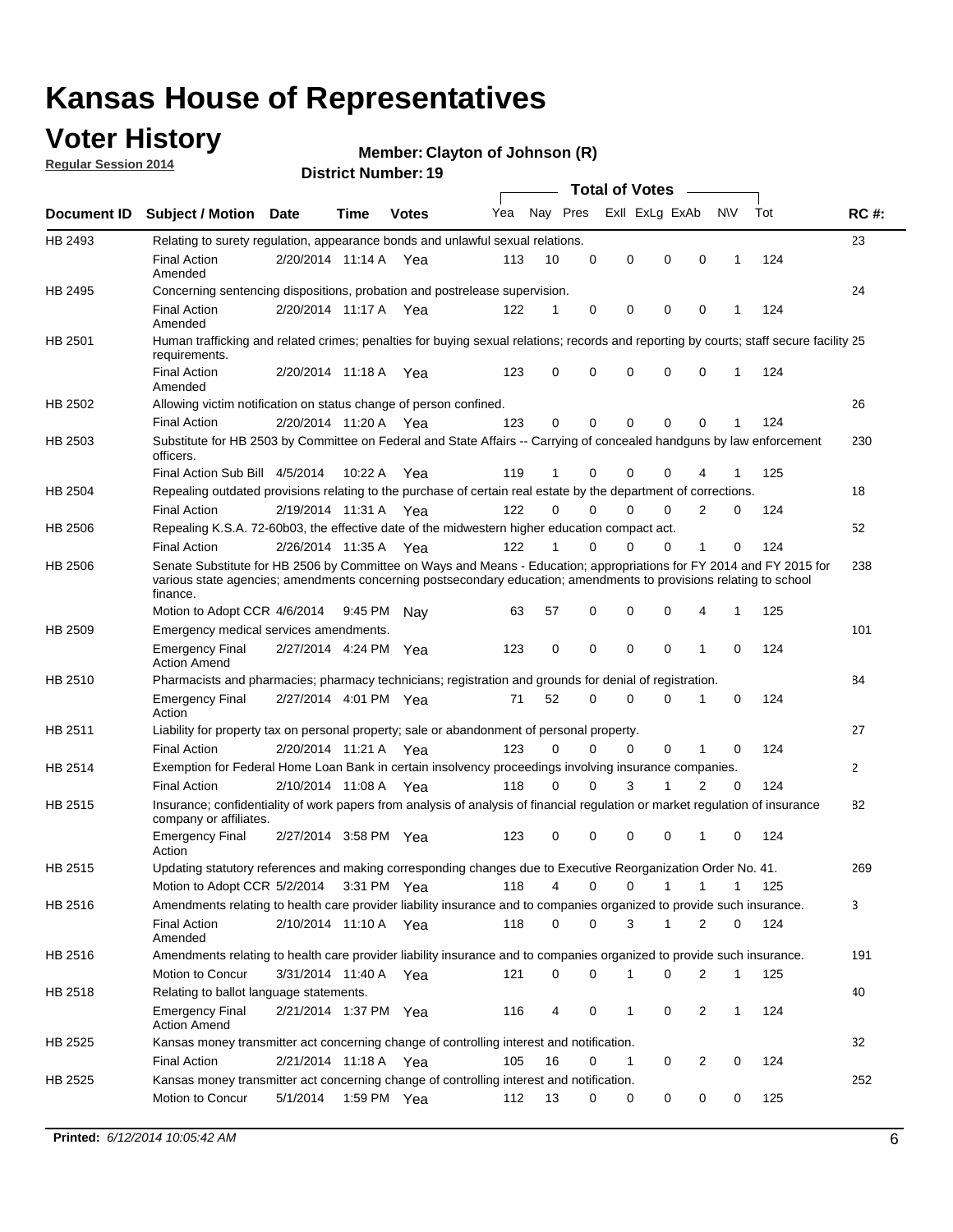### **Voter History**

**Regular Session 2014**

#### **Member: Clayton of Johnson (R)**

|                |                                                                                                                                                                                                                                                        |                       |             | <b>DISTRICT MAILINGL'S</b> |     |          |             | Total of Votes –        |                |             |     |              |
|----------------|--------------------------------------------------------------------------------------------------------------------------------------------------------------------------------------------------------------------------------------------------------|-----------------------|-------------|----------------------------|-----|----------|-------------|-------------------------|----------------|-------------|-----|--------------|
| Document ID    | <b>Subject / Motion Date</b>                                                                                                                                                                                                                           |                       | Time        | <b>Votes</b>               | Yea | Nay Pres |             | Exll ExLg ExAb          |                | N\V         | Tot | <b>RC#:</b>  |
| HB 2493        | Relating to surety regulation, appearance bonds and unlawful sexual relations.                                                                                                                                                                         |                       |             |                            |     |          |             |                         |                |             |     | 23           |
|                | <b>Final Action</b><br>Amended                                                                                                                                                                                                                         | 2/20/2014 11:14 A Yea |             |                            | 113 | 10       | $\mathbf 0$ | 0<br>$\mathbf 0$        | $\mathbf 0$    | 1           | 124 |              |
| HB 2495        | Concerning sentencing dispositions, probation and postrelease supervision.                                                                                                                                                                             |                       |             |                            |     |          |             |                         |                |             |     | 24           |
|                | <b>Final Action</b><br>Amended                                                                                                                                                                                                                         | 2/20/2014 11:17 A     |             | Yea                        | 122 | 1        | $\mathbf 0$ | 0<br>0                  | 0              | 1           | 124 |              |
| HB 2501        | Human trafficking and related crimes; penalties for buying sexual relations; records and reporting by courts; staff secure facility 25<br>requirements.                                                                                                |                       |             |                            |     |          |             |                         |                |             |     |              |
|                | <b>Final Action</b><br>Amended                                                                                                                                                                                                                         | 2/20/2014 11:18 A Yea |             |                            | 123 | 0        | 0           | 0<br>$\Omega$           | 0              | 1           | 124 |              |
| HB 2502        | Allowing victim notification on status change of person confined.                                                                                                                                                                                      |                       |             |                            |     |          |             |                         |                |             |     | 26           |
|                | <b>Final Action</b>                                                                                                                                                                                                                                    | 2/20/2014 11:20 A Yea |             |                            | 123 | 0        | 0           | 0<br>$\mathbf 0$        | 0              |             | 124 |              |
| HB 2503        | Substitute for HB 2503 by Committee on Federal and State Affairs -- Carrying of concealed handguns by law enforcement<br>officers.                                                                                                                     |                       |             |                            |     |          |             |                         |                |             |     | 230          |
|                | Final Action Sub Bill 4/5/2014                                                                                                                                                                                                                         |                       | 10:22 A     | Yea                        | 119 | 1        | 0           | 0<br>0                  |                |             | 125 |              |
| <b>HB 2504</b> | Repealing outdated provisions relating to the purchase of certain real estate by the department of corrections.                                                                                                                                        |                       |             |                            |     |          |             |                         |                |             |     | 18           |
|                | <b>Final Action</b>                                                                                                                                                                                                                                    | 2/19/2014 11:31 A Yea |             |                            | 122 | 0        | 0           | 0<br>0                  | 2              | 0           | 124 |              |
| HB 2506        | Repealing K.S.A. 72-60b03, the effective date of the midwestern higher education compact act.                                                                                                                                                          |                       |             |                            |     |          |             |                         |                |             |     | 52           |
|                | <b>Final Action</b>                                                                                                                                                                                                                                    | 2/26/2014 11:35 A Yea |             |                            | 122 | 1        | $\mathbf 0$ | 0<br>0                  | 1              | 0           | 124 |              |
| HB 2506        | Senate Substitute for HB 2506 by Committee on Ways and Means - Education; appropriations for FY 2014 and FY 2015 for<br>various state agencies; amendments concerning postsecondary education; amendments to provisions relating to school<br>finance. |                       |             |                            |     |          |             |                         |                |             |     | 238          |
|                | Motion to Adopt CCR 4/6/2014                                                                                                                                                                                                                           |                       | 9:45 PM Nav |                            | 63  | 57       | 0           | 0<br>$\mathbf 0$        | 4              | 1           | 125 |              |
| HB 2509        | Emergency medical services amendments.                                                                                                                                                                                                                 |                       |             |                            |     |          |             |                         |                |             |     | 101          |
|                | <b>Emergency Final</b><br><b>Action Amend</b>                                                                                                                                                                                                          | 2/27/2014 4:24 PM Yea |             |                            | 123 | 0        | $\mathbf 0$ | $\mathbf 0$<br>$\Omega$ | $\overline{1}$ | $\Omega$    | 124 |              |
| HB 2510        | Pharmacists and pharmacies; pharmacy technicians; registration and grounds for denial of registration.                                                                                                                                                 |                       |             |                            |     |          |             |                         |                |             |     | 84           |
|                | <b>Emergency Final</b><br>Action                                                                                                                                                                                                                       | 2/27/2014 4:01 PM Yea |             |                            | 71  | 52       | 0           | 0<br>$\Omega$           | 1              | 0           | 124 |              |
| HB 2511        | Liability for property tax on personal property; sale or abandonment of personal property.                                                                                                                                                             |                       |             |                            |     |          |             |                         |                |             |     | 27           |
|                | <b>Final Action</b>                                                                                                                                                                                                                                    | 2/20/2014 11:21 A     |             | Yea                        | 123 | 0        | 0           | 0<br>0                  | 1              | 0           | 124 |              |
| HB 2514        | Exemption for Federal Home Loan Bank in certain insolvency proceedings involving insurance companies.                                                                                                                                                  |                       |             |                            |     |          |             |                         |                |             |     | $\mathbf{2}$ |
|                | <b>Final Action</b>                                                                                                                                                                                                                                    | 2/10/2014 11:08 A     |             | Yea                        | 118 | 0        | $\Omega$    | 3<br>1                  | $\overline{2}$ | $\mathbf 0$ | 124 |              |
| HB 2515        | Insurance; confidentiality of work papers from analysis of analysis of financial regulation or market regulation of insurance<br>company or affiliates.                                                                                                |                       |             |                            |     |          |             |                         |                |             |     | 82           |
|                | <b>Emergency Final</b><br>Action                                                                                                                                                                                                                       | 2/27/2014 3:58 PM Yea |             |                            | 123 | 0        | 0           | 0<br>0                  | 1              | 0           | 124 |              |
| HB 2515        | Updating statutory references and making corresponding changes due to Executive Reorganization Order No. 41.                                                                                                                                           |                       |             |                            |     |          |             |                         |                |             |     | 269          |
|                | Motion to Adopt CCR 5/2/2014 3:31 PM Yea                                                                                                                                                                                                               |                       |             |                            | 118 | 4        | 0           | 0<br>1                  | 1              | 1           | 125 |              |
| HB 2516        | Amendments relating to health care provider liability insurance and to companies organized to provide such insurance.                                                                                                                                  |                       |             |                            |     |          |             |                         |                |             |     | 3            |
|                | <b>Final Action</b><br>Amended                                                                                                                                                                                                                         | 2/10/2014 11:10 A Yea |             |                            | 118 | 0        | 0           | 3<br>1                  | 2              | 0           | 124 |              |
| HB 2516        | Amendments relating to health care provider liability insurance and to companies organized to provide such insurance.                                                                                                                                  |                       |             |                            |     |          |             |                         |                |             |     | 191          |
|                | Motion to Concur                                                                                                                                                                                                                                       | 3/31/2014 11:40 A Yea |             |                            | 121 | 0        | 0           | 1<br>0                  | 2              | 1           | 125 |              |
| HB 2518        | Relating to ballot language statements.                                                                                                                                                                                                                |                       |             |                            |     |          |             |                         |                |             |     | 40           |
|                | <b>Emergency Final</b><br><b>Action Amend</b>                                                                                                                                                                                                          | 2/21/2014 1:37 PM Yea |             |                            | 116 | 4        | 0           | 0<br>1                  | 2              | 1           | 124 |              |
| HB 2525        | Kansas money transmitter act concerning change of controlling interest and notification.                                                                                                                                                               |                       |             |                            |     |          |             |                         |                |             |     | 32           |
|                | <b>Final Action</b>                                                                                                                                                                                                                                    | 2/21/2014 11:18 A Yea |             |                            | 105 | 16       | 0           | 0<br>1                  | 2              | 0           | 124 |              |
| HB 2525        | Kansas money transmitter act concerning change of controlling interest and notification.                                                                                                                                                               |                       |             |                            |     |          |             |                         |                |             |     | 252          |
|                | Motion to Concur                                                                                                                                                                                                                                       | 5/1/2014              | 1:59 PM Yea |                            | 112 | 13       | 0           | 0<br>0                  | 0              | 0           | 125 |              |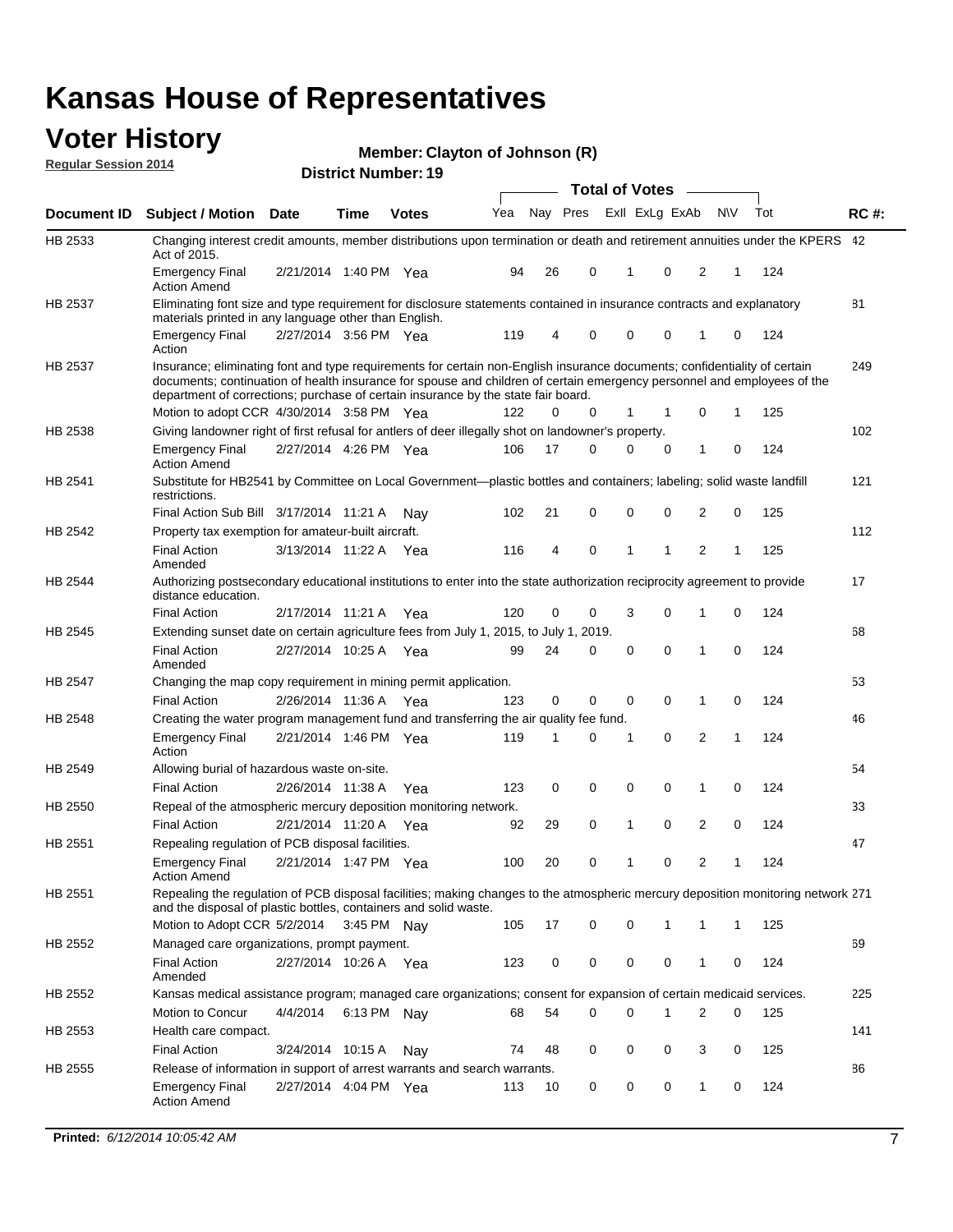### **Voter History Regular Session 2014**

| Member: Clayton of Johnson (R) |  |  |
|--------------------------------|--|--|
|--------------------------------|--|--|

|                |                                                                                                                                                                                                                                                                                                                                           |                       |             | <b>DISTING MAILINGLES</b> |     |    |          | <b>Total of Votes</b> | $\sim$      |                |              |     |             |
|----------------|-------------------------------------------------------------------------------------------------------------------------------------------------------------------------------------------------------------------------------------------------------------------------------------------------------------------------------------------|-----------------------|-------------|---------------------------|-----|----|----------|-----------------------|-------------|----------------|--------------|-----|-------------|
| Document ID    | <b>Subject / Motion Date</b>                                                                                                                                                                                                                                                                                                              |                       | Time        | <b>Votes</b>              | Yea |    | Nay Pres | Exll ExLg ExAb        |             |                | N\V          | Tot | <b>RC#:</b> |
| HB 2533        | Changing interest credit amounts, member distributions upon termination or death and retirement annuities under the KPERS 42<br>Act of 2015.                                                                                                                                                                                              |                       |             |                           |     |    |          |                       |             |                |              |     |             |
|                | <b>Emergency Final</b><br><b>Action Amend</b>                                                                                                                                                                                                                                                                                             | 2/21/2014 1:40 PM Yea |             |                           | 94  | 26 | 0        | 1                     | $\mathbf 0$ | 2              | 1            | 124 |             |
| HB 2537        | Eliminating font size and type requirement for disclosure statements contained in insurance contracts and explanatory<br>materials printed in any language other than English.                                                                                                                                                            |                       |             |                           |     |    |          |                       |             |                |              |     | 81          |
|                | <b>Emergency Final</b><br>Action                                                                                                                                                                                                                                                                                                          | 2/27/2014 3:56 PM Yea |             |                           | 119 | 4  | 0        | 0                     | $\mathbf 0$ | 1              | $\mathbf 0$  | 124 |             |
| HB 2537        | Insurance; eliminating font and type requirements for certain non-English insurance documents; confidentiality of certain<br>documents; continuation of health insurance for spouse and children of certain emergency personnel and employees of the<br>department of corrections; purchase of certain insurance by the state fair board. |                       |             |                           |     |    |          |                       |             |                |              |     | 249         |
|                | Motion to adopt CCR 4/30/2014 3:58 PM Yea                                                                                                                                                                                                                                                                                                 |                       |             |                           | 122 | 0  | 0        | 1                     | 1           | 0              | 1            | 125 |             |
| HB 2538        | Giving landowner right of first refusal for antlers of deer illegally shot on landowner's property.                                                                                                                                                                                                                                       |                       |             |                           |     |    |          |                       |             |                |              |     | 102         |
|                | <b>Emergency Final</b><br><b>Action Amend</b>                                                                                                                                                                                                                                                                                             | 2/27/2014 4:26 PM Yea |             |                           | 106 | 17 | 0        | 0                     | 0           | 1              | 0            | 124 |             |
| HB 2541        | Substitute for HB2541 by Committee on Local Government—plastic bottles and containers; labeling; solid waste landfill<br>restrictions.                                                                                                                                                                                                    |                       |             |                           |     |    |          |                       |             |                |              |     | 121         |
|                | Final Action Sub Bill 3/17/2014 11:21 A                                                                                                                                                                                                                                                                                                   |                       |             | Nav                       | 102 | 21 | 0        | 0                     | 0           | 2              | 0            | 125 |             |
| HB 2542        | Property tax exemption for amateur-built aircraft.<br><b>Final Action</b><br>Amended                                                                                                                                                                                                                                                      | 3/13/2014 11:22 A Yea |             |                           | 116 | 4  | 0        | 1                     | 1           | $\overline{2}$ | 1            | 125 | 112         |
| HB 2544        | Authorizing postsecondary educational institutions to enter into the state authorization reciprocity agreement to provide<br>distance education.                                                                                                                                                                                          |                       |             |                           |     |    |          |                       |             |                |              |     | 17          |
|                | <b>Final Action</b>                                                                                                                                                                                                                                                                                                                       | 2/17/2014 11:21 A Yea |             |                           | 120 | 0  | 0        | 3                     | 0           | 1              | 0            | 124 |             |
| HB 2545        | Extending sunset date on certain agriculture fees from July 1, 2015, to July 1, 2019.                                                                                                                                                                                                                                                     |                       |             |                           |     |    |          |                       |             |                |              |     | 68          |
|                | <b>Final Action</b><br>Amended                                                                                                                                                                                                                                                                                                            | 2/27/2014 10:25 A Yea |             |                           | 99  | 24 | 0        | $\mathbf 0$           | $\mathbf 0$ | 1              | 0            | 124 |             |
| <b>HB 2547</b> | Changing the map copy requirement in mining permit application.                                                                                                                                                                                                                                                                           |                       |             |                           |     |    |          |                       |             |                |              |     | 53          |
|                | <b>Final Action</b>                                                                                                                                                                                                                                                                                                                       | 2/26/2014 11:36 A     |             | Yea                       | 123 | 0  | 0        | 0                     | 0           | $\mathbf{1}$   | 0            | 124 |             |
| HB 2548        | Creating the water program management fund and transferring the air quality fee fund.                                                                                                                                                                                                                                                     |                       |             |                           |     |    |          |                       |             |                |              |     | 46          |
|                | <b>Emergency Final</b><br>Action                                                                                                                                                                                                                                                                                                          | 2/21/2014 1:46 PM Yea |             |                           | 119 | 1  | 0        | 1                     | 0           | 2              | $\mathbf{1}$ | 124 |             |
| HB 2549        | Allowing burial of hazardous waste on-site.                                                                                                                                                                                                                                                                                               |                       |             |                           |     |    |          |                       |             |                |              |     | 54          |
|                | <b>Final Action</b>                                                                                                                                                                                                                                                                                                                       | 2/26/2014 11:38 A     |             | Yea                       | 123 | 0  | 0        | 0                     | $\mathbf 0$ | 1              | $\mathbf 0$  | 124 |             |
| HB 2550        | Repeal of the atmospheric mercury deposition monitoring network.                                                                                                                                                                                                                                                                          |                       |             |                           |     |    |          |                       |             |                |              |     | 33          |
|                | <b>Final Action</b>                                                                                                                                                                                                                                                                                                                       | 2/21/2014 11:20 A     |             | Yea                       | 92  | 29 | 0        | 1                     | 0           | $\overline{2}$ | $\mathbf 0$  | 124 |             |
| HB 2551        | Repealing regulation of PCB disposal facilities.                                                                                                                                                                                                                                                                                          |                       |             |                           |     |    |          |                       |             |                |              |     | 47          |
|                | <b>Emergency Final</b><br>Action Amend                                                                                                                                                                                                                                                                                                    | 2/21/2014 1:47 PM Yea |             |                           | 100 | 20 | 0        | 1                     | 0           | 2              | 1            | 124 |             |
| HB 2551        | Repealing the regulation of PCB disposal facilities; making changes to the atmospheric mercury deposition monitoring network 271<br>and the disposal of plastic bottles, containers and solid waste.                                                                                                                                      |                       |             |                           |     |    |          |                       |             |                |              |     |             |
|                | Motion to Adopt CCR 5/2/2014 3:45 PM Nav                                                                                                                                                                                                                                                                                                  |                       |             |                           | 105 | 17 | 0        | 0                     |             | 1              | 1            | 125 |             |
| HB 2552        | Managed care organizations, prompt payment.                                                                                                                                                                                                                                                                                               |                       |             |                           |     |    |          |                       |             |                |              |     | 69          |
|                | <b>Final Action</b><br>Amended                                                                                                                                                                                                                                                                                                            | 2/27/2014 10:26 A Yea |             |                           | 123 | 0  | 0        | 0                     | 0           | 1              | 0            | 124 |             |
| HB 2552        | Kansas medical assistance program; managed care organizations; consent for expansion of certain medicaid services.                                                                                                                                                                                                                        |                       |             |                           |     |    |          |                       |             |                |              |     | 225         |
|                | Motion to Concur                                                                                                                                                                                                                                                                                                                          | 4/4/2014              | 6:13 PM Nay |                           | 68  | 54 | 0        | 0                     | 1           | 2              | 0            | 125 |             |
| HB 2553        | Health care compact.                                                                                                                                                                                                                                                                                                                      |                       |             |                           |     |    |          |                       |             |                |              |     | 141         |
|                | <b>Final Action</b>                                                                                                                                                                                                                                                                                                                       | 3/24/2014 10:15 A     |             | Nay                       | 74  | 48 | 0        | 0                     | 0           | 3              | 0            | 125 |             |
| HB 2555        | Release of information in support of arrest warrants and search warrants.                                                                                                                                                                                                                                                                 |                       |             |                           |     |    |          |                       |             |                |              |     | 86          |
|                | <b>Emergency Final</b><br><b>Action Amend</b>                                                                                                                                                                                                                                                                                             | 2/27/2014 4:04 PM Yea |             |                           | 113 | 10 | 0        | 0                     | 0           | 1              | 0            | 124 |             |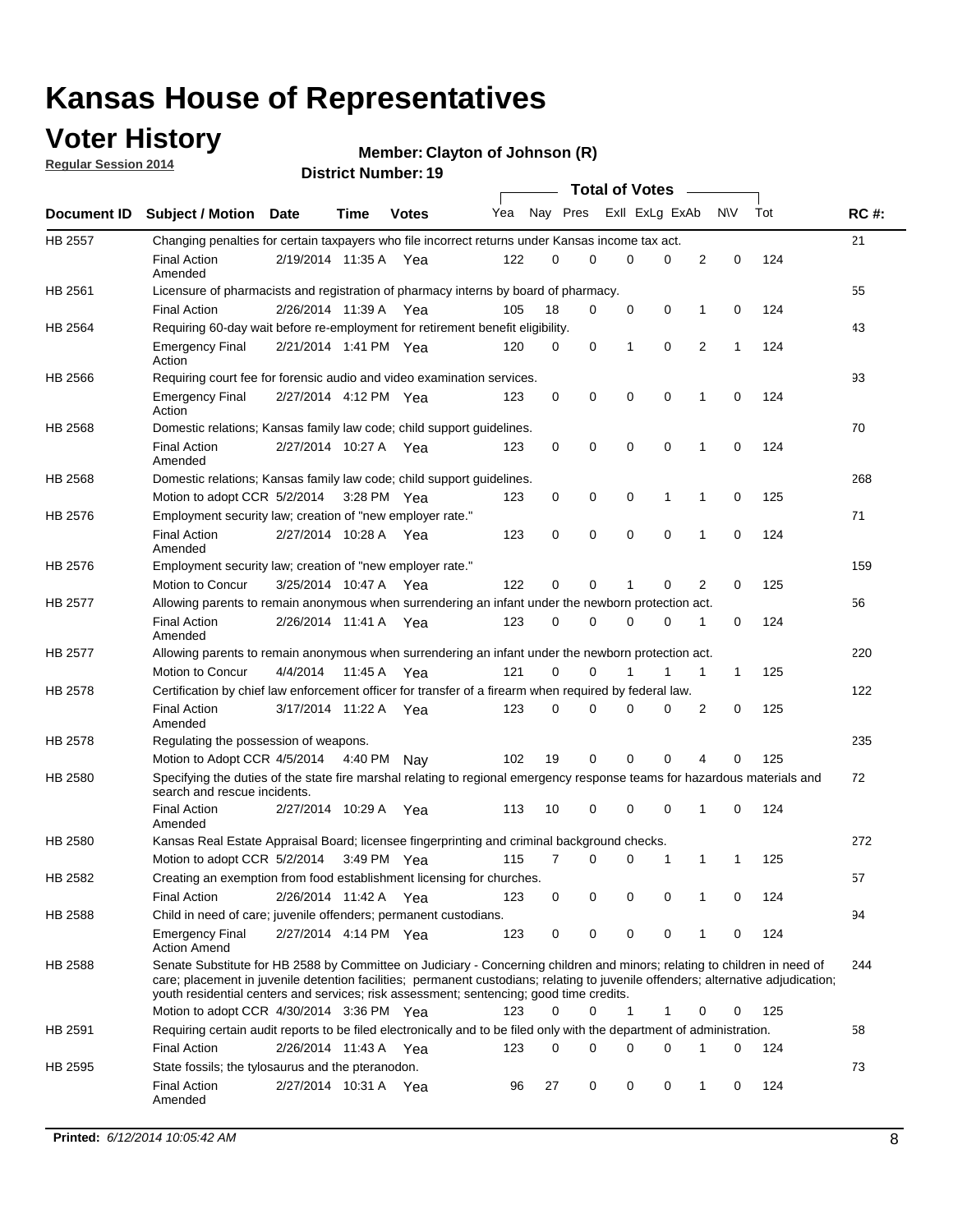### **Voter History**

**Regular Session 2014**

#### **Member: Clayton of Johnson (R)**

|                |                                                                                                                                                                                                                                                                                                                                                           |                       |             |              |     |          |   | <b>Total of Votes</b> |             |              |              |     |             |
|----------------|-----------------------------------------------------------------------------------------------------------------------------------------------------------------------------------------------------------------------------------------------------------------------------------------------------------------------------------------------------------|-----------------------|-------------|--------------|-----|----------|---|-----------------------|-------------|--------------|--------------|-----|-------------|
|                | Document ID Subject / Motion Date                                                                                                                                                                                                                                                                                                                         |                       | Time        | <b>Votes</b> | Yea | Nay Pres |   | Exll ExLg ExAb        |             |              | <b>NV</b>    | Tot | <b>RC#:</b> |
| <b>HB 2557</b> | Changing penalties for certain taxpayers who file incorrect returns under Kansas income tax act.                                                                                                                                                                                                                                                          |                       |             |              |     |          |   |                       |             |              |              |     | 21          |
|                | <b>Final Action</b><br>Amended                                                                                                                                                                                                                                                                                                                            | 2/19/2014 11:35 A     |             | Yea          | 122 | 0        | 0 | 0                     | 0           | 2            | 0            | 124 |             |
| HB 2561        | Licensure of pharmacists and registration of pharmacy interns by board of pharmacy.                                                                                                                                                                                                                                                                       |                       |             |              |     |          |   |                       |             |              |              |     | 55          |
|                | <b>Final Action</b>                                                                                                                                                                                                                                                                                                                                       | 2/26/2014 11:39 A Yea |             |              | 105 | 18       | 0 | 0                     | 0           | 1            | 0            | 124 |             |
| HB 2564        | Requiring 60-day wait before re-employment for retirement benefit eligibility.                                                                                                                                                                                                                                                                            |                       |             |              |     |          |   |                       |             |              |              |     | 43          |
|                | <b>Emergency Final</b><br>Action                                                                                                                                                                                                                                                                                                                          | 2/21/2014 1:41 PM Yea |             |              | 120 | 0        | 0 | 1                     | 0           | 2            | 1            | 124 |             |
| HB 2566        | Requiring court fee for forensic audio and video examination services.                                                                                                                                                                                                                                                                                    |                       |             |              |     |          |   |                       |             |              |              |     | 93          |
|                | <b>Emergency Final</b><br>Action                                                                                                                                                                                                                                                                                                                          | 2/27/2014 4:12 PM Yea |             |              | 123 | 0        | 0 | 0                     | $\mathbf 0$ | 1            | $\mathbf 0$  | 124 |             |
| HB 2568        | Domestic relations; Kansas family law code; child support guidelines.                                                                                                                                                                                                                                                                                     |                       |             |              |     |          |   |                       |             |              |              |     | 70          |
|                | <b>Final Action</b><br>Amended                                                                                                                                                                                                                                                                                                                            | 2/27/2014 10:27 A     |             | Yea          | 123 | 0        | 0 | 0                     | 0           | 1            | 0            | 124 |             |
| HB 2568        | Domestic relations; Kansas family law code; child support guidelines.                                                                                                                                                                                                                                                                                     |                       |             |              |     |          |   |                       |             |              |              |     | 268         |
|                | Motion to adopt CCR 5/2/2014                                                                                                                                                                                                                                                                                                                              |                       | 3:28 PM Yea |              | 123 | 0        | 0 | 0                     | 1           | 1            | 0            | 125 |             |
| HB 2576        | Employment security law; creation of "new employer rate."                                                                                                                                                                                                                                                                                                 |                       |             |              |     |          |   |                       |             |              |              |     | 71          |
|                | <b>Final Action</b><br>Amended                                                                                                                                                                                                                                                                                                                            | 2/27/2014 10:28 A     |             | Yea          | 123 | 0        | 0 | 0                     | $\mathbf 0$ | 1            | 0            | 124 |             |
| HB 2576        | Employment security law; creation of "new employer rate."                                                                                                                                                                                                                                                                                                 |                       |             |              |     |          |   |                       |             |              |              |     | 159         |
|                | Motion to Concur                                                                                                                                                                                                                                                                                                                                          | 3/25/2014 10:47 A     |             | Yea          | 122 | 0        | 0 | 1                     | 0           | 2            | 0            | 125 |             |
| HB 2577        | Allowing parents to remain anonymous when surrendering an infant under the newborn protection act.                                                                                                                                                                                                                                                        |                       |             |              |     |          |   |                       |             |              |              |     | 56          |
|                | <b>Final Action</b><br>Amended                                                                                                                                                                                                                                                                                                                            | 2/26/2014 11:41 A Yea |             |              | 123 | 0        | 0 | 0                     | $\Omega$    | 1            | 0            | 124 |             |
| HB 2577        | Allowing parents to remain anonymous when surrendering an infant under the newborn protection act.                                                                                                                                                                                                                                                        |                       |             |              |     |          |   |                       |             |              |              |     | 220         |
|                | Motion to Concur                                                                                                                                                                                                                                                                                                                                          | 4/4/2014              | 11:45 A     | Yea          | 121 | $\Omega$ | 0 |                       | 1           | $\mathbf{1}$ | $\mathbf{1}$ | 125 |             |
| HB 2578        | Certification by chief law enforcement officer for transfer of a firearm when required by federal law.                                                                                                                                                                                                                                                    |                       |             |              |     |          |   |                       |             |              |              |     | 122         |
|                | <b>Final Action</b><br>Amended                                                                                                                                                                                                                                                                                                                            | 3/17/2014 11:22 A     |             | Yea          | 123 | $\Omega$ | 0 | 0                     | $\Omega$    | 2            | 0            | 125 |             |
| HB 2578        | Regulating the possession of weapons.                                                                                                                                                                                                                                                                                                                     |                       |             |              |     |          |   |                       |             |              |              |     | 235         |
|                | Motion to Adopt CCR 4/5/2014 4:40 PM Nay                                                                                                                                                                                                                                                                                                                  |                       |             |              | 102 | 19       | 0 | 0                     | 0           | 4            | $\Omega$     | 125 |             |
| HB 2580        | Specifying the duties of the state fire marshal relating to regional emergency response teams for hazardous materials and<br>search and rescue incidents.                                                                                                                                                                                                 |                       |             |              |     |          |   |                       |             |              |              |     | 72          |
|                | <b>Final Action</b><br>Amended                                                                                                                                                                                                                                                                                                                            | 2/27/2014 10:29 A     |             | Yea          | 113 | 10       | 0 | 0                     | 0           | 1            | 0            | 124 |             |
| HB 2580        | Kansas Real Estate Appraisal Board; licensee fingerprinting and criminal background checks.                                                                                                                                                                                                                                                               |                       |             |              |     |          |   |                       |             |              |              |     | 272         |
|                | Motion to adopt CCR 5/2/2014                                                                                                                                                                                                                                                                                                                              |                       |             | 3:49 PM Yea  | 115 | 7        | 0 | 0                     | 1           | 1            | -1           | 125 |             |
| HB 2582        | Creating an exemption from food establishment licensing for churches.                                                                                                                                                                                                                                                                                     |                       |             |              |     |          |   |                       |             |              |              |     | 57          |
|                | <b>Final Action</b>                                                                                                                                                                                                                                                                                                                                       | 2/26/2014 11:42 A Yea |             |              | 123 | 0        | 0 | 0                     | 0           | 1            | 0            | 124 |             |
| HB 2588        | Child in need of care; juvenile offenders; permanent custodians.                                                                                                                                                                                                                                                                                          |                       |             |              |     |          |   |                       |             |              |              |     | 94          |
|                | <b>Emergency Final</b><br><b>Action Amend</b>                                                                                                                                                                                                                                                                                                             | 2/27/2014 4:14 PM Yea |             |              | 123 | 0        | 0 | 0                     | 0           | 1            | 0            | 124 |             |
| HB 2588        | Senate Substitute for HB 2588 by Committee on Judiciary - Concerning children and minors; relating to children in need of<br>care; placement in juvenile detention facilities; permanent custodians; relating to juvenile offenders; alternative adjudication;<br>youth residential centers and services; risk assessment; sentencing; good time credits. |                       |             |              |     |          |   |                       |             |              |              |     | 244         |
|                | Motion to adopt CCR 4/30/2014 3:36 PM Yea                                                                                                                                                                                                                                                                                                                 |                       |             |              | 123 | 0        | 0 | 1                     | 1           | 0            | 0            | 125 |             |
| HB 2591        | Requiring certain audit reports to be filed electronically and to be filed only with the department of administration.                                                                                                                                                                                                                                    |                       |             |              |     |          |   |                       |             |              |              |     | 58          |
|                | <b>Final Action</b>                                                                                                                                                                                                                                                                                                                                       | 2/26/2014 11:43 A Yea |             |              | 123 | 0        | 0 | 0                     | 0           | 1            | 0            | 124 |             |
| HB 2595        | State fossils; the tylosaurus and the pteranodon.                                                                                                                                                                                                                                                                                                         |                       |             |              |     |          |   |                       |             |              |              |     | 73          |
|                | <b>Final Action</b><br>Amended                                                                                                                                                                                                                                                                                                                            | 2/27/2014 10:31 A Yea |             |              | 96  | 27       | 0 | 0                     | 0           | 1            | 0            | 124 |             |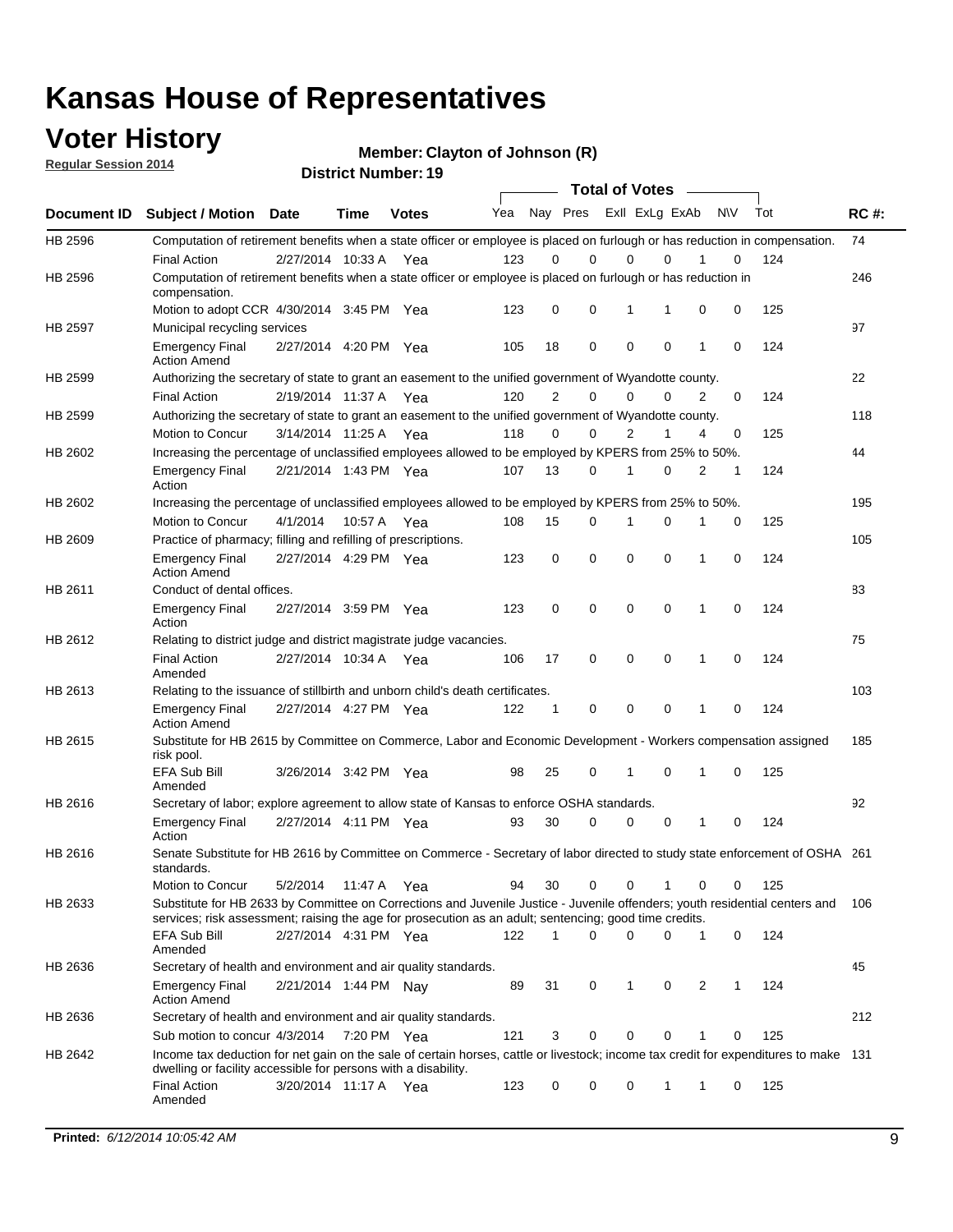### **Voter History**

**Regular Session 2014**

**Member: Clayton of Johnson (R)** 

|                |                                                                                                                                                                                                                                       |                       |             | <b>DISTRICT MAILINGL'S</b> |     |                |             | <b>Total of Votes</b> |             |           |     |     |             |
|----------------|---------------------------------------------------------------------------------------------------------------------------------------------------------------------------------------------------------------------------------------|-----------------------|-------------|----------------------------|-----|----------------|-------------|-----------------------|-------------|-----------|-----|-----|-------------|
| Document ID    | <b>Subject / Motion</b>                                                                                                                                                                                                               | <b>Date</b>           | Time        | <b>Votes</b>               | Yea |                | Nay Pres    | Exll ExLg ExAb        |             | <b>NV</b> | Tot |     | <b>RC#:</b> |
| HB 2596        | Computation of retirement benefits when a state officer or employee is placed on furlough or has reduction in compensation.                                                                                                           |                       |             |                            |     |                |             |                       |             |           |     |     | 74          |
|                | <b>Final Action</b>                                                                                                                                                                                                                   | 2/27/2014 10:33 A     |             | Yea                        | 123 | 0              | $\Omega$    | 0                     | $\Omega$    |           | 0   | 124 |             |
| HB 2596        | Computation of retirement benefits when a state officer or employee is placed on furlough or has reduction in<br>compensation.                                                                                                        |                       |             |                            |     |                |             |                       |             |           |     |     | 246         |
|                | Motion to adopt CCR 4/30/2014 3:45 PM Yea                                                                                                                                                                                             |                       |             |                            | 123 | 0              | 0           | 1                     | 1           | 0         | 0   | 125 |             |
| <b>HB 2597</b> | Municipal recycling services                                                                                                                                                                                                          |                       |             |                            |     |                |             |                       |             |           |     |     | 97          |
|                | <b>Emergency Final</b><br><b>Action Amend</b>                                                                                                                                                                                         | 2/27/2014 4:20 PM Yea |             |                            | 105 | 18             | $\mathbf 0$ | $\mathbf 0$           | $\mathbf 0$ | 1         | 0   | 124 |             |
| HB 2599        | Authorizing the secretary of state to grant an easement to the unified government of Wyandotte county.                                                                                                                                |                       |             |                            |     |                |             |                       |             |           |     |     | 22          |
|                | <b>Final Action</b>                                                                                                                                                                                                                   | 2/19/2014 11:37 A     |             | Yea                        | 120 | $\overline{2}$ | $\mathbf 0$ | 0                     | $\Omega$    | 2         | 0   | 124 |             |
| HB 2599        | Authorizing the secretary of state to grant an easement to the unified government of Wyandotte county.                                                                                                                                |                       |             |                            |     |                |             |                       |             |           |     |     | 118         |
|                | Motion to Concur                                                                                                                                                                                                                      | 3/14/2014 11:25 A     |             | Yea                        | 118 | $\Omega$       | 0           | $\overline{2}$        | 1           | 4         | 0   | 125 |             |
| HB 2602        | Increasing the percentage of unclassified employees allowed to be employed by KPERS from 25% to 50%.                                                                                                                                  |                       |             |                            |     |                |             |                       |             |           |     |     | 44          |
|                | <b>Emergency Final</b><br>Action                                                                                                                                                                                                      | 2/21/2014 1:43 PM Yea |             |                            | 107 | 13             | 0           | 1                     | $\Omega$    | 2         | 1   | 124 |             |
| HB 2602        | Increasing the percentage of unclassified employees allowed to be employed by KPERS from 25% to 50%.                                                                                                                                  |                       |             |                            |     |                |             |                       |             |           |     |     | 195         |
|                | Motion to Concur                                                                                                                                                                                                                      | 4/1/2014              | 10:57 A Yea |                            | 108 | 15             | 0           | 1                     | 0           | 1         | 0   | 125 |             |
| HB 2609        | Practice of pharmacy; filling and refilling of prescriptions.                                                                                                                                                                         |                       |             |                            |     |                |             |                       |             |           |     |     | 105         |
|                | <b>Emergency Final</b><br><b>Action Amend</b>                                                                                                                                                                                         | 2/27/2014 4:29 PM Yea |             |                            | 123 | 0              | $\mathbf 0$ | $\mathbf 0$           | $\Omega$    | 1         | 0   | 124 |             |
| HB 2611        | Conduct of dental offices.                                                                                                                                                                                                            |                       |             |                            |     |                |             |                       |             |           |     |     | 83          |
|                | <b>Emergency Final</b><br>Action                                                                                                                                                                                                      | 2/27/2014 3:59 PM Yea |             |                            | 123 | 0              | $\mathbf 0$ | $\mathbf 0$           | $\mathbf 0$ | 1         | 0   | 124 |             |
| HB 2612        | Relating to district judge and district magistrate judge vacancies.                                                                                                                                                                   |                       |             |                            |     |                |             |                       |             |           |     |     | 75          |
|                | <b>Final Action</b><br>Amended                                                                                                                                                                                                        | 2/27/2014 10:34 A     |             | Yea                        | 106 | 17             | 0           | $\mathbf 0$           | $\mathbf 0$ | 1         | 0   | 124 |             |
| HB 2613        | Relating to the issuance of stillbirth and unborn child's death certificates.                                                                                                                                                         |                       |             |                            |     |                |             |                       |             |           |     |     | 103         |
|                | <b>Emergency Final</b><br><b>Action Amend</b>                                                                                                                                                                                         | 2/27/2014 4:27 PM Yea |             |                            | 122 | 1              | 0           | $\mathbf 0$           | $\Omega$    | 1         | 0   | 124 |             |
| HB 2615        | Substitute for HB 2615 by Committee on Commerce, Labor and Economic Development - Workers compensation assigned<br>risk pool.                                                                                                         |                       |             |                            |     |                |             |                       |             |           |     |     | 185         |
|                | EFA Sub Bill<br>Amended                                                                                                                                                                                                               | 3/26/2014 3:42 PM Yea |             |                            | 98  | 25             | 0           | 1                     | $\mathbf 0$ | 1         | 0   | 125 |             |
| HB 2616        | Secretary of labor; explore agreement to allow state of Kansas to enforce OSHA standards.                                                                                                                                             |                       |             |                            |     |                |             |                       |             |           |     |     | 92          |
|                | <b>Emergency Final</b><br>Action                                                                                                                                                                                                      | 2/27/2014 4:11 PM Yea |             |                            | 93  | 30             | 0           | 0                     | 0           | 1         | 0   | 124 |             |
| HB 2616        | Senate Substitute for HB 2616 by Committee on Commerce - Secretary of labor directed to study state enforcement of OSHA 261<br>standards.                                                                                             |                       |             |                            |     |                |             |                       |             |           |     |     |             |
|                | Motion to Concur                                                                                                                                                                                                                      | 5/2/2014              | 11:47 A Yea |                            | 94  | 30             | 0           | 0<br>1                |             | 0         | 0   | 125 |             |
| HB 2633        | Substitute for HB 2633 by Committee on Corrections and Juvenile Justice - Juvenile offenders; youth residential centers and<br>services; risk assessment; raising the age for prosecution as an adult; sentencing; good time credits. |                       |             |                            |     |                |             |                       |             |           |     |     | 106         |
|                | EFA Sub Bill<br>Amended                                                                                                                                                                                                               | 2/27/2014 4:31 PM Yea |             |                            | 122 | 1              | 0           | $\mathbf 0$           | 0           | 1         | 0   | 124 |             |
| HB 2636        | Secretary of health and environment and air quality standards.                                                                                                                                                                        |                       |             |                            |     |                |             |                       |             |           |     |     | 45          |
|                | <b>Emergency Final</b><br><b>Action Amend</b>                                                                                                                                                                                         | 2/21/2014 1:44 PM Nav |             |                            | 89  | 31             | 0           | 1                     | 0           | 2         | 1   | 124 |             |
| HB 2636        | Secretary of health and environment and air quality standards.                                                                                                                                                                        |                       |             |                            |     |                |             |                       |             |           |     |     | 212         |
|                | Sub motion to concur 4/3/2014                                                                                                                                                                                                         |                       | 7:20 PM Yea |                            | 121 | 3              | 0           | 0                     | 0           |           | 0   | 125 |             |
| HB 2642        | Income tax deduction for net gain on the sale of certain horses, cattle or livestock; income tax credit for expenditures to make 131                                                                                                  |                       |             |                            |     |                |             |                       |             |           |     |     |             |
|                | dwelling or facility accessible for persons with a disability.<br><b>Final Action</b>                                                                                                                                                 | 3/20/2014 11:17 A Yea |             |                            | 123 | 0              | 0           | 0                     | 1           | 1         | 0   | 125 |             |
|                | Amended                                                                                                                                                                                                                               |                       |             |                            |     |                |             |                       |             |           |     |     |             |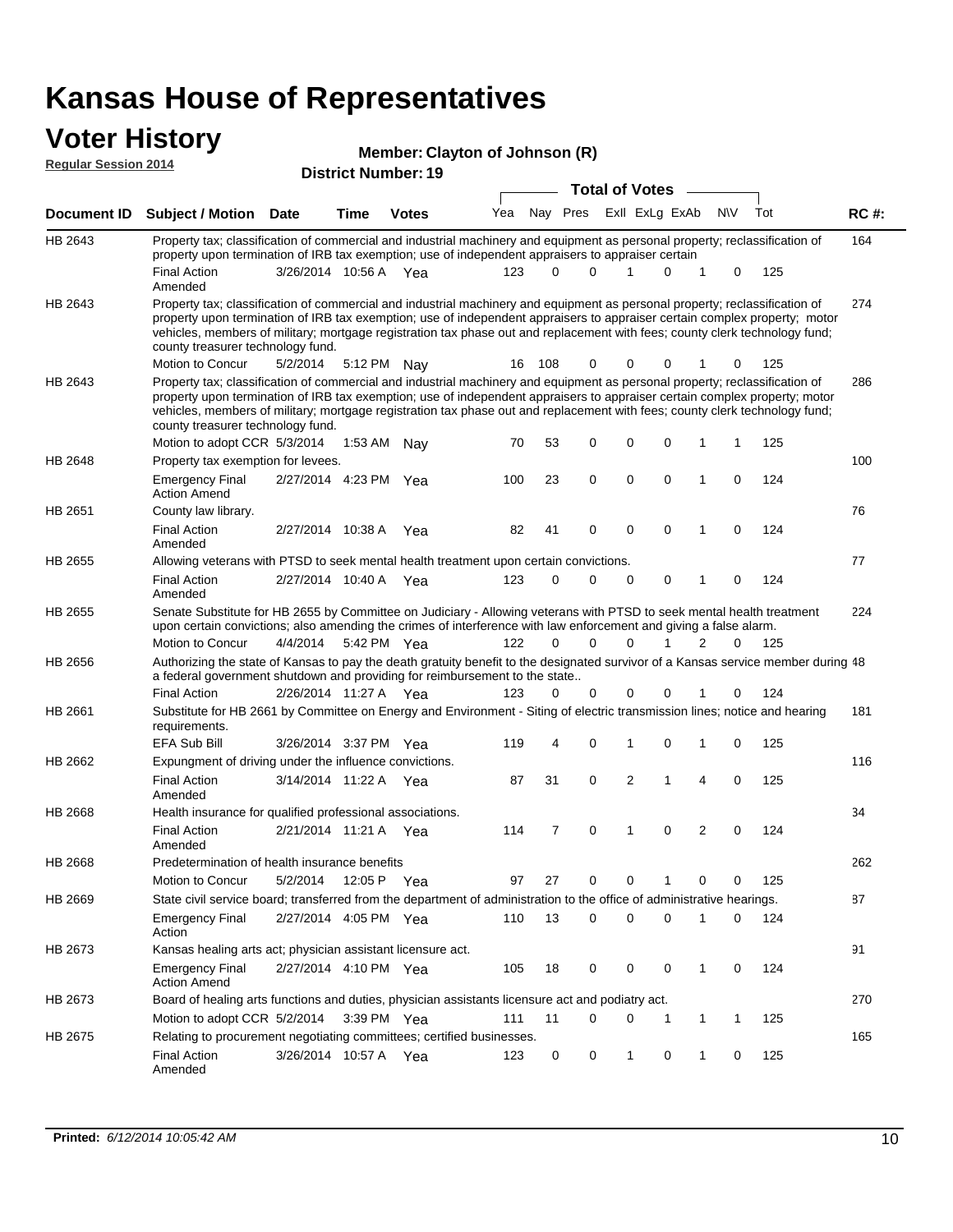#### **Voter History Regular Session 2014**

#### **Member: Clayton of Johnson (R)**

| דו ט∡ ווטוכּסטט וואזטווי |                                                                                                                                                                                                                                                                                                                                                                                                                               |                   |         | <b>District Number: 19</b> |     |     |          |   |                |           |     |             |
|--------------------------|-------------------------------------------------------------------------------------------------------------------------------------------------------------------------------------------------------------------------------------------------------------------------------------------------------------------------------------------------------------------------------------------------------------------------------|-------------------|---------|----------------------------|-----|-----|----------|---|----------------|-----------|-----|-------------|
|                          |                                                                                                                                                                                                                                                                                                                                                                                                                               |                   |         |                            |     |     |          |   |                |           |     |             |
| Document ID              | <b>Subject / Motion</b>                                                                                                                                                                                                                                                                                                                                                                                                       | <b>Date</b>       | Time    | <b>Votes</b>               | Yea | Nav | Pres     |   | Exll ExLg ExAb | <b>NV</b> | Tot | <b>RC#:</b> |
| HB 2643                  | Property tax; classification of commercial and industrial machinery and equipment as personal property; reclassification of<br>property upon termination of IRB tax exemption; use of independent appraisers to appraiser certain                                                                                                                                                                                             |                   |         |                            |     |     |          |   |                |           |     | 164         |
|                          | Final Action<br>Amended                                                                                                                                                                                                                                                                                                                                                                                                       | 3/26/2014 10:56 A |         | Yea                        | 123 | 0   |          |   |                | 0         | 125 |             |
| HB 2643                  | Property tax; classification of commercial and industrial machinery and equipment as personal property; reclassification of<br>property upon termination of IRB tax exemption; use of independent appraisers to appraiser certain complex property; motor<br>vehicles, members of military; mortgage registration tax phase out and replacement with fees; county clerk technology fund;<br>county treasurer technology fund. |                   |         |                            |     |     |          |   |                |           |     | 274         |
|                          | Motion to Concur                                                                                                                                                                                                                                                                                                                                                                                                              | 5/2/2014          | 5:12 PM | Nav                        | 16  | 108 | $\Omega$ | 0 | 0              | $\Omega$  | 125 |             |
| HB 2643                  | Property tax; classification of commercial and industrial machinery and equipment as personal property; reclassification of<br>property upon termination of IRB tax exemption; use of independent appraisers to appraiser certain complex property; motor<br>vehicles, members of military; mortgage registration tax phase out and replacement with fees; county clerk technology fund;                                      |                   |         |                            |     |     |          |   |                |           |     | 286         |

|                | county treasurer technology fund.                                                                                                                                                                                                          |                       |             |     |     |                |             |             |             |                |          |     |     |
|----------------|--------------------------------------------------------------------------------------------------------------------------------------------------------------------------------------------------------------------------------------------|-----------------------|-------------|-----|-----|----------------|-------------|-------------|-------------|----------------|----------|-----|-----|
|                | Motion to adopt CCR 5/3/2014                                                                                                                                                                                                               |                       | 1:53 AM     | Nav | 70  | 53             | 0           | $\mathbf 0$ | $\mathbf 0$ | 1              | 1        | 125 |     |
| HB 2648        | Property tax exemption for levees.                                                                                                                                                                                                         |                       |             |     |     |                |             |             |             |                |          |     | 100 |
|                | <b>Emergency Final</b><br><b>Action Amend</b>                                                                                                                                                                                              | 2/27/2014 4:23 PM     |             | Yea | 100 | 23             | 0           | 0           | $\mathbf 0$ | 1              | $\Omega$ | 124 |     |
| HB 2651        | County law library.                                                                                                                                                                                                                        |                       |             |     |     |                |             |             |             |                |          |     | 76  |
|                | <b>Final Action</b><br>Amended                                                                                                                                                                                                             | 2/27/2014 10:38 A     |             | Yea | 82  | 41             | 0           | 0           | $\mathbf 0$ | 1              | $\Omega$ | 124 |     |
| HB 2655        | Allowing veterans with PTSD to seek mental health treatment upon certain convictions.                                                                                                                                                      |                       |             |     |     |                |             |             |             |                |          |     | 77  |
|                | <b>Final Action</b><br>Amended                                                                                                                                                                                                             | 2/27/2014 10:40 A     |             | Yea | 123 | $\Omega$       | $\Omega$    | $\Omega$    | 0           | 1              | 0        | 124 |     |
| HB 2655        | Senate Substitute for HB 2655 by Committee on Judiciary - Allowing veterans with PTSD to seek mental health treatment<br>upon certain convictions; also amending the crimes of interference with law enforcement and giving a false alarm. |                       |             |     |     |                |             |             |             |                |          |     | 224 |
|                | Motion to Concur                                                                                                                                                                                                                           | 4/4/2014              | 5:42 PM Yea |     | 122 | 0              | $\Omega$    | $\Omega$    |             | 2              | 0        | 125 |     |
| HB 2656        | Authorizing the state of Kansas to pay the death gratuity benefit to the designated survivor of a Kansas service member during 48<br>a federal government shutdown and providing for reimbursement to the state                            |                       |             |     |     |                |             |             |             |                |          |     |     |
|                | <b>Final Action</b>                                                                                                                                                                                                                        | 2/26/2014 11:27 A Yea |             |     | 123 | $\Omega$       | 0           | $\Omega$    | 0           |                | 0        | 124 |     |
| HB 2661        | Substitute for HB 2661 by Committee on Energy and Environment - Siting of electric transmission lines; notice and hearing<br>requirements.                                                                                                 |                       |             |     |     |                |             |             |             |                |          |     | 181 |
|                | <b>EFA Sub Bill</b>                                                                                                                                                                                                                        | 3/26/2014 3:37 PM Yea |             |     | 119 | 4              | 0           |             | 0           | 1              | $\Omega$ | 125 |     |
| HB 2662        | Expungment of driving under the influence convictions.                                                                                                                                                                                     |                       |             |     |     |                |             |             |             |                |          |     | 116 |
|                | <b>Final Action</b><br>Amended                                                                                                                                                                                                             | 3/14/2014 11:22 A     |             | Yea | 87  | 31             | $\mathbf 0$ | 2           | 1           | 4              | $\Omega$ | 125 |     |
| <b>HB 2668</b> | Health insurance for qualified professional associations.                                                                                                                                                                                  |                       |             |     |     |                |             |             |             |                |          |     | 34  |
|                | <b>Final Action</b><br>Amended                                                                                                                                                                                                             | 2/21/2014 11:21 A     |             | Yea | 114 | $\overline{7}$ | $\Omega$    | 1           | $\mathbf 0$ | $\overline{2}$ | $\Omega$ | 124 |     |
| HB 2668        | Predetermination of health insurance benefits                                                                                                                                                                                              |                       |             |     |     |                |             |             |             |                |          |     | 262 |
|                | Motion to Concur                                                                                                                                                                                                                           | 5/2/2014              | 12:05 P     | Yea | 97  | 27             | 0           | $\Omega$    |             | $\mathbf 0$    | $\Omega$ | 125 |     |
| HB 2669        | State civil service board; transferred from the department of administration to the office of administrative hearings.                                                                                                                     |                       |             |     |     |                |             |             |             |                |          |     | 87  |
|                | <b>Emergency Final</b><br>Action                                                                                                                                                                                                           | 2/27/2014 4:05 PM Yea |             |     | 110 | 13             | 0           | $\Omega$    | 0           |                | 0        | 124 |     |
| HB 2673        | Kansas healing arts act; physician assistant licensure act.                                                                                                                                                                                |                       |             |     |     |                |             |             |             |                |          |     | 91  |
|                | <b>Emergency Final</b><br><b>Action Amend</b>                                                                                                                                                                                              | 2/27/2014 4:10 PM Yea |             |     | 105 | 18             | 0           | 0           | 0           | 1              | 0        | 124 |     |
| HB 2673        | Board of healing arts functions and duties, physician assistants licensure act and podiatry act.                                                                                                                                           |                       |             |     |     |                |             |             |             |                |          |     | 270 |

165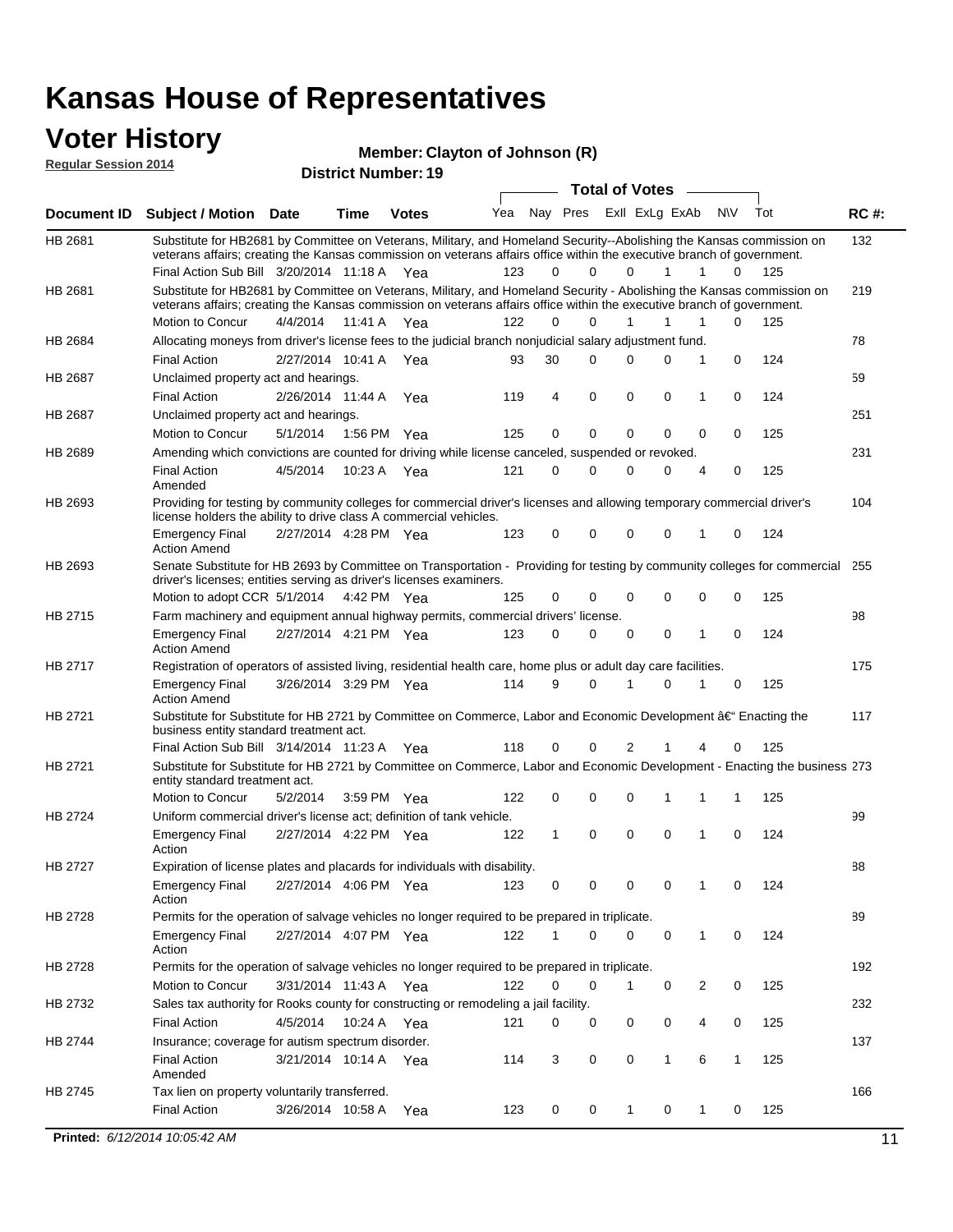### **Voter History**

**Regular Session 2014**

#### **Member: Clayton of Johnson (R)**

| <b>District Number: 19</b> |  |
|----------------------------|--|
|                            |  |

| Yea Nay Pres ExII ExLg ExAb<br><b>NV</b><br>Tot<br><b>RC#:</b><br>Document ID<br><b>Subject / Motion Date</b><br><b>Time</b><br><b>Votes</b><br>132<br>HB 2681<br>Substitute for HB2681 by Committee on Veterans, Military, and Homeland Security--Abolishing the Kansas commission on<br>veterans affairs; creating the Kansas commission on veterans affairs office within the executive branch of government.<br>0<br>Final Action Sub Bill 3/20/2014 11:18 A Yea<br>123<br>0<br>0<br>$\mathbf{1}$<br>$\mathbf{1}$<br>0<br>125<br>Substitute for HB2681 by Committee on Veterans, Military, and Homeland Security - Abolishing the Kansas commission on<br>HB 2681<br>219<br>veterans affairs; creating the Kansas commission on veterans affairs office within the executive branch of government.<br>Motion to Concur<br>4/4/2014<br>11:41 A Yea<br>122<br>0<br>$\Omega$<br>$\mathbf{1}$<br>$\mathbf{1}$<br>$\mathbf{1}$<br>$\Omega$<br>125<br>HB 2684<br>Allocating moneys from driver's license fees to the judicial branch nonjudicial salary adjustment fund.<br>78<br>2/27/2014 10:41 A Yea<br>93<br>30<br>$\Omega$<br>$\Omega$<br>0<br>124<br><b>Final Action</b><br>0<br>$\mathbf{1}$<br>59<br>HB 2687<br>Unclaimed property act and hearings.<br>2/26/2014 11:44 A<br>119<br>4<br>0<br>0<br>0<br>0<br>124<br><b>Final Action</b><br>Yea<br>1<br>251<br>HB 2687<br>Unclaimed property act and hearings.<br>$\mathbf 0$<br>0<br>0<br>$\mathbf 0$<br>5/1/2014<br>125<br>0<br>0<br>125<br>Motion to Concur<br>1:56 PM Yea<br>Amending which convictions are counted for driving while license canceled, suspended or revoked.<br>231<br>HB 2689<br>121<br>0<br>$\Omega$<br>0<br>125<br><b>Final Action</b><br>4/5/2014<br>10:23 A Yea<br>0<br>4<br>0<br>Amended<br>Providing for testing by community colleges for commercial driver's licenses and allowing temporary commercial driver's<br>104<br>HB 2693<br>license holders the ability to drive class A commercial vehicles.<br>0<br>123<br>0<br>0<br>0<br>0<br>124<br><b>Emergency Final</b><br>2/27/2014 4:28 PM Yea<br>1<br><b>Action Amend</b><br>HB 2693<br>Senate Substitute for HB 2693 by Committee on Transportation - Providing for testing by community colleges for commercial 255<br>driver's licenses; entities serving as driver's licenses examiners.<br>$\mathbf 0$<br>$\mathbf 0$<br>Motion to adopt CCR 5/1/2014 4:42 PM Yea<br>0<br>0<br>0<br>0<br>125<br>125<br>Farm machinery and equipment annual highway permits, commercial drivers' license.<br>98<br>HB 2715<br>2/27/2014 4:21 PM Yea<br>123<br>0<br>0<br>0<br>124<br><b>Emergency Final</b><br>0<br>0<br>1<br><b>Action Amend</b><br><b>HB 2717</b><br>175<br>Registration of operators of assisted living, residential health care, home plus or adult day care facilities.<br>9<br>0<br>0<br>125<br><b>Emergency Final</b><br>3/26/2014 3:29 PM Yea<br>114<br>0<br>1<br>1<br><b>Action Amend</b><br>HB 2721<br>Substitute for Substitute for HB 2721 by Committee on Commerce, Labor and Economic Development †Enacting the<br>117<br>business entity standard treatment act.<br>$\overline{2}$<br>Final Action Sub Bill 3/14/2014 11:23 A Yea<br>118<br>0<br>0<br>1<br>0<br>125<br>4<br>HB 2721<br>Substitute for Substitute for HB 2721 by Committee on Commerce, Labor and Economic Development - Enacting the business 273<br>entity standard treatment act.<br>$\mathbf 0$<br>Motion to Concur<br>0<br>0<br>125<br>5/2/2014<br>3:59 PM Yea<br>122<br>1<br>$\mathbf{1}$<br>1<br>HB 2724<br>Uniform commercial driver's license act; definition of tank vehicle.<br>99<br>0<br>$\mathbf 0$<br>$\mathbf 0$<br>$\mathbf{1}$<br>1<br>0<br>124<br><b>Emergency Final</b><br>2/27/2014 4:22 PM Yea<br>122<br>Action<br><b>HB 2727</b><br>88<br>Expiration of license plates and placards for individuals with disability.<br>2/27/2014 4:06 PM Yea<br>123<br>0<br>0<br>0<br>0<br>0<br>124<br><b>Emergency Final</b><br>1<br>Action<br>HB 2728<br>Permits for the operation of salvage vehicles no longer required to be prepared in triplicate.<br>89<br>0<br>0<br>0<br>0<br>124<br><b>Emergency Final</b><br>2/27/2014 4:07 PM Yea<br>122<br>1<br>$\mathbf{1}$<br>Action<br>HB 2728<br>Permits for the operation of salvage vehicles no longer required to be prepared in triplicate.<br>192<br>122<br>3/31/2014 11:43 A Yea<br>0<br>0<br>0<br>2<br>0<br>125<br>Motion to Concur<br>1<br>232<br>HB 2732<br>Sales tax authority for Rooks county for constructing or remodeling a jail facility.<br><b>Final Action</b><br>4/5/2014<br>10:24 A Yea<br>0<br>0<br>125<br>121<br>0<br>0<br>0<br>4<br>HB 2744<br>Insurance; coverage for autism spectrum disorder.<br>137<br><b>Final Action</b><br>3/21/2014 10:14 A Yea<br>3<br>0<br>0<br>$\mathbf{1}$<br>6<br>125<br>114<br>1<br>Amended<br>166<br>HB 2745<br>Tax lien on property voluntarily transferred.<br><b>Final Action</b><br>3/26/2014 10:58 A<br>0<br>0<br>0<br>0<br>125<br>123<br>$\mathbf 1$<br>$\mathbf{1}$<br>Yea<br>Printed: 6/12/2014 10:05:42 AM<br>11 |  |  | ד וסעוווער ואוווסו |  | Total of Votes ____ |  |  |  |
|------------------------------------------------------------------------------------------------------------------------------------------------------------------------------------------------------------------------------------------------------------------------------------------------------------------------------------------------------------------------------------------------------------------------------------------------------------------------------------------------------------------------------------------------------------------------------------------------------------------------------------------------------------------------------------------------------------------------------------------------------------------------------------------------------------------------------------------------------------------------------------------------------------------------------------------------------------------------------------------------------------------------------------------------------------------------------------------------------------------------------------------------------------------------------------------------------------------------------------------------------------------------------------------------------------------------------------------------------------------------------------------------------------------------------------------------------------------------------------------------------------------------------------------------------------------------------------------------------------------------------------------------------------------------------------------------------------------------------------------------------------------------------------------------------------------------------------------------------------------------------------------------------------------------------------------------------------------------------------------------------------------------------------------------------------------------------------------------------------------------------------------------------------------------------------------------------------------------------------------------------------------------------------------------------------------------------------------------------------------------------------------------------------------------------------------------------------------------------------------------------------------------------------------------------------------------------------------------------------------------------------------------------------------------------------------------------------------------------------------------------------------------------------------------------------------------------------------------------------------------------------------------------------------------------------------------------------------------------------------------------------------------------------------------------------------------------------------------------------------------------------------------------------------------------------------------------------------------------------------------------------------------------------------------------------------------------------------------------------------------------------------------------------------------------------------------------------------------------------------------------------------------------------------------------------------------------------------------------------------------------------------------------------------------------------------------------------------------------------------------------------------------------------------------------------------------------------------------------------------------------------------------------------------------------------------------------------------------------------------------------------------------------------------------------------------------------------------------------------------------------------------------------------------------------------------------------------------------------------------------------------------------------------------------------------------------------------------------------------------------------------------------------------------------------------------------------------------------------------------------------------------------------------------------------------------------------------------------------------------------------------------------------------------------------------------------------------------------------------------------------------------------------------------------------------------------------------------------------------------------------------------------------------------------------------------------------------------------------------------------------------------------------------------------------------------|--|--|--------------------|--|---------------------|--|--|--|
|                                                                                                                                                                                                                                                                                                                                                                                                                                                                                                                                                                                                                                                                                                                                                                                                                                                                                                                                                                                                                                                                                                                                                                                                                                                                                                                                                                                                                                                                                                                                                                                                                                                                                                                                                                                                                                                                                                                                                                                                                                                                                                                                                                                                                                                                                                                                                                                                                                                                                                                                                                                                                                                                                                                                                                                                                                                                                                                                                                                                                                                                                                                                                                                                                                                                                                                                                                                                                                                                                                                                                                                                                                                                                                                                                                                                                                                                                                                                                                                                                                                                                                                                                                                                                                                                                                                                                                                                                                                                                                                                                                                                                                                                                                                                                                                                                                                                                                                                                                                                                                                                  |  |  |                    |  |                     |  |  |  |
|                                                                                                                                                                                                                                                                                                                                                                                                                                                                                                                                                                                                                                                                                                                                                                                                                                                                                                                                                                                                                                                                                                                                                                                                                                                                                                                                                                                                                                                                                                                                                                                                                                                                                                                                                                                                                                                                                                                                                                                                                                                                                                                                                                                                                                                                                                                                                                                                                                                                                                                                                                                                                                                                                                                                                                                                                                                                                                                                                                                                                                                                                                                                                                                                                                                                                                                                                                                                                                                                                                                                                                                                                                                                                                                                                                                                                                                                                                                                                                                                                                                                                                                                                                                                                                                                                                                                                                                                                                                                                                                                                                                                                                                                                                                                                                                                                                                                                                                                                                                                                                                                  |  |  |                    |  |                     |  |  |  |
|                                                                                                                                                                                                                                                                                                                                                                                                                                                                                                                                                                                                                                                                                                                                                                                                                                                                                                                                                                                                                                                                                                                                                                                                                                                                                                                                                                                                                                                                                                                                                                                                                                                                                                                                                                                                                                                                                                                                                                                                                                                                                                                                                                                                                                                                                                                                                                                                                                                                                                                                                                                                                                                                                                                                                                                                                                                                                                                                                                                                                                                                                                                                                                                                                                                                                                                                                                                                                                                                                                                                                                                                                                                                                                                                                                                                                                                                                                                                                                                                                                                                                                                                                                                                                                                                                                                                                                                                                                                                                                                                                                                                                                                                                                                                                                                                                                                                                                                                                                                                                                                                  |  |  |                    |  |                     |  |  |  |
|                                                                                                                                                                                                                                                                                                                                                                                                                                                                                                                                                                                                                                                                                                                                                                                                                                                                                                                                                                                                                                                                                                                                                                                                                                                                                                                                                                                                                                                                                                                                                                                                                                                                                                                                                                                                                                                                                                                                                                                                                                                                                                                                                                                                                                                                                                                                                                                                                                                                                                                                                                                                                                                                                                                                                                                                                                                                                                                                                                                                                                                                                                                                                                                                                                                                                                                                                                                                                                                                                                                                                                                                                                                                                                                                                                                                                                                                                                                                                                                                                                                                                                                                                                                                                                                                                                                                                                                                                                                                                                                                                                                                                                                                                                                                                                                                                                                                                                                                                                                                                                                                  |  |  |                    |  |                     |  |  |  |
|                                                                                                                                                                                                                                                                                                                                                                                                                                                                                                                                                                                                                                                                                                                                                                                                                                                                                                                                                                                                                                                                                                                                                                                                                                                                                                                                                                                                                                                                                                                                                                                                                                                                                                                                                                                                                                                                                                                                                                                                                                                                                                                                                                                                                                                                                                                                                                                                                                                                                                                                                                                                                                                                                                                                                                                                                                                                                                                                                                                                                                                                                                                                                                                                                                                                                                                                                                                                                                                                                                                                                                                                                                                                                                                                                                                                                                                                                                                                                                                                                                                                                                                                                                                                                                                                                                                                                                                                                                                                                                                                                                                                                                                                                                                                                                                                                                                                                                                                                                                                                                                                  |  |  |                    |  |                     |  |  |  |
|                                                                                                                                                                                                                                                                                                                                                                                                                                                                                                                                                                                                                                                                                                                                                                                                                                                                                                                                                                                                                                                                                                                                                                                                                                                                                                                                                                                                                                                                                                                                                                                                                                                                                                                                                                                                                                                                                                                                                                                                                                                                                                                                                                                                                                                                                                                                                                                                                                                                                                                                                                                                                                                                                                                                                                                                                                                                                                                                                                                                                                                                                                                                                                                                                                                                                                                                                                                                                                                                                                                                                                                                                                                                                                                                                                                                                                                                                                                                                                                                                                                                                                                                                                                                                                                                                                                                                                                                                                                                                                                                                                                                                                                                                                                                                                                                                                                                                                                                                                                                                                                                  |  |  |                    |  |                     |  |  |  |
|                                                                                                                                                                                                                                                                                                                                                                                                                                                                                                                                                                                                                                                                                                                                                                                                                                                                                                                                                                                                                                                                                                                                                                                                                                                                                                                                                                                                                                                                                                                                                                                                                                                                                                                                                                                                                                                                                                                                                                                                                                                                                                                                                                                                                                                                                                                                                                                                                                                                                                                                                                                                                                                                                                                                                                                                                                                                                                                                                                                                                                                                                                                                                                                                                                                                                                                                                                                                                                                                                                                                                                                                                                                                                                                                                                                                                                                                                                                                                                                                                                                                                                                                                                                                                                                                                                                                                                                                                                                                                                                                                                                                                                                                                                                                                                                                                                                                                                                                                                                                                                                                  |  |  |                    |  |                     |  |  |  |
|                                                                                                                                                                                                                                                                                                                                                                                                                                                                                                                                                                                                                                                                                                                                                                                                                                                                                                                                                                                                                                                                                                                                                                                                                                                                                                                                                                                                                                                                                                                                                                                                                                                                                                                                                                                                                                                                                                                                                                                                                                                                                                                                                                                                                                                                                                                                                                                                                                                                                                                                                                                                                                                                                                                                                                                                                                                                                                                                                                                                                                                                                                                                                                                                                                                                                                                                                                                                                                                                                                                                                                                                                                                                                                                                                                                                                                                                                                                                                                                                                                                                                                                                                                                                                                                                                                                                                                                                                                                                                                                                                                                                                                                                                                                                                                                                                                                                                                                                                                                                                                                                  |  |  |                    |  |                     |  |  |  |
|                                                                                                                                                                                                                                                                                                                                                                                                                                                                                                                                                                                                                                                                                                                                                                                                                                                                                                                                                                                                                                                                                                                                                                                                                                                                                                                                                                                                                                                                                                                                                                                                                                                                                                                                                                                                                                                                                                                                                                                                                                                                                                                                                                                                                                                                                                                                                                                                                                                                                                                                                                                                                                                                                                                                                                                                                                                                                                                                                                                                                                                                                                                                                                                                                                                                                                                                                                                                                                                                                                                                                                                                                                                                                                                                                                                                                                                                                                                                                                                                                                                                                                                                                                                                                                                                                                                                                                                                                                                                                                                                                                                                                                                                                                                                                                                                                                                                                                                                                                                                                                                                  |  |  |                    |  |                     |  |  |  |
|                                                                                                                                                                                                                                                                                                                                                                                                                                                                                                                                                                                                                                                                                                                                                                                                                                                                                                                                                                                                                                                                                                                                                                                                                                                                                                                                                                                                                                                                                                                                                                                                                                                                                                                                                                                                                                                                                                                                                                                                                                                                                                                                                                                                                                                                                                                                                                                                                                                                                                                                                                                                                                                                                                                                                                                                                                                                                                                                                                                                                                                                                                                                                                                                                                                                                                                                                                                                                                                                                                                                                                                                                                                                                                                                                                                                                                                                                                                                                                                                                                                                                                                                                                                                                                                                                                                                                                                                                                                                                                                                                                                                                                                                                                                                                                                                                                                                                                                                                                                                                                                                  |  |  |                    |  |                     |  |  |  |
|                                                                                                                                                                                                                                                                                                                                                                                                                                                                                                                                                                                                                                                                                                                                                                                                                                                                                                                                                                                                                                                                                                                                                                                                                                                                                                                                                                                                                                                                                                                                                                                                                                                                                                                                                                                                                                                                                                                                                                                                                                                                                                                                                                                                                                                                                                                                                                                                                                                                                                                                                                                                                                                                                                                                                                                                                                                                                                                                                                                                                                                                                                                                                                                                                                                                                                                                                                                                                                                                                                                                                                                                                                                                                                                                                                                                                                                                                                                                                                                                                                                                                                                                                                                                                                                                                                                                                                                                                                                                                                                                                                                                                                                                                                                                                                                                                                                                                                                                                                                                                                                                  |  |  |                    |  |                     |  |  |  |
|                                                                                                                                                                                                                                                                                                                                                                                                                                                                                                                                                                                                                                                                                                                                                                                                                                                                                                                                                                                                                                                                                                                                                                                                                                                                                                                                                                                                                                                                                                                                                                                                                                                                                                                                                                                                                                                                                                                                                                                                                                                                                                                                                                                                                                                                                                                                                                                                                                                                                                                                                                                                                                                                                                                                                                                                                                                                                                                                                                                                                                                                                                                                                                                                                                                                                                                                                                                                                                                                                                                                                                                                                                                                                                                                                                                                                                                                                                                                                                                                                                                                                                                                                                                                                                                                                                                                                                                                                                                                                                                                                                                                                                                                                                                                                                                                                                                                                                                                                                                                                                                                  |  |  |                    |  |                     |  |  |  |
|                                                                                                                                                                                                                                                                                                                                                                                                                                                                                                                                                                                                                                                                                                                                                                                                                                                                                                                                                                                                                                                                                                                                                                                                                                                                                                                                                                                                                                                                                                                                                                                                                                                                                                                                                                                                                                                                                                                                                                                                                                                                                                                                                                                                                                                                                                                                                                                                                                                                                                                                                                                                                                                                                                                                                                                                                                                                                                                                                                                                                                                                                                                                                                                                                                                                                                                                                                                                                                                                                                                                                                                                                                                                                                                                                                                                                                                                                                                                                                                                                                                                                                                                                                                                                                                                                                                                                                                                                                                                                                                                                                                                                                                                                                                                                                                                                                                                                                                                                                                                                                                                  |  |  |                    |  |                     |  |  |  |
|                                                                                                                                                                                                                                                                                                                                                                                                                                                                                                                                                                                                                                                                                                                                                                                                                                                                                                                                                                                                                                                                                                                                                                                                                                                                                                                                                                                                                                                                                                                                                                                                                                                                                                                                                                                                                                                                                                                                                                                                                                                                                                                                                                                                                                                                                                                                                                                                                                                                                                                                                                                                                                                                                                                                                                                                                                                                                                                                                                                                                                                                                                                                                                                                                                                                                                                                                                                                                                                                                                                                                                                                                                                                                                                                                                                                                                                                                                                                                                                                                                                                                                                                                                                                                                                                                                                                                                                                                                                                                                                                                                                                                                                                                                                                                                                                                                                                                                                                                                                                                                                                  |  |  |                    |  |                     |  |  |  |
|                                                                                                                                                                                                                                                                                                                                                                                                                                                                                                                                                                                                                                                                                                                                                                                                                                                                                                                                                                                                                                                                                                                                                                                                                                                                                                                                                                                                                                                                                                                                                                                                                                                                                                                                                                                                                                                                                                                                                                                                                                                                                                                                                                                                                                                                                                                                                                                                                                                                                                                                                                                                                                                                                                                                                                                                                                                                                                                                                                                                                                                                                                                                                                                                                                                                                                                                                                                                                                                                                                                                                                                                                                                                                                                                                                                                                                                                                                                                                                                                                                                                                                                                                                                                                                                                                                                                                                                                                                                                                                                                                                                                                                                                                                                                                                                                                                                                                                                                                                                                                                                                  |  |  |                    |  |                     |  |  |  |
|                                                                                                                                                                                                                                                                                                                                                                                                                                                                                                                                                                                                                                                                                                                                                                                                                                                                                                                                                                                                                                                                                                                                                                                                                                                                                                                                                                                                                                                                                                                                                                                                                                                                                                                                                                                                                                                                                                                                                                                                                                                                                                                                                                                                                                                                                                                                                                                                                                                                                                                                                                                                                                                                                                                                                                                                                                                                                                                                                                                                                                                                                                                                                                                                                                                                                                                                                                                                                                                                                                                                                                                                                                                                                                                                                                                                                                                                                                                                                                                                                                                                                                                                                                                                                                                                                                                                                                                                                                                                                                                                                                                                                                                                                                                                                                                                                                                                                                                                                                                                                                                                  |  |  |                    |  |                     |  |  |  |
|                                                                                                                                                                                                                                                                                                                                                                                                                                                                                                                                                                                                                                                                                                                                                                                                                                                                                                                                                                                                                                                                                                                                                                                                                                                                                                                                                                                                                                                                                                                                                                                                                                                                                                                                                                                                                                                                                                                                                                                                                                                                                                                                                                                                                                                                                                                                                                                                                                                                                                                                                                                                                                                                                                                                                                                                                                                                                                                                                                                                                                                                                                                                                                                                                                                                                                                                                                                                                                                                                                                                                                                                                                                                                                                                                                                                                                                                                                                                                                                                                                                                                                                                                                                                                                                                                                                                                                                                                                                                                                                                                                                                                                                                                                                                                                                                                                                                                                                                                                                                                                                                  |  |  |                    |  |                     |  |  |  |
|                                                                                                                                                                                                                                                                                                                                                                                                                                                                                                                                                                                                                                                                                                                                                                                                                                                                                                                                                                                                                                                                                                                                                                                                                                                                                                                                                                                                                                                                                                                                                                                                                                                                                                                                                                                                                                                                                                                                                                                                                                                                                                                                                                                                                                                                                                                                                                                                                                                                                                                                                                                                                                                                                                                                                                                                                                                                                                                                                                                                                                                                                                                                                                                                                                                                                                                                                                                                                                                                                                                                                                                                                                                                                                                                                                                                                                                                                                                                                                                                                                                                                                                                                                                                                                                                                                                                                                                                                                                                                                                                                                                                                                                                                                                                                                                                                                                                                                                                                                                                                                                                  |  |  |                    |  |                     |  |  |  |
|                                                                                                                                                                                                                                                                                                                                                                                                                                                                                                                                                                                                                                                                                                                                                                                                                                                                                                                                                                                                                                                                                                                                                                                                                                                                                                                                                                                                                                                                                                                                                                                                                                                                                                                                                                                                                                                                                                                                                                                                                                                                                                                                                                                                                                                                                                                                                                                                                                                                                                                                                                                                                                                                                                                                                                                                                                                                                                                                                                                                                                                                                                                                                                                                                                                                                                                                                                                                                                                                                                                                                                                                                                                                                                                                                                                                                                                                                                                                                                                                                                                                                                                                                                                                                                                                                                                                                                                                                                                                                                                                                                                                                                                                                                                                                                                                                                                                                                                                                                                                                                                                  |  |  |                    |  |                     |  |  |  |
|                                                                                                                                                                                                                                                                                                                                                                                                                                                                                                                                                                                                                                                                                                                                                                                                                                                                                                                                                                                                                                                                                                                                                                                                                                                                                                                                                                                                                                                                                                                                                                                                                                                                                                                                                                                                                                                                                                                                                                                                                                                                                                                                                                                                                                                                                                                                                                                                                                                                                                                                                                                                                                                                                                                                                                                                                                                                                                                                                                                                                                                                                                                                                                                                                                                                                                                                                                                                                                                                                                                                                                                                                                                                                                                                                                                                                                                                                                                                                                                                                                                                                                                                                                                                                                                                                                                                                                                                                                                                                                                                                                                                                                                                                                                                                                                                                                                                                                                                                                                                                                                                  |  |  |                    |  |                     |  |  |  |
|                                                                                                                                                                                                                                                                                                                                                                                                                                                                                                                                                                                                                                                                                                                                                                                                                                                                                                                                                                                                                                                                                                                                                                                                                                                                                                                                                                                                                                                                                                                                                                                                                                                                                                                                                                                                                                                                                                                                                                                                                                                                                                                                                                                                                                                                                                                                                                                                                                                                                                                                                                                                                                                                                                                                                                                                                                                                                                                                                                                                                                                                                                                                                                                                                                                                                                                                                                                                                                                                                                                                                                                                                                                                                                                                                                                                                                                                                                                                                                                                                                                                                                                                                                                                                                                                                                                                                                                                                                                                                                                                                                                                                                                                                                                                                                                                                                                                                                                                                                                                                                                                  |  |  |                    |  |                     |  |  |  |
|                                                                                                                                                                                                                                                                                                                                                                                                                                                                                                                                                                                                                                                                                                                                                                                                                                                                                                                                                                                                                                                                                                                                                                                                                                                                                                                                                                                                                                                                                                                                                                                                                                                                                                                                                                                                                                                                                                                                                                                                                                                                                                                                                                                                                                                                                                                                                                                                                                                                                                                                                                                                                                                                                                                                                                                                                                                                                                                                                                                                                                                                                                                                                                                                                                                                                                                                                                                                                                                                                                                                                                                                                                                                                                                                                                                                                                                                                                                                                                                                                                                                                                                                                                                                                                                                                                                                                                                                                                                                                                                                                                                                                                                                                                                                                                                                                                                                                                                                                                                                                                                                  |  |  |                    |  |                     |  |  |  |
|                                                                                                                                                                                                                                                                                                                                                                                                                                                                                                                                                                                                                                                                                                                                                                                                                                                                                                                                                                                                                                                                                                                                                                                                                                                                                                                                                                                                                                                                                                                                                                                                                                                                                                                                                                                                                                                                                                                                                                                                                                                                                                                                                                                                                                                                                                                                                                                                                                                                                                                                                                                                                                                                                                                                                                                                                                                                                                                                                                                                                                                                                                                                                                                                                                                                                                                                                                                                                                                                                                                                                                                                                                                                                                                                                                                                                                                                                                                                                                                                                                                                                                                                                                                                                                                                                                                                                                                                                                                                                                                                                                                                                                                                                                                                                                                                                                                                                                                                                                                                                                                                  |  |  |                    |  |                     |  |  |  |
|                                                                                                                                                                                                                                                                                                                                                                                                                                                                                                                                                                                                                                                                                                                                                                                                                                                                                                                                                                                                                                                                                                                                                                                                                                                                                                                                                                                                                                                                                                                                                                                                                                                                                                                                                                                                                                                                                                                                                                                                                                                                                                                                                                                                                                                                                                                                                                                                                                                                                                                                                                                                                                                                                                                                                                                                                                                                                                                                                                                                                                                                                                                                                                                                                                                                                                                                                                                                                                                                                                                                                                                                                                                                                                                                                                                                                                                                                                                                                                                                                                                                                                                                                                                                                                                                                                                                                                                                                                                                                                                                                                                                                                                                                                                                                                                                                                                                                                                                                                                                                                                                  |  |  |                    |  |                     |  |  |  |
|                                                                                                                                                                                                                                                                                                                                                                                                                                                                                                                                                                                                                                                                                                                                                                                                                                                                                                                                                                                                                                                                                                                                                                                                                                                                                                                                                                                                                                                                                                                                                                                                                                                                                                                                                                                                                                                                                                                                                                                                                                                                                                                                                                                                                                                                                                                                                                                                                                                                                                                                                                                                                                                                                                                                                                                                                                                                                                                                                                                                                                                                                                                                                                                                                                                                                                                                                                                                                                                                                                                                                                                                                                                                                                                                                                                                                                                                                                                                                                                                                                                                                                                                                                                                                                                                                                                                                                                                                                                                                                                                                                                                                                                                                                                                                                                                                                                                                                                                                                                                                                                                  |  |  |                    |  |                     |  |  |  |
|                                                                                                                                                                                                                                                                                                                                                                                                                                                                                                                                                                                                                                                                                                                                                                                                                                                                                                                                                                                                                                                                                                                                                                                                                                                                                                                                                                                                                                                                                                                                                                                                                                                                                                                                                                                                                                                                                                                                                                                                                                                                                                                                                                                                                                                                                                                                                                                                                                                                                                                                                                                                                                                                                                                                                                                                                                                                                                                                                                                                                                                                                                                                                                                                                                                                                                                                                                                                                                                                                                                                                                                                                                                                                                                                                                                                                                                                                                                                                                                                                                                                                                                                                                                                                                                                                                                                                                                                                                                                                                                                                                                                                                                                                                                                                                                                                                                                                                                                                                                                                                                                  |  |  |                    |  |                     |  |  |  |
|                                                                                                                                                                                                                                                                                                                                                                                                                                                                                                                                                                                                                                                                                                                                                                                                                                                                                                                                                                                                                                                                                                                                                                                                                                                                                                                                                                                                                                                                                                                                                                                                                                                                                                                                                                                                                                                                                                                                                                                                                                                                                                                                                                                                                                                                                                                                                                                                                                                                                                                                                                                                                                                                                                                                                                                                                                                                                                                                                                                                                                                                                                                                                                                                                                                                                                                                                                                                                                                                                                                                                                                                                                                                                                                                                                                                                                                                                                                                                                                                                                                                                                                                                                                                                                                                                                                                                                                                                                                                                                                                                                                                                                                                                                                                                                                                                                                                                                                                                                                                                                                                  |  |  |                    |  |                     |  |  |  |
|                                                                                                                                                                                                                                                                                                                                                                                                                                                                                                                                                                                                                                                                                                                                                                                                                                                                                                                                                                                                                                                                                                                                                                                                                                                                                                                                                                                                                                                                                                                                                                                                                                                                                                                                                                                                                                                                                                                                                                                                                                                                                                                                                                                                                                                                                                                                                                                                                                                                                                                                                                                                                                                                                                                                                                                                                                                                                                                                                                                                                                                                                                                                                                                                                                                                                                                                                                                                                                                                                                                                                                                                                                                                                                                                                                                                                                                                                                                                                                                                                                                                                                                                                                                                                                                                                                                                                                                                                                                                                                                                                                                                                                                                                                                                                                                                                                                                                                                                                                                                                                                                  |  |  |                    |  |                     |  |  |  |
|                                                                                                                                                                                                                                                                                                                                                                                                                                                                                                                                                                                                                                                                                                                                                                                                                                                                                                                                                                                                                                                                                                                                                                                                                                                                                                                                                                                                                                                                                                                                                                                                                                                                                                                                                                                                                                                                                                                                                                                                                                                                                                                                                                                                                                                                                                                                                                                                                                                                                                                                                                                                                                                                                                                                                                                                                                                                                                                                                                                                                                                                                                                                                                                                                                                                                                                                                                                                                                                                                                                                                                                                                                                                                                                                                                                                                                                                                                                                                                                                                                                                                                                                                                                                                                                                                                                                                                                                                                                                                                                                                                                                                                                                                                                                                                                                                                                                                                                                                                                                                                                                  |  |  |                    |  |                     |  |  |  |
|                                                                                                                                                                                                                                                                                                                                                                                                                                                                                                                                                                                                                                                                                                                                                                                                                                                                                                                                                                                                                                                                                                                                                                                                                                                                                                                                                                                                                                                                                                                                                                                                                                                                                                                                                                                                                                                                                                                                                                                                                                                                                                                                                                                                                                                                                                                                                                                                                                                                                                                                                                                                                                                                                                                                                                                                                                                                                                                                                                                                                                                                                                                                                                                                                                                                                                                                                                                                                                                                                                                                                                                                                                                                                                                                                                                                                                                                                                                                                                                                                                                                                                                                                                                                                                                                                                                                                                                                                                                                                                                                                                                                                                                                                                                                                                                                                                                                                                                                                                                                                                                                  |  |  |                    |  |                     |  |  |  |
|                                                                                                                                                                                                                                                                                                                                                                                                                                                                                                                                                                                                                                                                                                                                                                                                                                                                                                                                                                                                                                                                                                                                                                                                                                                                                                                                                                                                                                                                                                                                                                                                                                                                                                                                                                                                                                                                                                                                                                                                                                                                                                                                                                                                                                                                                                                                                                                                                                                                                                                                                                                                                                                                                                                                                                                                                                                                                                                                                                                                                                                                                                                                                                                                                                                                                                                                                                                                                                                                                                                                                                                                                                                                                                                                                                                                                                                                                                                                                                                                                                                                                                                                                                                                                                                                                                                                                                                                                                                                                                                                                                                                                                                                                                                                                                                                                                                                                                                                                                                                                                                                  |  |  |                    |  |                     |  |  |  |
|                                                                                                                                                                                                                                                                                                                                                                                                                                                                                                                                                                                                                                                                                                                                                                                                                                                                                                                                                                                                                                                                                                                                                                                                                                                                                                                                                                                                                                                                                                                                                                                                                                                                                                                                                                                                                                                                                                                                                                                                                                                                                                                                                                                                                                                                                                                                                                                                                                                                                                                                                                                                                                                                                                                                                                                                                                                                                                                                                                                                                                                                                                                                                                                                                                                                                                                                                                                                                                                                                                                                                                                                                                                                                                                                                                                                                                                                                                                                                                                                                                                                                                                                                                                                                                                                                                                                                                                                                                                                                                                                                                                                                                                                                                                                                                                                                                                                                                                                                                                                                                                                  |  |  |                    |  |                     |  |  |  |
|                                                                                                                                                                                                                                                                                                                                                                                                                                                                                                                                                                                                                                                                                                                                                                                                                                                                                                                                                                                                                                                                                                                                                                                                                                                                                                                                                                                                                                                                                                                                                                                                                                                                                                                                                                                                                                                                                                                                                                                                                                                                                                                                                                                                                                                                                                                                                                                                                                                                                                                                                                                                                                                                                                                                                                                                                                                                                                                                                                                                                                                                                                                                                                                                                                                                                                                                                                                                                                                                                                                                                                                                                                                                                                                                                                                                                                                                                                                                                                                                                                                                                                                                                                                                                                                                                                                                                                                                                                                                                                                                                                                                                                                                                                                                                                                                                                                                                                                                                                                                                                                                  |  |  |                    |  |                     |  |  |  |
|                                                                                                                                                                                                                                                                                                                                                                                                                                                                                                                                                                                                                                                                                                                                                                                                                                                                                                                                                                                                                                                                                                                                                                                                                                                                                                                                                                                                                                                                                                                                                                                                                                                                                                                                                                                                                                                                                                                                                                                                                                                                                                                                                                                                                                                                                                                                                                                                                                                                                                                                                                                                                                                                                                                                                                                                                                                                                                                                                                                                                                                                                                                                                                                                                                                                                                                                                                                                                                                                                                                                                                                                                                                                                                                                                                                                                                                                                                                                                                                                                                                                                                                                                                                                                                                                                                                                                                                                                                                                                                                                                                                                                                                                                                                                                                                                                                                                                                                                                                                                                                                                  |  |  |                    |  |                     |  |  |  |
|                                                                                                                                                                                                                                                                                                                                                                                                                                                                                                                                                                                                                                                                                                                                                                                                                                                                                                                                                                                                                                                                                                                                                                                                                                                                                                                                                                                                                                                                                                                                                                                                                                                                                                                                                                                                                                                                                                                                                                                                                                                                                                                                                                                                                                                                                                                                                                                                                                                                                                                                                                                                                                                                                                                                                                                                                                                                                                                                                                                                                                                                                                                                                                                                                                                                                                                                                                                                                                                                                                                                                                                                                                                                                                                                                                                                                                                                                                                                                                                                                                                                                                                                                                                                                                                                                                                                                                                                                                                                                                                                                                                                                                                                                                                                                                                                                                                                                                                                                                                                                                                                  |  |  |                    |  |                     |  |  |  |
|                                                                                                                                                                                                                                                                                                                                                                                                                                                                                                                                                                                                                                                                                                                                                                                                                                                                                                                                                                                                                                                                                                                                                                                                                                                                                                                                                                                                                                                                                                                                                                                                                                                                                                                                                                                                                                                                                                                                                                                                                                                                                                                                                                                                                                                                                                                                                                                                                                                                                                                                                                                                                                                                                                                                                                                                                                                                                                                                                                                                                                                                                                                                                                                                                                                                                                                                                                                                                                                                                                                                                                                                                                                                                                                                                                                                                                                                                                                                                                                                                                                                                                                                                                                                                                                                                                                                                                                                                                                                                                                                                                                                                                                                                                                                                                                                                                                                                                                                                                                                                                                                  |  |  |                    |  |                     |  |  |  |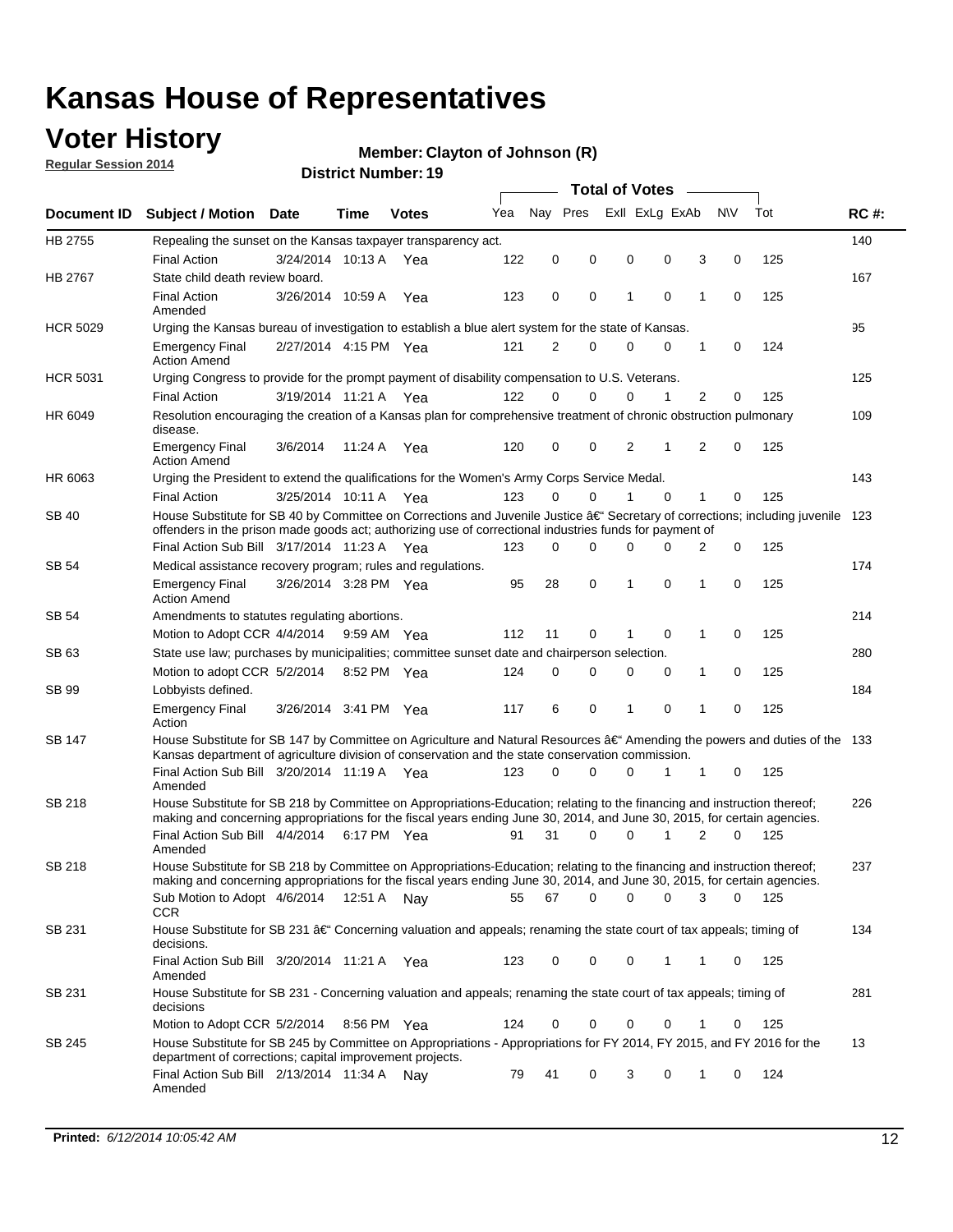### **Voter History**

**Regular Session 2014**

#### **Member: Clayton of Johnson (R)**

|                    |                                                                                                                                                                                                                                      |                       |             |              |     | <b>Total of Votes</b> |          |                |             |                |             |     |             |
|--------------------|--------------------------------------------------------------------------------------------------------------------------------------------------------------------------------------------------------------------------------------|-----------------------|-------------|--------------|-----|-----------------------|----------|----------------|-------------|----------------|-------------|-----|-------------|
| <b>Document ID</b> | <b>Subject / Motion Date</b>                                                                                                                                                                                                         |                       | Time        | <b>Votes</b> | Yea | Nav Pres              |          | Exll ExLg ExAb |             |                | <b>NV</b>   | Tot | <b>RC#:</b> |
| HB 2755            | Repealing the sunset on the Kansas taxpayer transparency act.                                                                                                                                                                        |                       |             |              |     |                       |          |                |             |                |             |     | 140         |
|                    | <b>Final Action</b>                                                                                                                                                                                                                  | 3/24/2014 10:13 A     |             | Yea          | 122 | 0                     | 0        | 0              | 0           | 3              | 0           | 125 |             |
| HB 2767            | State child death review board.                                                                                                                                                                                                      |                       |             |              |     |                       |          |                |             |                |             |     | 167         |
|                    | <b>Final Action</b><br>Amended                                                                                                                                                                                                       | 3/26/2014 10:59 A     |             | Yea          | 123 | 0                     | 0        | 1              | $\mathbf 0$ | 1              | 0           | 125 |             |
| <b>HCR 5029</b>    | Urging the Kansas bureau of investigation to establish a blue alert system for the state of Kansas.                                                                                                                                  |                       |             |              |     |                       |          |                |             |                |             |     | 95          |
|                    | <b>Emergency Final</b><br><b>Action Amend</b>                                                                                                                                                                                        | 2/27/2014 4:15 PM Yea |             |              | 121 | 2                     | 0        | 0              | 0           | 1              | 0           | 124 |             |
| <b>HCR 5031</b>    | Urging Congress to provide for the prompt payment of disability compensation to U.S. Veterans.                                                                                                                                       |                       |             |              |     |                       |          |                |             |                |             |     | 125         |
|                    | <b>Final Action</b>                                                                                                                                                                                                                  | 3/19/2014 11:21 A Yea |             |              | 122 | $\Omega$              | $\Omega$ | 0              | 1           | 2              | 0           | 125 |             |
| HR 6049            | Resolution encouraging the creation of a Kansas plan for comprehensive treatment of chronic obstruction pulmonary<br>disease.                                                                                                        |                       |             |              |     |                       |          |                |             |                |             |     | 109         |
|                    | <b>Emergency Final</b><br><b>Action Amend</b>                                                                                                                                                                                        | 3/6/2014              | 11:24 A     | Yea          | 120 | 0                     | 0        | $\overline{2}$ | 1           | $\overline{2}$ | $\mathbf 0$ | 125 |             |
| HR 6063            | Urging the President to extend the qualifications for the Women's Army Corps Service Medal.                                                                                                                                          |                       |             |              |     |                       |          |                |             |                |             |     | 143         |
|                    | <b>Final Action</b>                                                                                                                                                                                                                  | 3/25/2014 10:11 A Yea |             |              | 123 | $\Omega$              | $\Omega$ | 1              | $\Omega$    | 1              | 0           | 125 |             |
| SB 40              | House Substitute for SB 40 by Committee on Corrections and Juvenile Justice †Secretary of corrections; including juvenile<br>offenders in the prison made goods act; authorizing use of correctional industries funds for payment of |                       |             |              |     |                       |          |                |             |                |             |     | 123         |
|                    | Final Action Sub Bill 3/17/2014 11:23 A Yea                                                                                                                                                                                          |                       |             |              | 123 | 0                     | 0        | 0              | $\Omega$    | 2              | 0           | 125 |             |
| SB 54              | Medical assistance recovery program; rules and regulations.                                                                                                                                                                          |                       |             |              |     |                       |          |                |             |                |             |     | 174         |
|                    | <b>Emergency Final</b><br><b>Action Amend</b>                                                                                                                                                                                        | 3/26/2014 3:28 PM Yea |             |              | 95  | 28                    | 0        | 1              | 0           | 1              | 0           | 125 |             |
| SB 54              | Amendments to statutes regulating abortions.                                                                                                                                                                                         |                       |             |              |     |                       |          |                |             |                |             |     | 214         |
|                    | Motion to Adopt CCR 4/4/2014                                                                                                                                                                                                         |                       | 9:59 AM Yea |              | 112 | 11                    | 0        |                | $\mathbf 0$ | 1              | 0           | 125 |             |
| SB 63              | State use law; purchases by municipalities; committee sunset date and chairperson selection.                                                                                                                                         |                       |             |              |     |                       |          |                |             |                |             |     | 280         |
|                    | Motion to adopt CCR 5/2/2014                                                                                                                                                                                                         |                       | 8:52 PM Yea |              | 124 | 0                     | 0        | 0              | 0           | 1              | 0           | 125 |             |
| SB 99              | Lobbyists defined.                                                                                                                                                                                                                   |                       |             |              |     |                       |          |                |             |                |             |     | 184         |
|                    | <b>Emergency Final</b><br>Action                                                                                                                                                                                                     | 3/26/2014 3:41 PM Yea |             |              | 117 | 6                     | 0        | 1              | 0           | 1              | 0           | 125 |             |
| SB 147             | House Substitute for SB 147 by Committee on Agriculture and Natural Resources †Amending the powers and duties of the 133<br>Kansas department of agriculture division of conservation and the state conservation commission.         |                       |             |              |     |                       |          |                |             |                |             |     |             |
|                    | Final Action Sub Bill 3/20/2014 11:19 A Yea<br>Amended                                                                                                                                                                               |                       |             |              | 123 | 0                     | $\Omega$ | 0              | 1           | 1              | 0           | 125 |             |
| <b>SB 218</b>      | House Substitute for SB 218 by Committee on Appropriations-Education; relating to the financing and instruction thereof;                                                                                                             |                       |             |              |     |                       |          |                |             |                |             |     | 226         |
|                    | making and concerning appropriations for the fiscal years ending June 30, 2014, and June 30, 2015, for certain agencies.<br>Final Action Sub Bill 4/4/2014                                                                           |                       | 6:17 PM Yea |              | 91  | 31                    | $\Omega$ | 0              | 1           | $\overline{2}$ | $\Omega$    | 125 |             |
|                    | Amended                                                                                                                                                                                                                              |                       |             |              |     |                       |          |                |             |                |             |     |             |
| <b>SB 218</b>      | House Substitute for SB 218 by Committee on Appropriations-Education; relating to the financing and instruction thereof;                                                                                                             |                       |             |              |     |                       |          |                |             |                |             |     | 237         |
|                    | making and concerning appropriations for the fiscal years ending June 30, 2014, and June 30, 2015, for certain agencies.                                                                                                             |                       |             |              |     |                       |          |                |             |                |             |     |             |
|                    | Sub Motion to Adopt 4/6/2014 12:51 A Nay<br><b>CCR</b>                                                                                                                                                                               |                       |             |              | 55  | 67                    | 0        | 0              | 0           | 3              | 0           | 125 |             |
| SB 231             | House Substitute for SB 231 †Concerning valuation and appeals; renaming the state court of tax appeals; timing of<br>decisions.                                                                                                      |                       |             |              |     |                       |          |                |             |                |             |     | 134         |
|                    | Final Action Sub Bill 3/20/2014 11:21 A Yea<br>Amended                                                                                                                                                                               |                       |             |              | 123 | 0                     | 0        | 0              | 1           | 1              | 0           | 125 |             |
| SB 231             | House Substitute for SB 231 - Concerning valuation and appeals; renaming the state court of tax appeals; timing of<br>decisions                                                                                                      |                       |             |              |     |                       |          |                |             |                |             |     | 281         |
|                    | Motion to Adopt CCR 5/2/2014                                                                                                                                                                                                         |                       | 8:56 PM Yea |              | 124 | 0                     | 0        | 0              | $\mathbf 0$ | 1              | 0           | 125 |             |
| SB 245             | House Substitute for SB 245 by Committee on Appropriations - Appropriations for FY 2014, FY 2015, and FY 2016 for the<br>department of corrections; capital improvement projects.                                                    |                       |             |              |     |                       |          |                |             |                |             |     | 13          |
|                    | Final Action Sub Bill 2/13/2014 11:34 A Nay<br>Amended                                                                                                                                                                               |                       |             |              | 79  | 41                    | 0        | 3              | 0           | 1              | 0           | 124 |             |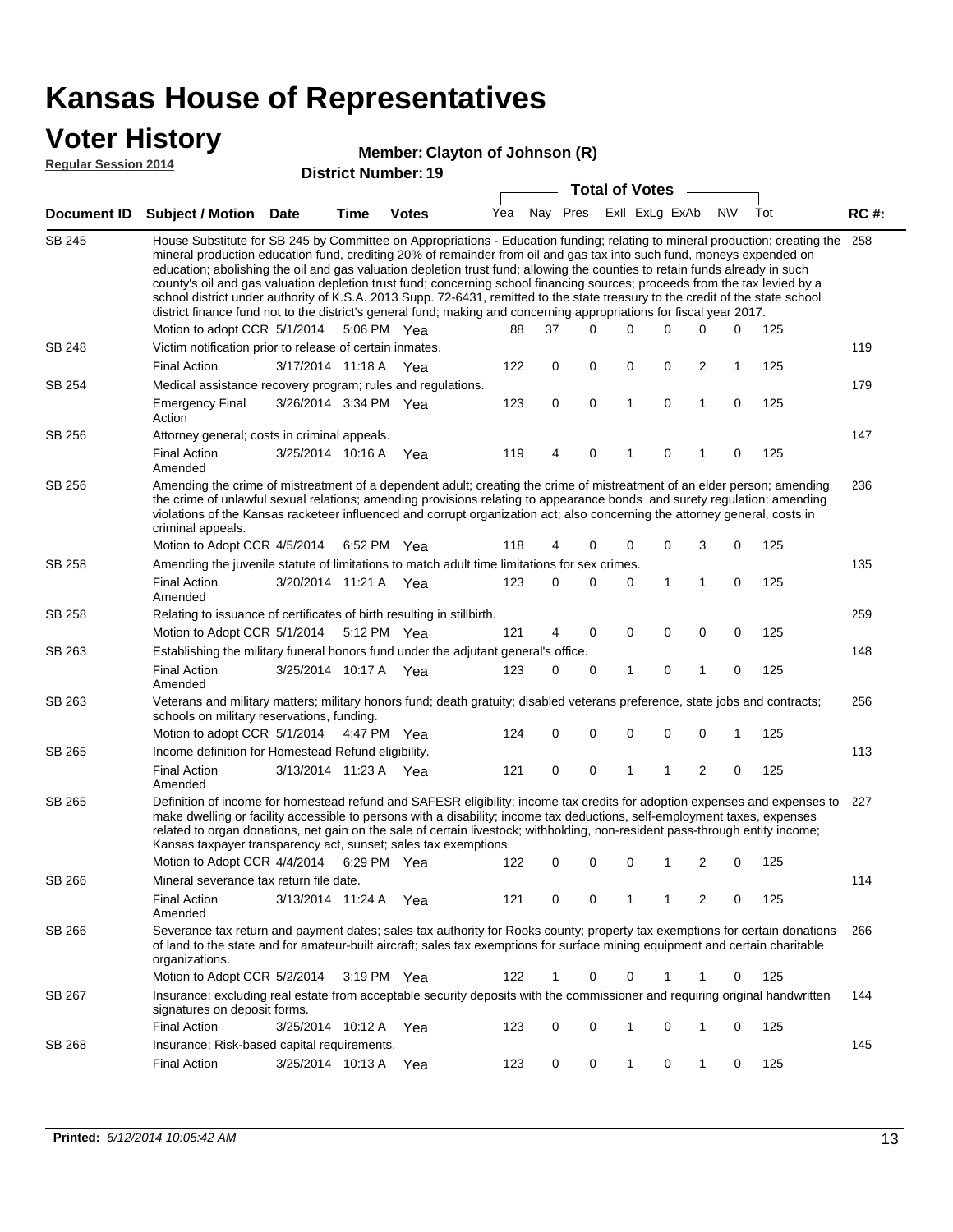### **Voter History**

#### **Member: Clayton of Johnson (R)**

**Regular Session 2014**

|               |                                                                                                                                                                                                                                                                                                                                                                                                                                                                                                                                                                                                                                                                                                                                                                                                                   |                       |             | PISUILU NUIIIDEI. IJ  |     |    | <b>Total of Votes</b>       |   |             |                |             |     |             |
|---------------|-------------------------------------------------------------------------------------------------------------------------------------------------------------------------------------------------------------------------------------------------------------------------------------------------------------------------------------------------------------------------------------------------------------------------------------------------------------------------------------------------------------------------------------------------------------------------------------------------------------------------------------------------------------------------------------------------------------------------------------------------------------------------------------------------------------------|-----------------------|-------------|-----------------------|-----|----|-----------------------------|---|-------------|----------------|-------------|-----|-------------|
|               | Document ID Subject / Motion Date                                                                                                                                                                                                                                                                                                                                                                                                                                                                                                                                                                                                                                                                                                                                                                                 |                       | <b>Time</b> | <b>Votes</b>          |     |    | Yea Nay Pres ExII ExLg ExAb |   |             |                | <b>NV</b>   | Tot | <b>RC#:</b> |
| <b>SB 245</b> | House Substitute for SB 245 by Committee on Appropriations - Education funding; relating to mineral production; creating the 258<br>mineral production education fund, crediting 20% of remainder from oil and gas tax into such fund, moneys expended on<br>education; abolishing the oil and gas valuation depletion trust fund; allowing the counties to retain funds already in such<br>county's oil and gas valuation depletion trust fund; concerning school financing sources; proceeds from the tax levied by a<br>school district under authority of K.S.A. 2013 Supp. 72-6431, remitted to the state treasury to the credit of the state school<br>district finance fund not to the district's general fund; making and concerning appropriations for fiscal year 2017.<br>Motion to adopt CCR 5/1/2014 |                       |             | 5:06 PM Yea           | 88  | 37 | 0                           | 0 | 0           | 0              | 0           | 125 |             |
| <b>SB 248</b> | Victim notification prior to release of certain inmates.                                                                                                                                                                                                                                                                                                                                                                                                                                                                                                                                                                                                                                                                                                                                                          |                       |             |                       |     |    |                             |   |             |                |             |     | 119         |
|               | <b>Final Action</b>                                                                                                                                                                                                                                                                                                                                                                                                                                                                                                                                                                                                                                                                                                                                                                                               | 3/17/2014 11:18 A     |             | Yea                   | 122 | 0  | 0                           | 0 | 0           | 2              | 1           | 125 |             |
| SB 254        | Medical assistance recovery program; rules and regulations.                                                                                                                                                                                                                                                                                                                                                                                                                                                                                                                                                                                                                                                                                                                                                       |                       |             |                       |     |    |                             |   |             |                |             |     | 179         |
|               | <b>Emergency Final</b><br>Action                                                                                                                                                                                                                                                                                                                                                                                                                                                                                                                                                                                                                                                                                                                                                                                  | 3/26/2014 3:34 PM Yea |             |                       | 123 | 0  | 0                           | 1 | 0           | $\mathbf{1}$   | 0           | 125 |             |
| SB 256        | Attorney general; costs in criminal appeals.                                                                                                                                                                                                                                                                                                                                                                                                                                                                                                                                                                                                                                                                                                                                                                      |                       |             |                       |     |    |                             |   |             |                |             |     | 147         |
|               | <b>Final Action</b><br>Amended                                                                                                                                                                                                                                                                                                                                                                                                                                                                                                                                                                                                                                                                                                                                                                                    | 3/25/2014 10:16 A     |             | Yea                   | 119 | 4  | 0                           | 1 | 0           | 1              | $\mathbf 0$ | 125 |             |
| SB 256        | Amending the crime of mistreatment of a dependent adult; creating the crime of mistreatment of an elder person; amending<br>the crime of unlawful sexual relations; amending provisions relating to appearance bonds and surety regulation; amending<br>violations of the Kansas racketeer influenced and corrupt organization act; also concerning the attorney general, costs in<br>criminal appeals.                                                                                                                                                                                                                                                                                                                                                                                                           |                       |             |                       |     |    |                             |   |             |                |             |     | 236         |
|               | Motion to Adopt CCR 4/5/2014                                                                                                                                                                                                                                                                                                                                                                                                                                                                                                                                                                                                                                                                                                                                                                                      |                       |             | 6:52 PM Yea           | 118 | 4  | 0                           | 0 | 0           | 3              | 0           | 125 |             |
| SB 258        | Amending the juvenile statute of limitations to match adult time limitations for sex crimes.                                                                                                                                                                                                                                                                                                                                                                                                                                                                                                                                                                                                                                                                                                                      |                       |             |                       |     |    |                             |   |             |                |             |     | 135         |
|               | <b>Final Action</b><br>Amended                                                                                                                                                                                                                                                                                                                                                                                                                                                                                                                                                                                                                                                                                                                                                                                    | 3/20/2014 11:21 A Yea |             |                       | 123 | 0  | 0                           | 0 | 1           | 1              | 0           | 125 |             |
| <b>SB 258</b> | Relating to issuance of certificates of birth resulting in stillbirth.                                                                                                                                                                                                                                                                                                                                                                                                                                                                                                                                                                                                                                                                                                                                            |                       |             |                       |     |    |                             |   |             |                |             |     | 259         |
|               | Motion to Adopt CCR 5/1/2014 5:12 PM Yea                                                                                                                                                                                                                                                                                                                                                                                                                                                                                                                                                                                                                                                                                                                                                                          |                       |             |                       | 121 | 4  | 0                           | 0 | 0           | 0              | 0           | 125 |             |
| SB 263        | Establishing the military funeral honors fund under the adjutant general's office.                                                                                                                                                                                                                                                                                                                                                                                                                                                                                                                                                                                                                                                                                                                                |                       |             |                       |     |    |                             |   |             |                |             |     | 148         |
|               | <b>Final Action</b><br>Amended                                                                                                                                                                                                                                                                                                                                                                                                                                                                                                                                                                                                                                                                                                                                                                                    | 3/25/2014 10:17 A Yea |             |                       | 123 | 0  | 0                           | 1 | 0           | 1              | 0           | 125 |             |
| SB 263        | Veterans and military matters; military honors fund; death gratuity; disabled veterans preference, state jobs and contracts;<br>schools on military reservations, funding.                                                                                                                                                                                                                                                                                                                                                                                                                                                                                                                                                                                                                                        |                       |             |                       |     |    |                             |   |             |                |             |     | 256         |
|               | Motion to adopt CCR 5/1/2014 4:47 PM Yea                                                                                                                                                                                                                                                                                                                                                                                                                                                                                                                                                                                                                                                                                                                                                                          |                       |             |                       | 124 | 0  | 0                           | 0 | $\mathbf 0$ | 0              | 1           | 125 |             |
| SB 265        | Income definition for Homestead Refund eligibility.                                                                                                                                                                                                                                                                                                                                                                                                                                                                                                                                                                                                                                                                                                                                                               |                       |             |                       |     |    |                             |   |             |                |             |     | 113         |
|               | <b>Final Action</b><br>Amended                                                                                                                                                                                                                                                                                                                                                                                                                                                                                                                                                                                                                                                                                                                                                                                    | 3/13/2014 11:23 A Yea |             |                       | 121 | 0  | 0                           | 1 | 1           | $\overline{2}$ | 0           | 125 |             |
| SB 265        | Definition of income for homestead refund and SAFESR eligibility; income tax credits for adoption expenses and expenses to<br>make dwelling or facility accessible to persons with a disability; income tax deductions, self-employment taxes, expenses<br>related to organ donations, net gain on the sale of certain livestock; withholding, non-resident pass-through entity income;<br>Kansas taxpayer transparency act, sunset; sales tax exemptions.<br>Motion to Adopt CCR 4/4/2014 6:29 PM Yea                                                                                                                                                                                                                                                                                                            |                       |             |                       | 122 | 0  | 0                           | 0 | 1           | 2              | 0           | 125 | 227         |
| SB 266        | Mineral severance tax return file date.                                                                                                                                                                                                                                                                                                                                                                                                                                                                                                                                                                                                                                                                                                                                                                           |                       |             |                       |     |    |                             |   |             |                |             |     | 114         |
|               | <b>Final Action</b><br>Amended                                                                                                                                                                                                                                                                                                                                                                                                                                                                                                                                                                                                                                                                                                                                                                                    | 3/13/2014 11:24 A     |             | Yea                   | 121 | 0  | 0                           | 1 | 1           | 2              | 0           | 125 |             |
| SB 266        | Severance tax return and payment dates; sales tax authority for Rooks county; property tax exemptions for certain donations<br>of land to the state and for amateur-built aircraft; sales tax exemptions for surface mining equipment and certain charitable<br>organizations.                                                                                                                                                                                                                                                                                                                                                                                                                                                                                                                                    |                       |             |                       |     |    |                             |   |             |                |             |     | 266         |
|               | Motion to Adopt CCR 5/2/2014                                                                                                                                                                                                                                                                                                                                                                                                                                                                                                                                                                                                                                                                                                                                                                                      |                       |             | $3:19 \text{ PM}$ Yea | 122 | 1  | 0                           | 0 | 1           | 1              | 0           | 125 |             |
| SB 267        | Insurance; excluding real estate from acceptable security deposits with the commissioner and requiring original handwritten<br>signatures on deposit forms.                                                                                                                                                                                                                                                                                                                                                                                                                                                                                                                                                                                                                                                       |                       |             |                       |     |    |                             |   |             |                |             |     | 144         |
|               | <b>Final Action</b>                                                                                                                                                                                                                                                                                                                                                                                                                                                                                                                                                                                                                                                                                                                                                                                               | 3/25/2014 10:12 A Yea |             |                       | 123 | 0  | 0                           | 1 | 0           | 1              | 0           | 125 |             |
| SB 268        | Insurance; Risk-based capital requirements.                                                                                                                                                                                                                                                                                                                                                                                                                                                                                                                                                                                                                                                                                                                                                                       |                       |             |                       |     |    |                             |   |             |                |             |     | 145         |
|               | <b>Final Action</b>                                                                                                                                                                                                                                                                                                                                                                                                                                                                                                                                                                                                                                                                                                                                                                                               | 3/25/2014 10:13 A     |             | Yea                   | 123 | 0  | 0                           | 1 | 0           | $\mathbf{1}$   | 0           | 125 |             |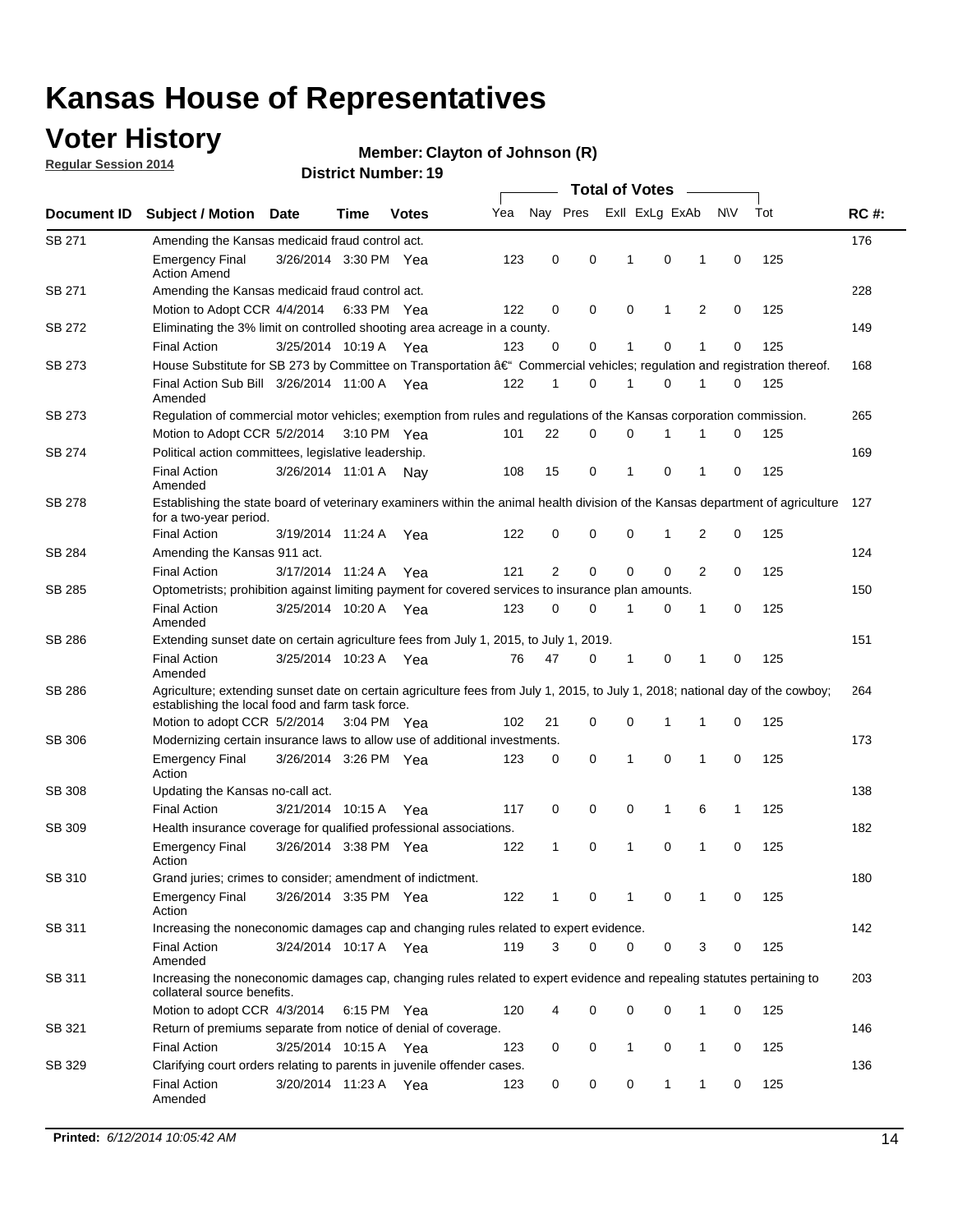### **Voter History**

**Regular Session 2014**

#### **Member: Clayton of Johnson (R)**

|               |                                                                                                                                                                                    |                       |      |              |     | <b>Total of Votes</b> |             |                |              |   |             |     |             |  |
|---------------|------------------------------------------------------------------------------------------------------------------------------------------------------------------------------------|-----------------------|------|--------------|-----|-----------------------|-------------|----------------|--------------|---|-------------|-----|-------------|--|
| Document ID   | <b>Subject / Motion Date</b>                                                                                                                                                       |                       | Time | <b>Votes</b> | Yea | Nay Pres              |             | Exll ExLg ExAb |              |   | N\V         | Tot | <b>RC#:</b> |  |
| SB 271        | Amending the Kansas medicaid fraud control act.                                                                                                                                    |                       |      |              |     |                       |             |                |              |   |             |     | 176         |  |
|               | <b>Emergency Final</b><br><b>Action Amend</b>                                                                                                                                      | 3/26/2014 3:30 PM Yea |      |              | 123 | 0                     | 0           | 1              | 0            | 1 | $\mathbf 0$ | 125 |             |  |
| SB 271        | Amending the Kansas medicaid fraud control act.                                                                                                                                    |                       |      |              |     |                       |             |                |              |   |             |     | 228         |  |
|               | Motion to Adopt CCR 4/4/2014 6:33 PM Yea                                                                                                                                           |                       |      |              | 122 | 0                     | 0           | 0              | 1            | 2 | 0           | 125 |             |  |
| SB 272        | Eliminating the 3% limit on controlled shooting area acreage in a county.                                                                                                          |                       |      |              |     |                       |             |                |              |   |             |     | 149         |  |
|               | <b>Final Action</b>                                                                                                                                                                | 3/25/2014 10:19 A Yea |      |              | 123 | 0                     | 0           | 1              | 0            | 1 | $\mathbf 0$ | 125 |             |  |
| SB 273        | House Substitute for SB 273 by Committee on Transportation †Commercial vehicles; regulation and registration thereof.                                                              |                       |      |              |     |                       |             |                |              |   |             |     | 168         |  |
|               | Final Action Sub Bill 3/26/2014 11:00 A Yea<br>Amended                                                                                                                             |                       |      |              | 122 | 1                     | 0           | 1              | 0            | 1 | 0           | 125 |             |  |
| SB 273        | Regulation of commercial motor vehicles; exemption from rules and regulations of the Kansas corporation commission.                                                                |                       |      |              |     |                       |             |                |              |   |             |     | 265         |  |
|               | Motion to Adopt CCR 5/2/2014 3:10 PM Yea                                                                                                                                           |                       |      |              | 101 | 22                    | 0           | 0              | 1            | 1 | 0           | 125 |             |  |
| SB 274        | Political action committees, legislative leadership.                                                                                                                               |                       |      |              |     |                       |             |                |              |   |             |     | 169         |  |
|               | <b>Final Action</b><br>Amended                                                                                                                                                     | 3/26/2014 11:01 A Nay |      |              | 108 | 15                    | 0           | -1             | 0            | 1 | 0           | 125 |             |  |
| <b>SB 278</b> | Establishing the state board of veterinary examiners within the animal health division of the Kansas department of agriculture<br>for a two-year period.                           |                       |      |              |     |                       |             |                |              |   |             |     | 127         |  |
|               | <b>Final Action</b>                                                                                                                                                                | 3/19/2014 11:24 A     |      | Yea          | 122 | 0                     | 0           | 0              | 1            | 2 | 0           | 125 |             |  |
| SB 284        | Amending the Kansas 911 act.                                                                                                                                                       |                       |      |              |     |                       |             |                |              |   |             |     | 124         |  |
|               | <b>Final Action</b>                                                                                                                                                                | 3/17/2014 11:24 A     |      | Yea          | 121 | $\overline{2}$        | $\mathbf 0$ | $\mathbf 0$    | $\mathbf 0$  | 2 | 0           | 125 |             |  |
| SB 285        | Optometrists; prohibition against limiting payment for covered services to insurance plan amounts.                                                                                 |                       |      |              |     |                       |             |                |              |   |             |     | 150         |  |
|               | <b>Final Action</b><br>Amended                                                                                                                                                     | 3/25/2014 10:20 A     |      | Yea          | 123 | 0                     | 0           | $\mathbf{1}$   | 0            | 1 | 0           | 125 |             |  |
| SB 286        | Extending sunset date on certain agriculture fees from July 1, 2015, to July 1, 2019.                                                                                              |                       |      |              |     |                       |             |                |              |   |             |     | 151         |  |
|               | <b>Final Action</b><br>Amended                                                                                                                                                     | 3/25/2014 10:23 A Yea |      |              | 76  | 47                    | 0           | $\mathbf{1}$   | 0            | 1 | 0           | 125 |             |  |
| SB 286        | Agriculture; extending sunset date on certain agriculture fees from July 1, 2015, to July 1, 2018; national day of the cowboy;<br>establishing the local food and farm task force. |                       |      |              |     |                       |             |                |              |   |             |     | 264         |  |
|               | Motion to adopt CCR 5/2/2014 3:04 PM Yea                                                                                                                                           |                       |      |              | 102 | 21                    | 0           | 0              | 1            | 1 | 0           | 125 |             |  |
| SB 306        | Modernizing certain insurance laws to allow use of additional investments.                                                                                                         |                       |      |              |     |                       |             |                |              |   |             |     | 173         |  |
|               | <b>Emergency Final</b>                                                                                                                                                             | 3/26/2014 3:26 PM Yea |      |              | 123 | 0                     | 0           | 1              | $\mathbf 0$  | 1 | 0           | 125 |             |  |
|               | Action                                                                                                                                                                             |                       |      |              |     |                       |             |                |              |   |             |     |             |  |
| <b>SB 308</b> | Updating the Kansas no-call act.                                                                                                                                                   |                       |      |              |     |                       |             |                |              |   |             |     | 138         |  |
|               | <b>Final Action</b>                                                                                                                                                                | 3/21/2014 10:15 A     |      | Yea          | 117 | 0                     | 0           | 0              | $\mathbf{1}$ | 6 | 1           | 125 |             |  |
| SB 309        | Health insurance coverage for qualified professional associations.                                                                                                                 |                       |      |              |     |                       |             |                |              |   |             |     | 182         |  |
|               | <b>Emergency Final</b><br>Action                                                                                                                                                   | 3/26/2014 3:38 PM Yea |      |              | 122 | 1                     | 0           | 1              | 0            | 1 | 0           | 125 |             |  |
| SB 310        | Grand juries; crimes to consider; amendment of indictment.                                                                                                                         |                       |      |              |     |                       |             |                |              |   |             |     | 180         |  |
|               | <b>Emergency Final</b><br>Action                                                                                                                                                   | 3/26/2014 3:35 PM Yea |      |              | 122 | 1                     | 0           | 1              | 0            | 1 | 0           | 125 |             |  |
| SB 311        | Increasing the noneconomic damages cap and changing rules related to expert evidence.                                                                                              |                       |      |              |     |                       |             |                |              |   |             |     | 142         |  |
|               | <b>Final Action</b><br>Amended                                                                                                                                                     | 3/24/2014 10:17 A Yea |      |              | 119 | 3                     | $\Omega$    | 0              | 0            | 3 | 0           | 125 |             |  |
| SB 311        | Increasing the noneconomic damages cap, changing rules related to expert evidence and repealing statutes pertaining to<br>collateral source benefits.                              |                       |      |              |     |                       |             |                |              |   |             |     | 203         |  |
|               | Motion to adopt CCR 4/3/2014 6:15 PM Yea                                                                                                                                           |                       |      |              | 120 | 4                     | 0           | 0              | 0            | 1 | 0           | 125 |             |  |
| SB 321        | Return of premiums separate from notice of denial of coverage.                                                                                                                     |                       |      |              |     |                       |             |                |              |   |             |     | 146         |  |
|               | <b>Final Action</b>                                                                                                                                                                | 3/25/2014 10:15 A Yea |      |              | 123 | 0                     | 0           | 1              | 0            | 1 | 0           | 125 |             |  |
| SB 329        | Clarifying court orders relating to parents in juvenile offender cases.<br><b>Final Action</b><br>Amended                                                                          | 3/20/2014 11:23 A Yea |      |              | 123 | 0                     | 0           | 0              | 1            | 1 | 0           | 125 | 136         |  |
|               |                                                                                                                                                                                    |                       |      |              |     |                       |             |                |              |   |             |     |             |  |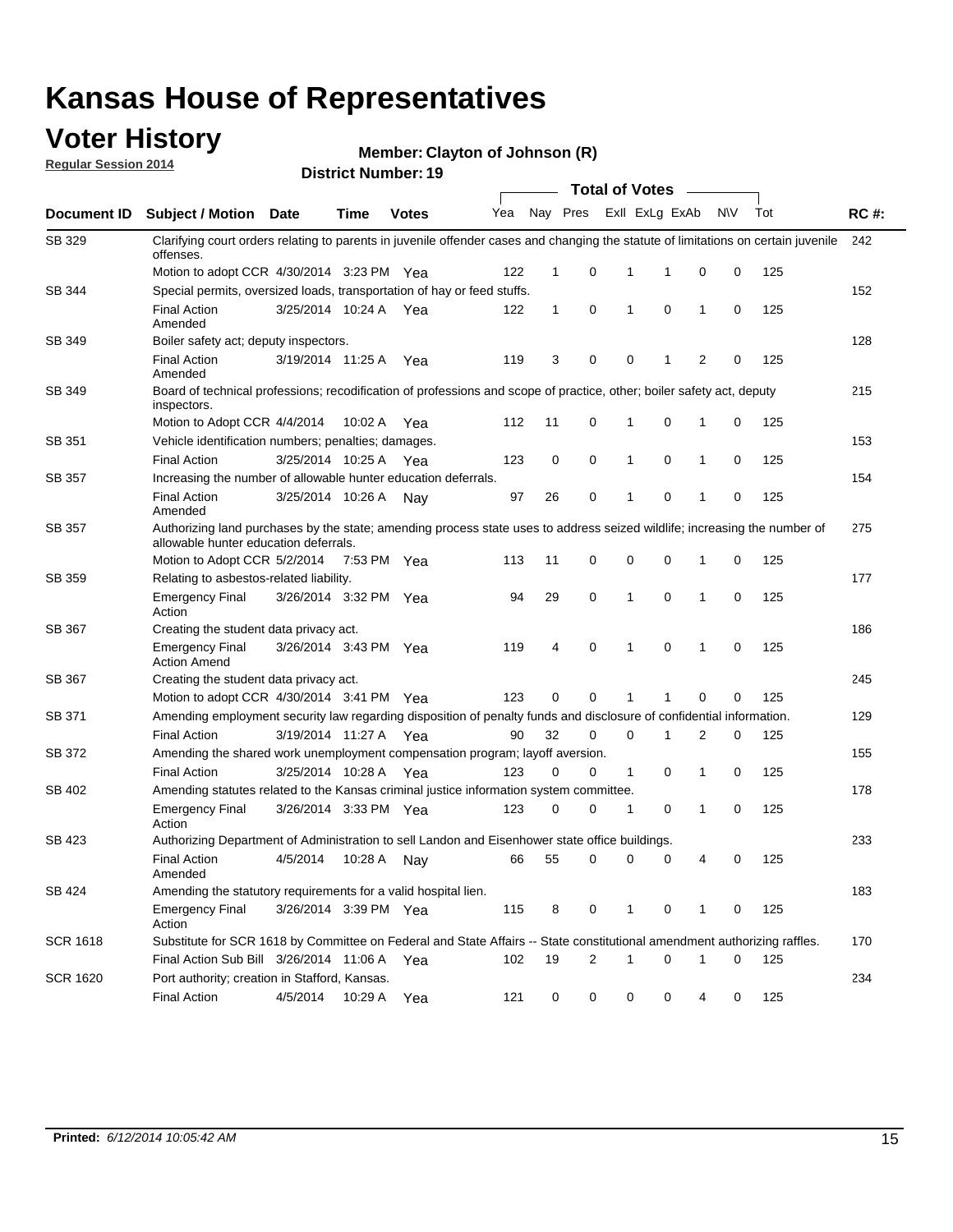### **Voter History**

**Regular Session 2014**

#### **Member: Clayton of Johnson (R)**

|                 | <b>Total of Votes</b>                                                                                                                                              |                       |             |              |     |              |          |   |                   |                |           |     |             |
|-----------------|--------------------------------------------------------------------------------------------------------------------------------------------------------------------|-----------------------|-------------|--------------|-----|--------------|----------|---|-------------------|----------------|-----------|-----|-------------|
| Document ID     | Subject / Motion Date                                                                                                                                              |                       | <b>Time</b> | <b>Votes</b> | Yea |              | Nay Pres |   | Exll ExLg ExAb    |                | <b>NV</b> | Tot | <b>RC#:</b> |
| SB 329          | Clarifying court orders relating to parents in juvenile offender cases and changing the statute of limitations on certain juvenile<br>offenses.                    |                       |             |              |     |              |          |   |                   |                |           |     | 242         |
|                 | Motion to adopt CCR 4/30/2014 3:23 PM Yea                                                                                                                          |                       |             |              | 122 | $\mathbf 1$  | 0        | 1 | -1                | 0              | 0         | 125 |             |
| SB 344          | Special permits, oversized loads, transportation of hay or feed stuffs.                                                                                            |                       |             |              |     |              |          |   |                   |                |           |     | 152         |
|                 | <b>Final Action</b><br>Amended                                                                                                                                     | 3/25/2014 10:24 A     |             | Yea          | 122 | $\mathbf{1}$ | 0        | 1 | 0                 | 1              | 0         | 125 |             |
| SB 349          | Boiler safety act; deputy inspectors.                                                                                                                              |                       |             |              |     |              |          |   |                   |                |           |     | 128         |
|                 | <b>Final Action</b><br>Amended                                                                                                                                     | 3/19/2014 11:25 A     |             | Yea          | 119 | 3            | 0        |   | 0<br>1            | $\overline{2}$ | 0         | 125 |             |
| SB 349          | Board of technical professions; recodification of professions and scope of practice, other; boiler safety act, deputy<br>inspectors.                               |                       |             |              |     |              |          |   |                   |                |           |     | 215         |
|                 | Motion to Adopt CCR 4/4/2014                                                                                                                                       |                       | 10:02 A     | Yea          | 112 | 11           | 0        | 1 | 0                 | 1              | 0         | 125 |             |
| SB 351          | Vehicle identification numbers; penalties; damages.                                                                                                                |                       |             |              |     |              |          |   |                   |                |           |     | 153         |
|                 | <b>Final Action</b>                                                                                                                                                | 3/25/2014 10:25 A     |             | Yea          | 123 | 0            | 0        | 1 | 0                 | 1              | 0         | 125 |             |
| <b>SB 357</b>   | Increasing the number of allowable hunter education deferrals.                                                                                                     |                       |             |              |     |              |          |   |                   |                |           |     | 154         |
|                 | <b>Final Action</b><br>Amended                                                                                                                                     | 3/25/2014 10:26 A     |             | Nav          | 97  | 26           | 0        | 1 | 0                 | 1              | 0         | 125 |             |
| <b>SB 357</b>   | Authorizing land purchases by the state; amending process state uses to address seized wildlife; increasing the number of<br>allowable hunter education deferrals. |                       |             |              |     |              |          |   |                   |                |           |     | 275         |
|                 | Motion to Adopt CCR 5/2/2014                                                                                                                                       |                       | 7:53 PM Yea |              | 113 | 11           | 0        |   | 0<br>$\mathbf 0$  | 1              | 0         | 125 |             |
| SB 359          | Relating to asbestos-related liability.                                                                                                                            |                       |             |              |     |              |          |   |                   |                |           |     | 177         |
|                 | <b>Emergency Final</b><br>Action                                                                                                                                   | 3/26/2014 3:32 PM Yea |             |              | 94  | 29           | 0        | 1 | $\mathbf 0$       | $\mathbf{1}$   | 0         | 125 |             |
| SB 367          | Creating the student data privacy act.                                                                                                                             |                       |             |              |     |              |          |   |                   |                |           |     | 186         |
|                 | <b>Emergency Final</b><br><b>Action Amend</b>                                                                                                                      | 3/26/2014 3:43 PM Yea |             |              | 119 | 4            | 0        | 1 | 0                 | 1              | 0         | 125 |             |
| SB 367          | Creating the student data privacy act.                                                                                                                             |                       |             |              |     |              |          |   |                   |                |           |     | 245         |
|                 | Motion to adopt CCR 4/30/2014 3:41 PM Yea                                                                                                                          |                       |             |              | 123 | 0            | $\Omega$ |   | 1                 | 0              | 0         | 125 |             |
| SB 371          | Amending employment security law regarding disposition of penalty funds and disclosure of confidential information.                                                |                       |             |              |     |              |          |   |                   |                |           |     | 129         |
|                 | <b>Final Action</b>                                                                                                                                                | 3/19/2014 11:27 A     |             | Yea          | 90  | 32           | 0        |   | $\mathbf 0$<br>1  | 2              | 0         | 125 |             |
| SB 372          | Amending the shared work unemployment compensation program; layoff aversion.                                                                                       |                       |             |              |     |              |          |   |                   |                |           |     | 155         |
|                 | <b>Final Action</b>                                                                                                                                                | 3/25/2014 10:28 A     |             | Yea          | 123 | 0            | 0        |   | $\mathbf{1}$<br>0 | 1              | 0         | 125 |             |
| SB 402          | Amending statutes related to the Kansas criminal justice information system committee.                                                                             |                       |             |              |     |              |          |   |                   |                |           |     | 178         |
|                 | <b>Emergency Final</b><br>Action                                                                                                                                   | 3/26/2014 3:33 PM Yea |             |              | 123 | 0            | 0        | 1 | 0                 | 1              | 0         | 125 |             |
| SB 423          | Authorizing Department of Administration to sell Landon and Eisenhower state office buildings.                                                                     |                       |             |              |     |              |          |   |                   |                |           |     | 233         |
|                 | <b>Final Action</b><br>Amended                                                                                                                                     | 4/5/2014              | 10:28 A     | Nay          | 66  | 55           | 0        |   | 0<br>0            | 4              | 0         | 125 |             |
| SB 424          | Amending the statutory requirements for a valid hospital lien.                                                                                                     |                       |             |              |     |              |          |   |                   |                |           |     | 183         |
|                 | <b>Emergency Final</b><br>Action                                                                                                                                   | 3/26/2014 3:39 PM Yea |             |              | 115 | 8            | 0        |   | 1<br>0            | 1              | 0         | 125 |             |
| <b>SCR 1618</b> | Substitute for SCR 1618 by Committee on Federal and State Affairs -- State constitutional amendment authorizing raffles.                                           |                       |             |              |     |              |          |   |                   |                |           |     | 170         |
|                 | Final Action Sub Bill 3/26/2014 11:06 A Yea                                                                                                                        |                       |             |              | 102 | 19           | 2        | 1 | 0                 | 1              | 0         | 125 |             |
| <b>SCR 1620</b> | Port authority; creation in Stafford, Kansas.                                                                                                                      |                       |             |              |     |              |          |   |                   |                |           |     | 234         |
|                 | <b>Final Action</b>                                                                                                                                                | 4/5/2014              | 10:29 A Yea |              | 121 | 0            | 0        |   | 0<br>0            | 4              | 0         | 125 |             |